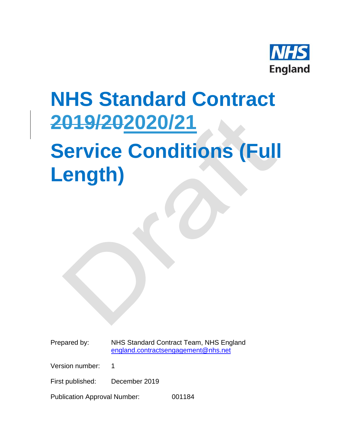

## **NHS Standard Contract 2019/202020/21**

## **Service Conditions (Full Length)**

Prepared by: NHS Standard Contract Team, NHS England [england.contractsengagement@nhs.net](mailto:england.contractsengagement@nhs.net)

Version number: 1

First published: December 2019

Publication Approval Number: 001184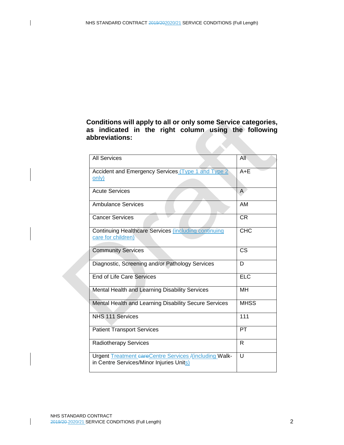**Conditions will apply to all or only some Service categories, as indicated in the right column using the following abbreviations:**

| <b>All Services</b>                                                                                       | All         |
|-----------------------------------------------------------------------------------------------------------|-------------|
| Accident and Emergency Services (Type 1 and Type 2<br><u>only)</u>                                        | $A + E$     |
|                                                                                                           |             |
| <b>Acute Services</b>                                                                                     | A           |
| <b>Ambulance Services</b>                                                                                 | <b>AM</b>   |
| <b>Cancer Services</b>                                                                                    | <b>CR</b>   |
| <b>Continuing Healthcare Services (including continuing</b><br>care for children)                         | CHC         |
|                                                                                                           |             |
| <b>Community Services</b>                                                                                 | CS          |
| Diagnostic, Screening and/or Pathology Services                                                           | D           |
| <b>End of Life Care Services</b>                                                                          | <b>ELC</b>  |
| Mental Health and Learning Disability Services                                                            | MН          |
| Mental Health and Learning Disability Secure Services                                                     | <b>MHSS</b> |
| <b>NHS 111 Services</b>                                                                                   | 111         |
| <b>Patient Transport Services</b>                                                                         | PT          |
| <b>Radiotherapy Services</b>                                                                              | R           |
| <b>Urgent Treatment careCentre Services /(including Walk-</b><br>in Centre Services/Minor Injuries Units) | U           |
|                                                                                                           |             |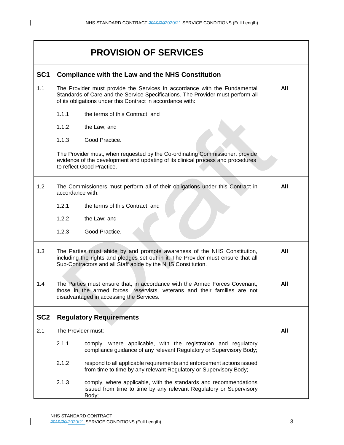|                 |                    | <b>PROVISION OF SERVICES</b>                                                                                                                                                                                                  |     |
|-----------------|--------------------|-------------------------------------------------------------------------------------------------------------------------------------------------------------------------------------------------------------------------------|-----|
| SC <sub>1</sub> |                    | <b>Compliance with the Law and the NHS Constitution</b>                                                                                                                                                                       |     |
| 1.1             |                    | The Provider must provide the Services in accordance with the Fundamental<br>Standards of Care and the Service Specifications. The Provider must perform all<br>of its obligations under this Contract in accordance with:    | All |
|                 | 1.1.1              | the terms of this Contract; and                                                                                                                                                                                               |     |
|                 | 1.1.2              | the Law; and                                                                                                                                                                                                                  |     |
|                 | 1.1.3              | Good Practice.                                                                                                                                                                                                                |     |
|                 |                    | The Provider must, when requested by the Co-ordinating Commissioner, provide<br>evidence of the development and updating of its clinical process and procedures<br>to reflect Good Practice.                                  |     |
| 1.2             | accordance with:   | The Commissioners must perform all of their obligations under this Contract in                                                                                                                                                | All |
|                 | 1.2.1              | the terms of this Contract; and                                                                                                                                                                                               |     |
|                 | 1.2.2              | the Law; and                                                                                                                                                                                                                  |     |
|                 | 1.2.3              | Good Practice.                                                                                                                                                                                                                |     |
| 1.3             |                    | The Parties must abide by and promote awareness of the NHS Constitution,<br>including the rights and pledges set out in it. The Provider must ensure that all<br>Sub-Contractors and all Staff abide by the NHS Constitution. | All |
| 1.4             |                    | The Parties must ensure that, in accordance with the Armed Forces Covenant,<br>those in the armed forces, reservists, veterans and their families are not<br>disadvantaged in accessing the Services.                         | All |
| SC <sub>2</sub> |                    | <b>Regulatory Requirements</b>                                                                                                                                                                                                |     |
| 2.1             | The Provider must: |                                                                                                                                                                                                                               | All |
|                 | 2.1.1              | comply, where applicable, with the registration and regulatory<br>compliance guidance of any relevant Regulatory or Supervisory Body;                                                                                         |     |
|                 | 2.1.2              | respond to all applicable requirements and enforcement actions issued<br>from time to time by any relevant Regulatory or Supervisory Body;                                                                                    |     |
|                 | 2.1.3              | comply, where applicable, with the standards and recommendations<br>issued from time to time by any relevant Regulatory or Supervisory<br>Body;                                                                               |     |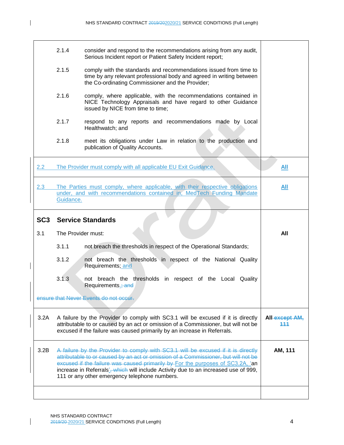|                 | 2.1.4              | consider and respond to the recommendations arising from any audit,<br>Serious Incident report or Patient Safety Incident report;                                                                                                                                                                                                                                                                              |                       |
|-----------------|--------------------|----------------------------------------------------------------------------------------------------------------------------------------------------------------------------------------------------------------------------------------------------------------------------------------------------------------------------------------------------------------------------------------------------------------|-----------------------|
|                 | 2.1.5              | comply with the standards and recommendations issued from time to<br>time by any relevant professional body and agreed in writing between<br>the Co-ordinating Commissioner and the Provider;                                                                                                                                                                                                                  |                       |
|                 | 2.1.6              | comply, where applicable, with the recommendations contained in<br>NICE Technology Appraisals and have regard to other Guidance<br>issued by NICE from time to time;                                                                                                                                                                                                                                           |                       |
|                 | 2.1.7              | respond to any reports and recommendations made by Local<br>Healthwatch; and                                                                                                                                                                                                                                                                                                                                   |                       |
|                 | 2.1.8              | meet its obligations under Law in relation to the production and<br>publication of Quality Accounts.                                                                                                                                                                                                                                                                                                           |                       |
| 2.2             |                    | The Provider must comply with all applicable EU Exit Guidance.                                                                                                                                                                                                                                                                                                                                                 | All                   |
| 2.3             | Guidance.          | The Parties must comply, where applicable, with their respective obligations<br>under, and with recommendations contained in, MedTech Funding Mandate                                                                                                                                                                                                                                                          | All                   |
|                 |                    |                                                                                                                                                                                                                                                                                                                                                                                                                |                       |
| SC <sub>3</sub> |                    | <b>Service Standards</b>                                                                                                                                                                                                                                                                                                                                                                                       |                       |
| 3.1             | The Provider must: |                                                                                                                                                                                                                                                                                                                                                                                                                | All                   |
|                 | 3.1.1              | not breach the thresholds in respect of the Operational Standards;                                                                                                                                                                                                                                                                                                                                             |                       |
|                 | 3.1.2              | not breach the thresholds in respect of the National Quality<br>Requirements; and                                                                                                                                                                                                                                                                                                                              |                       |
|                 | 3.1.3              | not breach the thresholds in respect of the Local Quality<br>Requirements.; and                                                                                                                                                                                                                                                                                                                                |                       |
|                 |                    | ensure that Never Events do not occur.                                                                                                                                                                                                                                                                                                                                                                         |                       |
| 3.2A            |                    | A failure by the Provider to comply with SC3.1 will be excused if it is directly<br>attributable to or caused by an act or omission of a Commissioner, but will not be<br>excused if the failure was caused primarily by an increase in Referrals.                                                                                                                                                             | All-except AM,<br>111 |
| 3.2B            |                    | A failure by the Provider to comply with SC3.1 will be excused if it is directly<br>attributable to or caused by an act or omission of a Commissioner, but will not be<br>excused if the failure was caused primarily by For the purposes of SC3.2A, 'an<br>increase in Referrals' <sub>3</sub> , which will include Activity due to an increased use of 999,<br>111 or any other emergency telephone numbers. | AM, 111               |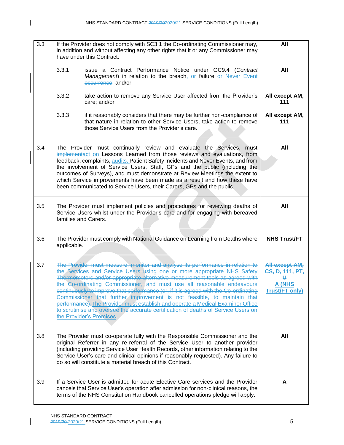$\mathbf{I}$ 

| 3.3 |             | If the Provider does not comply with SC3.1 the Co-ordinating Commissioner may,<br>in addition and without affecting any other rights that it or any Commissioner may<br>have under this Contract:                                                                                                                                                                                                                                                                                                                                                                                                                                                                                          | All                                                                       |
|-----|-------------|--------------------------------------------------------------------------------------------------------------------------------------------------------------------------------------------------------------------------------------------------------------------------------------------------------------------------------------------------------------------------------------------------------------------------------------------------------------------------------------------------------------------------------------------------------------------------------------------------------------------------------------------------------------------------------------------|---------------------------------------------------------------------------|
|     | 3.3.1       | issue a Contract Performance Notice under GC9.4 (Contract<br>Management) in relation to the breach <sub>7</sub> or failure or Never Event<br>eccurrence, and/or                                                                                                                                                                                                                                                                                                                                                                                                                                                                                                                            | All                                                                       |
|     | 3.3.2       | take action to remove any Service User affected from the Provider's<br>care; and/or                                                                                                                                                                                                                                                                                                                                                                                                                                                                                                                                                                                                        | All except AM,<br>111                                                     |
|     | 3.3.3       | if it reasonably considers that there may be further non-compliance of<br>that nature in relation to other Service Users, take action to remove<br>those Service Users from the Provider's care.                                                                                                                                                                                                                                                                                                                                                                                                                                                                                           | All except AM,<br>111                                                     |
| 3.4 |             | The Provider must continually review and evaluate the Services, must<br>implementact on Lessons Learned from those reviews and evaluations, from<br>feedback, complaints, audits. Patient Safety Incidents and Never Events, and from<br>the involvement of Service Users, Staff, GPs and the public (including the<br>outcomes of Surveys), and must demonstrate at Review Meetings the extent to<br>which Service improvements have been made as a result and how these have<br>been communicated to Service Users, their Carers, GPs and the public.                                                                                                                                    | All                                                                       |
| 3.5 |             | The Provider must implement policies and procedures for reviewing deaths of<br>Service Users whilst under the Provider's care and for engaging with bereaved<br>families and Carers.                                                                                                                                                                                                                                                                                                                                                                                                                                                                                                       | All                                                                       |
| 3.6 | applicable. | The Provider must comply with National Guidance on Learning from Deaths where                                                                                                                                                                                                                                                                                                                                                                                                                                                                                                                                                                                                              | <b>NHS Trust/FT</b>                                                       |
| 3.7 |             | The Provider must measure, monitor and analyse its performance in relation to<br>the Services and Service Users using one or more appropriate NHS Safety<br>Thermometers and/or appropriate alternative measurement tools as agreed with<br>the Co-ordinating Commissioner, and must use all reasonable endeavours<br>continuously to improve that performance (or, if it is agreed with the Co-ordinating<br>Commissioner that further improvement is not feasible, to maintain that<br>performance). The Provider must establish and operate a Medical Examiner Office<br>to scrutinise and oversee the accurate certification of deaths of Service Users on<br>the Provider's Premises. | All except AM,<br>CS, D, 111, PT,<br>Ħ<br>A (NHS<br><b>Trust/FT only)</b> |
| 3.8 |             | The Provider must co-operate fully with the Responsible Commissioner and the<br>original Referrer in any re-referral of the Service User to another provider<br>(including providing Service User Health Records, other information relating to the<br>Service User's care and clinical opinions if reasonably requested). Any failure to<br>do so will constitute a material breach of this Contract.                                                                                                                                                                                                                                                                                     | All                                                                       |
| 3.9 |             | If a Service User is admitted for acute Elective Care services and the Provider<br>cancels that Service User's operation after admission for non-clinical reasons, the<br>terms of the NHS Constitution Handbook cancelled operations pledge will apply.                                                                                                                                                                                                                                                                                                                                                                                                                                   | A                                                                         |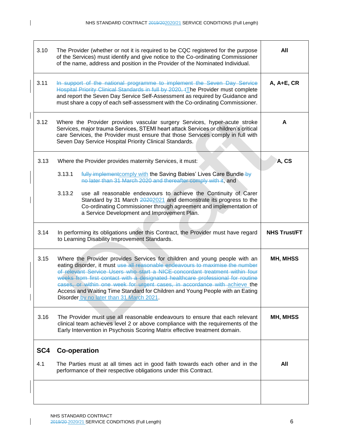$\mathbf I$ 

| 3.10            | The Provider (whether or not it is required to be CQC registered for the purpose<br>of the Services) must identify and give notice to the Co-ordinating Commissioner<br>of the name, address and position in the Provider of the Nominated Individual.                                                                                                                                                                                                                                                                                  | All                 |
|-----------------|-----------------------------------------------------------------------------------------------------------------------------------------------------------------------------------------------------------------------------------------------------------------------------------------------------------------------------------------------------------------------------------------------------------------------------------------------------------------------------------------------------------------------------------------|---------------------|
| 3.11            | In support of the national programme to implement the Seven Day Service<br>Hospital Priority Clinical Standards in full by 2020, tThe Provider must complete<br>and report the Seven Day Service Self-Assessment as required by Guidance and<br>must share a copy of each self-assessment with the Co-ordinating Commissioner.                                                                                                                                                                                                          | A, A+E, CR          |
| 3.12            | Where the Provider provides vascular surgery Services, hyper-acute stroke<br>Services, major trauma Services, STEMI heart attack Services or children's critical<br>care Services, the Provider must ensure that those Services comply in full with<br>Seven Day Service Hospital Priority Clinical Standards.                                                                                                                                                                                                                          | A                   |
| 3.13            | Where the Provider provides maternity Services, it must:<br>3.13.1<br>fully implementcomply with the Saving Babies' Lives Care Bundle-by<br>no later than 31 March 2020 and thereafter comply with it, and                                                                                                                                                                                                                                                                                                                              | A, CS               |
|                 | 3.13.2<br>use all reasonable endeavours to achieve the Continuity of Carer<br>Standard by 31 March 20202021 and demonstrate its progress to the<br>Co-ordinating Commissioner through agreement and implementation of<br>a Service Development and Improvement Plan.                                                                                                                                                                                                                                                                    |                     |
| 3.14            | In performing its obligations under this Contract, the Provider must have regard<br>to Learning Disability Improvement Standards.                                                                                                                                                                                                                                                                                                                                                                                                       | <b>NHS Trust/FT</b> |
| 3.15            | Where the Provider provides Services for children and young people with an<br>eating disorder, it must use all reasonable endeavours to maximise the number<br>of relevant Service Users who start a NICE-concordant treatment within four<br>weeks from first contact with a designated healthcare professional for routine<br>cases, or within one week for urgent cases, in accordance with achieve the<br>Access and Waiting Time Standard for Children and Young People with an Eating<br>Disorder by no later than 31 March 2021. | MH, MHSS            |
| 3.16            | The Provider must use all reasonable endeavours to ensure that each relevant<br>clinical team achieves level 2 or above compliance with the requirements of the<br>Early Intervention in Psychosis Scoring Matrix effective treatment domain.                                                                                                                                                                                                                                                                                           | <b>MH, MHSS</b>     |
| SC <sub>4</sub> | <b>Co-operation</b>                                                                                                                                                                                                                                                                                                                                                                                                                                                                                                                     |                     |
| 4.1             | The Parties must at all times act in good faith towards each other and in the<br>performance of their respective obligations under this Contract.                                                                                                                                                                                                                                                                                                                                                                                       | All                 |
|                 |                                                                                                                                                                                                                                                                                                                                                                                                                                                                                                                                         |                     |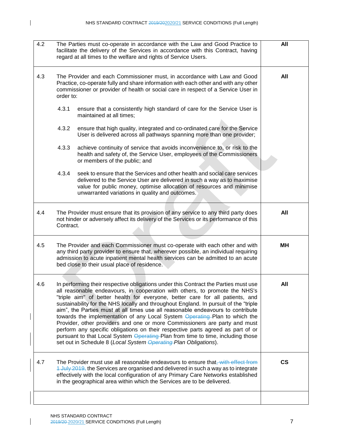$\mathbf{I}$ 

| 4.2 | The Parties must co-operate in accordance with the Law and Good Practice to<br>facilitate the delivery of the Services in accordance with this Contract, having<br>regard at all times to the welfare and rights of Service Users.                                                                                                                                                                                                                                                                                                                                                                                                                                                                                                                                                                                                   | All                      |
|-----|--------------------------------------------------------------------------------------------------------------------------------------------------------------------------------------------------------------------------------------------------------------------------------------------------------------------------------------------------------------------------------------------------------------------------------------------------------------------------------------------------------------------------------------------------------------------------------------------------------------------------------------------------------------------------------------------------------------------------------------------------------------------------------------------------------------------------------------|--------------------------|
| 4.3 | The Provider and each Commissioner must, in accordance with Law and Good<br>Practice, co-operate fully and share information with each other and with any other<br>commissioner or provider of health or social care in respect of a Service User in<br>order to:                                                                                                                                                                                                                                                                                                                                                                                                                                                                                                                                                                    | All                      |
|     | 4.3.1<br>ensure that a consistently high standard of care for the Service User is<br>maintained at all times;                                                                                                                                                                                                                                                                                                                                                                                                                                                                                                                                                                                                                                                                                                                        |                          |
|     | 4.3.2<br>ensure that high quality, integrated and co-ordinated care for the Service<br>User is delivered across all pathways spanning more than one provider;                                                                                                                                                                                                                                                                                                                                                                                                                                                                                                                                                                                                                                                                        |                          |
|     | 4.3.3<br>achieve continuity of service that avoids inconvenience to, or risk to the<br>health and safety of, the Service User, employees of the Commissioners<br>or members of the public; and                                                                                                                                                                                                                                                                                                                                                                                                                                                                                                                                                                                                                                       |                          |
|     | 4.3.4<br>seek to ensure that the Services and other health and social care services<br>delivered to the Service User are delivered in such a way as to maximise<br>value for public money, optimise allocation of resources and minimise<br>unwarranted variations in quality and outcomes.                                                                                                                                                                                                                                                                                                                                                                                                                                                                                                                                          |                          |
| 4.4 | The Provider must ensure that its provision of any service to any third party does<br>not hinder or adversely affect its delivery of the Services or its performance of this<br>Contract.                                                                                                                                                                                                                                                                                                                                                                                                                                                                                                                                                                                                                                            | All                      |
| 4.5 | The Provider and each Commissioner must co-operate with each other and with<br>any third party provider to ensure that, wherever possible, an individual requiring<br>admission to acute inpatient mental health services can be admitted to an acute<br>bed close to their usual place of residence.                                                                                                                                                                                                                                                                                                                                                                                                                                                                                                                                | MН                       |
| 4.6 | In performing their respective obligations under this Contract the Parties must use<br>all reasonable endeavours, in cooperation with others, to promote the NHS's<br>"triple aim" of better health for everyone, better care for all patients, and<br>sustainability for the NHS locally and throughout England. In pursuit of the "triple<br>aim", the Parties must at all times use all reasonable endeavours to contribute<br>towards the implementation of any Local System Operating Plan to which the<br>Provider, other providers and one or more Commissioners are party and must<br>perform any specific obligations on their respective parts agreed as part of or<br>pursuant to that Local System Operating Plan from time to time, including those<br>set out in Schedule 8 (Local System Operating Plan Obligations). | All                      |
| 4.7 | The Provider must use all reasonable endeavours to ensure that, with effect from<br>4 July 2019, the Services are organised and delivered in such a way as to integrate<br>effectively with the local configuration of any Primary Care Networks established<br>in the geographical area within which the Services are to be delivered.                                                                                                                                                                                                                                                                                                                                                                                                                                                                                              | $\mathsf{CS}\phantom{0}$ |
|     |                                                                                                                                                                                                                                                                                                                                                                                                                                                                                                                                                                                                                                                                                                                                                                                                                                      |                          |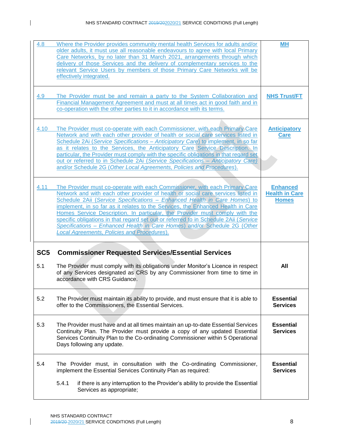$\mathbf{I}$ 

| 4.8             | Where the Provider provides community mental health Services for adults and/or<br>older adults, it must use all reasonable endeavours to agree with local Primary<br>Care Networks, by no later than 31 March 2021, arrangements through which<br>delivery of those Services and the delivery of complementary services to the<br>relevant Service Users by members of those Primary Care Networks will be<br>effectively integrated.                                                                                                                                                                                              | <b>MH</b>                                                |
|-----------------|------------------------------------------------------------------------------------------------------------------------------------------------------------------------------------------------------------------------------------------------------------------------------------------------------------------------------------------------------------------------------------------------------------------------------------------------------------------------------------------------------------------------------------------------------------------------------------------------------------------------------------|----------------------------------------------------------|
| 4.9             | The Provider must be and remain a party to the System Collaboration and<br>Financial Management Agreement and must at all times act in good faith and in<br>co-operation with the other parties to it in accordance with its terms.                                                                                                                                                                                                                                                                                                                                                                                                | <b>NHS Trust/FT</b>                                      |
| 4.10            | The Provider must co-operate with each Commissioner, with each Primary Care<br>Network and with each other provider of health or social care services listed in<br>Schedule 2Ai (Service Specifications - Anticipatory Care) to implement, in so far<br>as it relates to the Services, the Anticipatory Care Service Description. In<br>particular, the Provider must comply with the specific obligations in that regard set<br>out or referred to in Schedule 2Ai (Service Specifications - Anticipatory Care)<br>and/or Schedule 2G (Other Local Agreements, Policies and Procedures).                                          | <b>Anticipatory</b><br><b>Care</b>                       |
| 4.11            | The Provider must co-operate with each Commissioner, with each Primary Care<br>Network and with each other provider of health or social care services listed in<br>Schedule 2Aii (Service Specifications - Enhanced Health in Care Homes) to<br>implement, in so far as it relates to the Services, the Enhanced Health in Care<br>Homes Service Description. In particular, the Provider must comply with the<br>specific obligations in that regard set out or referred to in Schedule 2Aii (Service<br>Specifications - Enhanced Health in Care Homes) and/or Schedule 2G (Other<br>Local Agreements, Policies and Procedures). | <b>Enhanced</b><br><b>Health in Care</b><br><b>Homes</b> |
| SC <sub>5</sub> | <b>Commissioner Requested Services/Essential Services</b>                                                                                                                                                                                                                                                                                                                                                                                                                                                                                                                                                                          |                                                          |
| 5.1             | The Provider must comply with its obligations under Monitor's Licence in respect<br>of any Services designated as CRS by any Commissioner from time to time in<br>accordance with CRS Guidance.                                                                                                                                                                                                                                                                                                                                                                                                                                    | All                                                      |
| 5.2             | The Provider must maintain its ability to provide, and must ensure that it is able to<br>offer to the Commissioners, the Essential Services.                                                                                                                                                                                                                                                                                                                                                                                                                                                                                       | <b>Essential</b><br><b>Services</b>                      |
| 5.3             | The Provider must have and at all times maintain an up-to-date Essential Services<br>Continuity Plan. The Provider must provide a copy of any updated Essential<br>Services Continuity Plan to the Co-ordinating Commissioner within 5 Operational<br>Days following any update.                                                                                                                                                                                                                                                                                                                                                   | <b>Essential</b><br><b>Services</b>                      |
| 5.4             | The Provider must, in consultation with the Co-ordinating Commissioner,<br>implement the Essential Services Continuity Plan as required:                                                                                                                                                                                                                                                                                                                                                                                                                                                                                           | <b>Essential</b><br><b>Services</b>                      |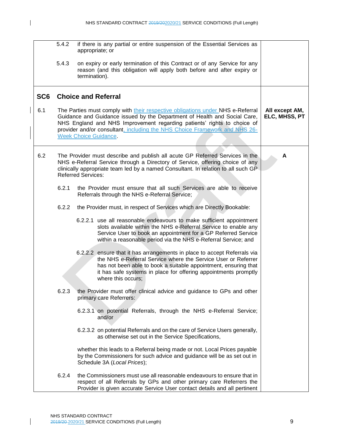$\mathbf I$ 

|                 | 5.4.2 | if there is any partial or entire suspension of the Essential Services as<br>appropriate; or                                                                                                                                                                                                                                                         |                                 |
|-----------------|-------|------------------------------------------------------------------------------------------------------------------------------------------------------------------------------------------------------------------------------------------------------------------------------------------------------------------------------------------------------|---------------------------------|
|                 | 5.4.3 | on expiry or early termination of this Contract or of any Service for any<br>reason (and this obligation will apply both before and after expiry or<br>termination).                                                                                                                                                                                 |                                 |
| SC <sub>6</sub> |       | <b>Choice and Referral</b>                                                                                                                                                                                                                                                                                                                           |                                 |
| 6.1             |       | The Parties must comply with their respective obligations under NHS e-Referral<br>Guidance and Guidance issued by the Department of Health and Social Care,<br>NHS England and NHS Improvement regarding patients' rights to choice of<br>provider and/or consultant, including the NHS Choice Framework and NHS 26-<br><b>Week Choice Guidance.</b> | All except AM,<br>ELC, MHSS, PT |
| 6.2             |       | The Provider must describe and publish all acute GP Referred Services in the<br>NHS e-Referral Service through a Directory of Service, offering choice of any<br>clinically appropriate team led by a named Consultant. In relation to all such GP<br><b>Referred Services:</b>                                                                      | А                               |
|                 | 6.2.1 | the Provider must ensure that all such Services are able to receive<br>Referrals through the NHS e-Referral Service;                                                                                                                                                                                                                                 |                                 |
|                 | 6.2.2 | the Provider must, in respect of Services which are Directly Bookable:                                                                                                                                                                                                                                                                               |                                 |
|                 |       | 6.2.2.1 use all reasonable endeavours to make sufficient appointment<br>slots available within the NHS e-Referral Service to enable any<br>Service User to book an appointment for a GP Referred Service<br>within a reasonable period via the NHS e-Referral Service; and                                                                           |                                 |
|                 |       | 6.2.2.2 ensure that it has arrangements in place to accept Referrals via<br>the NHS e-Referral Service where the Service User or Referrer<br>has not been able to book a suitable appointment, ensuring that<br>it has safe systems in place for offering appointments promptly<br>where this occurs;                                                |                                 |
|                 | 6.2.3 | the Provider must offer clinical advice and guidance to GPs and other<br>primary care Referrers:                                                                                                                                                                                                                                                     |                                 |
|                 |       | 6.2.3.1 on potential Referrals, through the NHS e-Referral Service;<br>and/or                                                                                                                                                                                                                                                                        |                                 |
|                 |       | 6.2.3.2 on potential Referrals and on the care of Service Users generally,<br>as otherwise set out in the Service Specifications,                                                                                                                                                                                                                    |                                 |
|                 |       | whether this leads to a Referral being made or not. Local Prices payable<br>by the Commissioners for such advice and guidance will be as set out in<br>Schedule 3A (Local Prices);                                                                                                                                                                   |                                 |
|                 | 6.2.4 | the Commissioners must use all reasonable endeavours to ensure that in<br>respect of all Referrals by GPs and other primary care Referrers the<br>Provider is given accurate Service User contact details and all pertinent                                                                                                                          |                                 |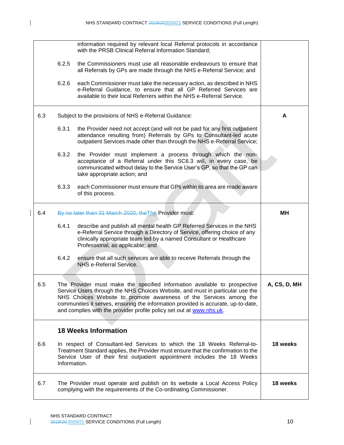|     | information required by relevant local Referral protocols in accordance<br>with the PRSB Clinical Referral Information Standard;                                                                                                                                                                                                                                                              |              |
|-----|-----------------------------------------------------------------------------------------------------------------------------------------------------------------------------------------------------------------------------------------------------------------------------------------------------------------------------------------------------------------------------------------------|--------------|
|     | the Commissioners must use all reasonable endeavours to ensure that<br>6.2.5<br>all Referrals by GPs are made through the NHS e-Referral Service; and                                                                                                                                                                                                                                         |              |
|     | 6.2.6<br>each Commissioner must take the necessary action, as described in NHS<br>e-Referral Guidance, to ensure that all GP Referred Services are<br>available to their local Referrers within the NHS e-Referral Service.                                                                                                                                                                   |              |
| 6.3 | Subject to the provisions of NHS e-Referral Guidance:                                                                                                                                                                                                                                                                                                                                         | A            |
|     | 6.3.1<br>the Provider need not accept (and will not be paid for any first outpatient<br>attendance resulting from) Referrals by GPs to Consultant-led acute<br>outpatient Services made other than through the NHS e-Referral Service;                                                                                                                                                        |              |
|     | 6.3.2<br>the Provider must implement a process through which the non-<br>acceptance of a Referral under this SC6.3 will, in every case, be<br>communicated without delay to the Service User's GP, so that the GP can<br>take appropriate action; and                                                                                                                                         |              |
|     | 6.3.3<br>each Commissioner must ensure that GPs within its area are made aware<br>of this process.                                                                                                                                                                                                                                                                                            |              |
| 6.4 | By no later than 31 March 2020, the The Provider must:                                                                                                                                                                                                                                                                                                                                        | MН           |
|     | 6.4.1<br>describe and publish all mental health GP Referred Services in the NHS<br>e-Referral Service through a Directory of Service, offering choice of any<br>clinically appropriate team led by a named Consultant or Healthcare<br>Professional, as applicable; and                                                                                                                       |              |
|     | 6.4.2<br>ensure that all such services are able to receive Referrals through the<br>NHS e-Referral Service.                                                                                                                                                                                                                                                                                   |              |
| 6.5 | The Provider must make the specified information available to prospective<br>Service Users through the NHS Choices Website, and must in particular use the<br>NHS Choices Website to promote awareness of the Services among the<br>communities it serves, ensuring the information provided is accurate, up-to-date,<br>and complies with the provider profile policy set out at www.nhs.uk. | A, CS, D, MH |
|     | <b>18 Weeks Information</b>                                                                                                                                                                                                                                                                                                                                                                   |              |
| 6.6 | In respect of Consultant-led Services to which the 18 Weeks Referral-to-<br>Treatment Standard applies, the Provider must ensure that the confirmation to the<br>Service User of their first outpatient appointment includes the 18 Weeks<br>Information.                                                                                                                                     | 18 weeks     |
| 6.7 | The Provider must operate and publish on its website a Local Access Policy<br>complying with the requirements of the Co-ordinating Commissioner.                                                                                                                                                                                                                                              | 18 weeks     |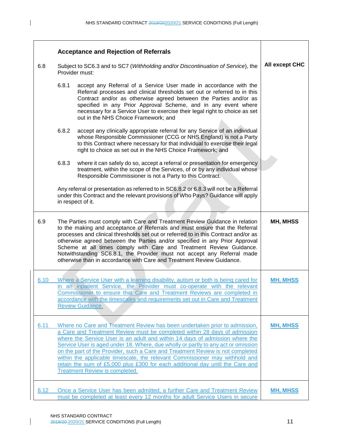$\mathbf I$ 

|      | <b>Acceptance and Rejection of Referrals</b>                                                       |                                                                                                                                                                                                                                                                                                                                                                                                                                                                                                                                                                                                                         |                 |
|------|----------------------------------------------------------------------------------------------------|-------------------------------------------------------------------------------------------------------------------------------------------------------------------------------------------------------------------------------------------------------------------------------------------------------------------------------------------------------------------------------------------------------------------------------------------------------------------------------------------------------------------------------------------------------------------------------------------------------------------------|-----------------|
| 6.8  | Subject to SC6.3 and to SC7 (Withholding and/or Discontinuation of Service), the<br>Provider must: |                                                                                                                                                                                                                                                                                                                                                                                                                                                                                                                                                                                                                         | All except CHC  |
|      | 6.8.1                                                                                              | accept any Referral of a Service User made in accordance with the<br>Referral processes and clinical thresholds set out or referred to in this<br>Contract and/or as otherwise agreed between the Parties and/or as<br>specified in any Prior Approval Scheme, and in any event where<br>necessary for a Service User to exercise their legal right to choice as set<br>out in the NHS Choice Framework; and                                                                                                                                                                                                            |                 |
|      | 6.8.2                                                                                              | accept any clinically appropriate referral for any Service of an individual<br>whose Responsible Commissioner (CCG or NHS England) is not a Party<br>to this Contract where necessary for that individual to exercise their legal<br>right to choice as set out in the NHS Choice Framework; and                                                                                                                                                                                                                                                                                                                        |                 |
|      | 6.8.3                                                                                              | where it can safely do so, accept a referral or presentation for emergency<br>treatment, within the scope of the Services, of or by any individual whose<br>Responsible Commissioner is not a Party to this Contract.                                                                                                                                                                                                                                                                                                                                                                                                   |                 |
|      |                                                                                                    | Any referral or presentation as referred to in SC6.8.2 or 6.8.3 will not be a Referral<br>under this Contract and the relevant provisions of Who Pays? Guidance will apply<br>in respect of it.                                                                                                                                                                                                                                                                                                                                                                                                                         |                 |
| 6.9  |                                                                                                    | The Parties must comply with Care and Treatment Review Guidance in relation<br>to the making and acceptance of Referrals and must ensure that the Referral<br>processes and clinical thresholds set out or referred to in this Contract and/or as<br>otherwise agreed between the Parties and/or specified in any Prior Approval<br>Scheme at all times comply with Care and Treatment Review Guidance.<br>Notwithstanding SC6.8.1, the Provider must not accept any Referral made<br>otherwise than in accordance with Care and Treatment Review Guidance.                                                             | MH, MHSS        |
| 6.10 |                                                                                                    | Where a Service User with a learning disability, autism or both is being cared for<br>in an inpatient Service, the Provider must co-operate with the relevant<br>Commissioner to ensure that Care and Treatment Reviews are completed in<br>accordance with the timescales and requirements set out in Care and Treatment<br><b>Review Guidance.</b>                                                                                                                                                                                                                                                                    | <b>MH, MHSS</b> |
| 6.11 |                                                                                                    | Where no Care and Treatment Review has been undertaken prior to admission,<br>a Care and Treatment Review must be completed within 28 days of admission<br>where the Service User is an adult and within 14 days of admission where the<br>Service User is aged under 18. Where, due wholly or partly to any act or omission<br>on the part of the Provider, such a Care and Treatment Review is not completed<br>within the applicable timescale, the relevant Commissioner may withhold and<br>retain the sum of £5,000 plus £300 for each additional day until the Care and<br><b>Treatment Review is completed.</b> | <b>MH, MHSS</b> |
| 6.12 |                                                                                                    | Once a Service User has been admitted, a further Care and Treatment Review<br>must be completed at least every 12 months for adult Service Users in secure                                                                                                                                                                                                                                                                                                                                                                                                                                                              | <b>MH, MHSS</b> |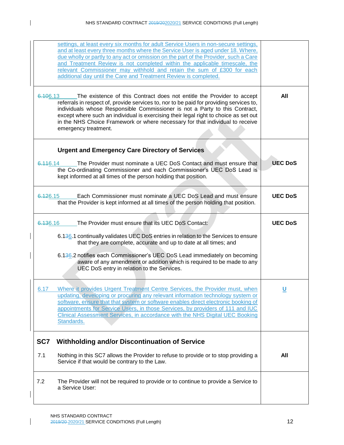| settings, at least every six months for adult Service Users in non-secure settings,<br>and at least every three months where the Service User is aged under 18. Where,<br>due wholly or partly to any act or omission on the part of the Provider, such a Care<br>and Treatment Review is not completed within the applicable timescale, the<br>relevant Commissioner may withhold and retain the sum of £300 for each<br>additional day until the Care and Treatment Review is completed. |                |
|--------------------------------------------------------------------------------------------------------------------------------------------------------------------------------------------------------------------------------------------------------------------------------------------------------------------------------------------------------------------------------------------------------------------------------------------------------------------------------------------|----------------|
| 6.106.13<br>The existence of this Contract does not entitle the Provider to accept<br>referrals in respect of, provide services to, nor to be paid for providing services to,<br>individuals whose Responsible Commissioner is not a Party to this Contract,<br>except where such an individual is exercising their legal right to choice as set out<br>in the NHS Choice Framework or where necessary for that individual to receive<br>emergency treatment.                              | All            |
| <b>Urgent and Emergency Care Directory of Services</b>                                                                                                                                                                                                                                                                                                                                                                                                                                     |                |
| The Provider must nominate a UEC DoS Contact and must ensure that<br>6.446.14<br>the Co-ordinating Commissioner and each Commissioner's UEC DoS Lead is<br>kept informed at all times of the person holding that position.                                                                                                                                                                                                                                                                 | <b>UEC DoS</b> |
| 6.126.15<br>Each Commissioner must nominate a UEC DoS Lead and must ensure<br>that the Provider is kept informed at all times of the person holding that position.                                                                                                                                                                                                                                                                                                                         | <b>UEC DoS</b> |
| The Provider must ensure that its UEC DoS Contact:<br>6.136.16                                                                                                                                                                                                                                                                                                                                                                                                                             | <b>UEC DoS</b> |
| 6.136.1 continually validates UEC DoS entries in relation to the Services to ensure<br>that they are complete, accurate and up to date at all times; and                                                                                                                                                                                                                                                                                                                                   |                |
| 6.136.2 notifies each Commissioner's UEC DoS Lead immediately on becoming<br>aware of any amendment or addition which is required to be made to any<br>UEC DoS entry in relation to the Services.                                                                                                                                                                                                                                                                                          |                |
| Where it provides Urgent Treatment Centre Services, the Provider must, when<br>6.17<br>updating, developing or procuring any relevant information technology system or<br>software, ensure that that system or software enables direct electronic booking of<br>appointments for Service Users, in those Services, by providers of 111 and IUC<br>Clinical Assessment Services, in accordance with the NHS Digital UEC Booking<br>Standards.                                               |                |
| <b>Withholding and/or Discontinuation of Service</b><br>SC7                                                                                                                                                                                                                                                                                                                                                                                                                                |                |
| 7.1<br>Nothing in this SC7 allows the Provider to refuse to provide or to stop providing a<br>Service if that would be contrary to the Law.                                                                                                                                                                                                                                                                                                                                                | All            |
| 7.2<br>The Provider will not be required to provide or to continue to provide a Service to<br>a Service User:                                                                                                                                                                                                                                                                                                                                                                              |                |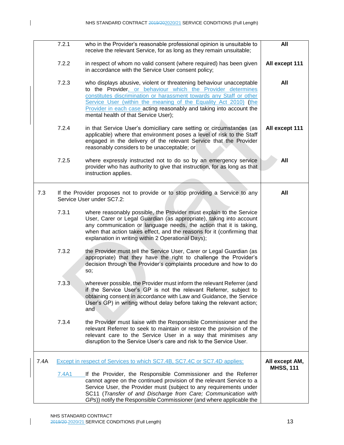|      | 7.2.1 | who in the Provider's reasonable professional opinion is unsuitable to<br>receive the relevant Service, for as long as they remain unsuitable;                                                                                                                                                                                                                                              | All                                |
|------|-------|---------------------------------------------------------------------------------------------------------------------------------------------------------------------------------------------------------------------------------------------------------------------------------------------------------------------------------------------------------------------------------------------|------------------------------------|
|      | 7.2.2 | in respect of whom no valid consent (where required) has been given<br>in accordance with the Service User consent policy;                                                                                                                                                                                                                                                                  | All except 111                     |
|      | 7.2.3 | who displays abusive, violent or threatening behaviour unacceptable<br>to the Provider, or behaviour which the Provider determines<br>constitutes discrimination or harassment towards any Staff or other<br>Service User (within the meaning of the Equality Act 2010) (the<br>Provider in each case acting reasonably and taking into account the<br>mental health of that Service User); | All                                |
|      | 7.2.4 | in that Service User's domiciliary care setting or circumstances (as<br>applicable) where that environment poses a level of risk to the Staff<br>engaged in the delivery of the relevant Service that the Provider<br>reasonably considers to be unacceptable; or                                                                                                                           | All except 111                     |
|      | 7.2.5 | where expressly instructed not to do so by an emergency service<br>provider who has authority to give that instruction, for as long as that<br>instruction applies.                                                                                                                                                                                                                         | All                                |
| 7.3  |       | If the Provider proposes not to provide or to stop providing a Service to any<br>Service User under SC7.2:                                                                                                                                                                                                                                                                                  | All                                |
|      | 7.3.1 | where reasonably possible, the Provider must explain to the Service<br>User, Carer or Legal Guardian (as appropriate), taking into account<br>any communication or language needs, the action that it is taking,<br>when that action takes effect, and the reasons for it (confirming that<br>explanation in writing within 2 Operational Days);                                            |                                    |
|      | 7.3.2 | the Provider must tell the Service User, Carer or Legal Guardian (as<br>appropriate) that they have the right to challenge the Provider's<br>decision through the Provider's complaints procedure and how to do<br>SO;                                                                                                                                                                      |                                    |
|      | 7.3.3 | wherever possible, the Provider must inform the relevant Referrer (and<br>if the Service User's GP is not the relevant Referrer, subject to<br>obtaining consent in accordance with Law and Guidance, the Service<br>User's GP) in writing without delay before taking the relevant action;<br>and                                                                                          |                                    |
|      | 7.3.4 | the Provider must liaise with the Responsible Commissioner and the<br>relevant Referrer to seek to maintain or restore the provision of the<br>relevant care to the Service User in a way that minimises any<br>disruption to the Service User's care and risk to the Service User.                                                                                                         |                                    |
| 7.4A |       | Except in respect of Services to which SC7.4B, SC7.4C or SC7.4D applies:                                                                                                                                                                                                                                                                                                                    | All except AM,<br><b>MHSS, 111</b> |
|      | 7.4A1 | If the Provider, the Responsible Commissioner and the Referrer<br>cannot agree on the continued provision of the relevant Service to a<br>Service User, the Provider must (subject to any requirements under<br>SC11 (Transfer of and Discharge from Care; Communication with                                                                                                               |                                    |
|      |       | GPs)) notify the Responsible Commissioner (and where applicable the                                                                                                                                                                                                                                                                                                                         |                                    |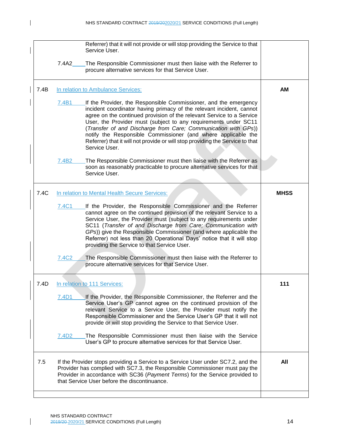|      | Referrer) that it will not provide or will stop providing the Service to that<br>Service User.                                                                                                                                                                                                                                                                                                                                                                                                                                     |             |
|------|------------------------------------------------------------------------------------------------------------------------------------------------------------------------------------------------------------------------------------------------------------------------------------------------------------------------------------------------------------------------------------------------------------------------------------------------------------------------------------------------------------------------------------|-------------|
|      | 7.4A2<br>The Responsible Commissioner must then liaise with the Referrer to<br>procure alternative services for that Service User.                                                                                                                                                                                                                                                                                                                                                                                                 |             |
| 7.4B | In relation to Ambulance Services:                                                                                                                                                                                                                                                                                                                                                                                                                                                                                                 | AM          |
|      | 7.4B1<br>If the Provider, the Responsible Commissioner, and the emergency<br>incident coordinator having primacy of the relevant incident, cannot<br>agree on the continued provision of the relevant Service to a Service<br>User, the Provider must (subject to any requirements under SC11<br>(Transfer of and Discharge from Care; Communication with GPs))<br>notify the Responsible Commissioner (and where applicable the<br>Referrer) that it will not provide or will stop providing the Service to that<br>Service User. |             |
|      | 7.4B <sub>2</sub><br>The Responsible Commissioner must then liaise with the Referrer as<br>soon as reasonably practicable to procure alternative services for that<br>Service User.                                                                                                                                                                                                                                                                                                                                                |             |
| 7.4C | In relation to Mental Health Secure Services:                                                                                                                                                                                                                                                                                                                                                                                                                                                                                      | <b>MHSS</b> |
|      | 7.4C1<br>If the Provider, the Responsible Commissioner and the Referrer<br>cannot agree on the continued provision of the relevant Service to a<br>Service User, the Provider must (subject to any requirements under<br>SC11 (Transfer of and Discharge from Care; Communication with<br>GPs)) give the Responsible Commissioner (and where applicable the<br>Referrer) not less than 20 Operational Days' notice that it will stop<br>providing the Service to that Service User.                                                |             |
|      | 7.4C <sub>2</sub><br>The Responsible Commissioner must then liaise with the Referrer to<br>procure alternative services for that Service User.                                                                                                                                                                                                                                                                                                                                                                                     |             |
| 7.4D | In relation to 111 Services:                                                                                                                                                                                                                                                                                                                                                                                                                                                                                                       | 111         |
|      | 7.4D1<br>If the Provider, the Responsible Commissioner, the Referrer and the<br>Service User's GP cannot agree on the continued provision of the<br>relevant Service to a Service User, the Provider must notify the<br>Responsible Commissioner and the Service User's GP that it will not<br>provide or will stop providing the Service to that Service User.                                                                                                                                                                    |             |
|      | The Responsible Commissioner must then liaise with the Service<br>7.4D <sub>2</sub><br>User's GP to procure alternative services for that Service User.                                                                                                                                                                                                                                                                                                                                                                            |             |
| 7.5  | If the Provider stops providing a Service to a Service User under SC7.2, and the<br>Provider has complied with SC7.3, the Responsible Commissioner must pay the<br>Provider in accordance with SC36 (Payment Terms) for the Service provided to<br>that Service User before the discontinuance.                                                                                                                                                                                                                                    | All         |
|      |                                                                                                                                                                                                                                                                                                                                                                                                                                                                                                                                    |             |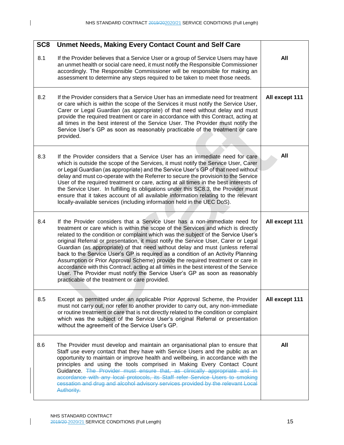| SC <sub>8</sub> | <b>Unmet Needs, Making Every Contact Count and Self Care</b>                                                                                                                                                                                                                                                                                                                                                                                                                                                                                                                                                                                                                                                                                                                                                                 |                |
|-----------------|------------------------------------------------------------------------------------------------------------------------------------------------------------------------------------------------------------------------------------------------------------------------------------------------------------------------------------------------------------------------------------------------------------------------------------------------------------------------------------------------------------------------------------------------------------------------------------------------------------------------------------------------------------------------------------------------------------------------------------------------------------------------------------------------------------------------------|----------------|
| 8.1             | If the Provider believes that a Service User or a group of Service Users may have<br>an unmet health or social care need, it must notify the Responsible Commissioner<br>accordingly. The Responsible Commissioner will be responsible for making an<br>assessment to determine any steps required to be taken to meet those needs.                                                                                                                                                                                                                                                                                                                                                                                                                                                                                          | All            |
| 8.2             | If the Provider considers that a Service User has an immediate need for treatment<br>or care which is within the scope of the Services it must notify the Service User,<br>Carer or Legal Guardian (as appropriate) of that need without delay and must<br>provide the required treatment or care in accordance with this Contract, acting at<br>all times in the best interest of the Service User. The Provider must notify the<br>Service User's GP as soon as reasonably practicable of the treatment or care<br>provided.                                                                                                                                                                                                                                                                                               | All except 111 |
| 8.3             | If the Provider considers that a Service User has an immediate need for care<br>which is outside the scope of the Services, it must notify the Service User, Carer<br>or Legal Guardian (as appropriate) and the Service User's GP of that need without<br>delay and must co-operate with the Referrer to secure the provision to the Service<br>User of the required treatment or care, acting at all times in the best interests of<br>the Service User. In fulfilling its obligations under this SC8.3, the Provider must<br>ensure that it takes account of all available information relating to the relevant<br>locally-available services (including information held in the UEC DoS).                                                                                                                                | All            |
| 8.4             | If the Provider considers that a Service User has a non-immediate need for<br>treatment or care which is within the scope of the Services and which is directly<br>related to the condition or complaint which was the subject of the Service User's<br>original Referral or presentation, it must notify the Service User, Carer or Legal<br>Guardian (as appropriate) of that need without delay and must (unless referral<br>back to the Service User's GP is required as a condition of an Activity Planning<br>Assumption or Prior Approval Scheme) provide the required treatment or care in<br>accordance with this Contract, acting at all times in the best interest of the Service<br>User. The Provider must notify the Service User's GP as soon as reasonably<br>practicable of the treatment or care provided. | All except 111 |
| 8.5             | Except as permitted under an applicable Prior Approval Scheme, the Provider<br>must not carry out, nor refer to another provider to carry out, any non-immediate<br>or routine treatment or care that is not directly related to the condition or complaint<br>which was the subject of the Service User's original Referral or presentation<br>without the agreement of the Service User's GP.                                                                                                                                                                                                                                                                                                                                                                                                                              | All except 111 |
| 8.6             | The Provider must develop and maintain an organisational plan to ensure that<br>Staff use every contact that they have with Service Users and the public as an<br>opportunity to maintain or improve health and wellbeing, in accordance with the<br>principles and using the tools comprised in Making Every Contact Count<br>Guidance. The Provider must ensure that, as clinically appropriate and in<br>accordance with any local protocols, its Staff refer Service Users to smoking<br>cessation and drug and alcohol advisory services provided by the relevant Local<br>Authority.                                                                                                                                                                                                                                   | All            |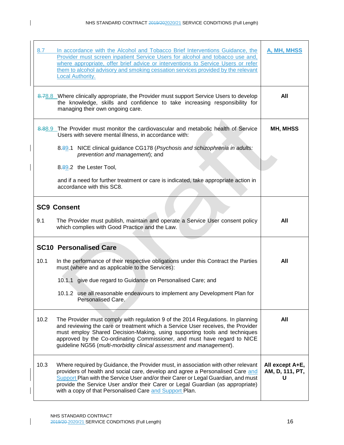| 8.7  | In accordance with the Alcohol and Tobacco Brief Interventions Guidance, the<br>Provider must screen inpatient Service Users for alcohol and tobacco use and,<br>where appropriate, offer brief advice or interventions to Service Users or refer<br>them to alcohol advisory and smoking cessation services provided by the relevant<br><b>Local Authority.</b>                                      | A, MH, MHSS                             |
|------|-------------------------------------------------------------------------------------------------------------------------------------------------------------------------------------------------------------------------------------------------------------------------------------------------------------------------------------------------------------------------------------------------------|-----------------------------------------|
|      | 8.78.8 Where clinically appropriate, the Provider must support Service Users to develop<br>the knowledge, skills and confidence to take increasing responsibility for<br>managing their own ongoing care.                                                                                                                                                                                             | All                                     |
|      | 8.88.9 The Provider must monitor the cardiovascular and metabolic health of Service<br>Users with severe mental illness, in accordance with:                                                                                                                                                                                                                                                          | MH, MHSS                                |
|      | 8.89.1 NICE clinical guidance CG178 (Psychosis and schizophrenia in adults:<br>prevention and management); and                                                                                                                                                                                                                                                                                        |                                         |
|      | 8.89.2 the Lester Tool,                                                                                                                                                                                                                                                                                                                                                                               |                                         |
|      | and if a need for further treatment or care is indicated, take appropriate action in<br>accordance with this SC8.                                                                                                                                                                                                                                                                                     |                                         |
|      | <b>SC9 Consent</b>                                                                                                                                                                                                                                                                                                                                                                                    |                                         |
| 9.1  | The Provider must publish, maintain and operate a Service User consent policy<br>which complies with Good Practice and the Law.                                                                                                                                                                                                                                                                       | All                                     |
|      | <b>SC10 Personalised Care</b>                                                                                                                                                                                                                                                                                                                                                                         |                                         |
| 10.1 | In the performance of their respective obligations under this Contract the Parties<br>must (where and as applicable to the Services):                                                                                                                                                                                                                                                                 | All                                     |
|      | 10.1.1 give due regard to Guidance on Personalised Care; and                                                                                                                                                                                                                                                                                                                                          |                                         |
|      | 10.1.2 use all reasonable endeavours to implement any Development Plan for<br>Personalised Care.                                                                                                                                                                                                                                                                                                      |                                         |
| 10.2 | The Provider must comply with regulation 9 of the 2014 Regulations. In planning<br>and reviewing the care or treatment which a Service User receives, the Provider<br>must employ Shared Decision-Making, using supporting tools and techniques<br>approved by the Co-ordinating Commissioner, and must have regard to NICE<br>guideline NG56 (multi-morbidity clinical assessment and management).   | All                                     |
| 10.3 | Where required by Guidance, the Provider must, in association with other relevant<br>providers of health and social care, develop and agree a Personalised Care and<br>Support Plan with the Service User and/or their Carer or Legal Guardian, and must<br>provide the Service User and/or their Carer or Legal Guardian (as appropriate)<br>with a copy of that Personalised Care and Support Plan. | All except A+E,<br>AM, D, 111, PT,<br>U |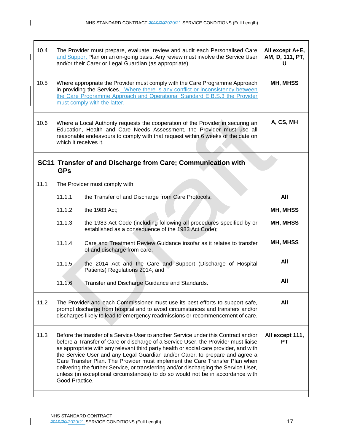$\mathbf{I}$ 

| 10.4 | The Provider must prepare, evaluate, review and audit each Personalised Care<br>and Support Plan on an on-going basis. Any review must involve the Service User<br>and/or their Carer or Legal Guardian (as appropriate).                                                                                                                                                                                                                                                                                                                                                                                                     | All except A+E,<br>AM, D, 111, PT,<br>U                                                                                      |          |
|------|-------------------------------------------------------------------------------------------------------------------------------------------------------------------------------------------------------------------------------------------------------------------------------------------------------------------------------------------------------------------------------------------------------------------------------------------------------------------------------------------------------------------------------------------------------------------------------------------------------------------------------|------------------------------------------------------------------------------------------------------------------------------|----------|
| 10.5 | Where appropriate the Provider must comply with the Care Programme Approach<br>in providing the Services. Where there is any conflict or inconsistency between<br>the Care Programme Approach and Operational Standard E.B.S.3 the Provider<br>must comply with the latter.                                                                                                                                                                                                                                                                                                                                                   | MH, MHSS                                                                                                                     |          |
| 10.6 | Where a Local Authority requests the cooperation of the Provider in securing an<br>Education, Health and Care Needs Assessment, the Provider must use all<br>reasonable endeavours to comply with that request within 6 weeks of the date on<br>which it receives it.                                                                                                                                                                                                                                                                                                                                                         | A, CS, MH                                                                                                                    |          |
|      | <b>GPs</b>                                                                                                                                                                                                                                                                                                                                                                                                                                                                                                                                                                                                                    | SC11 Transfer of and Discharge from Care; Communication with                                                                 |          |
| 11.1 |                                                                                                                                                                                                                                                                                                                                                                                                                                                                                                                                                                                                                               | The Provider must comply with:                                                                                               |          |
|      | 11.1.1                                                                                                                                                                                                                                                                                                                                                                                                                                                                                                                                                                                                                        | the Transfer of and Discharge from Care Protocols;                                                                           | All      |
|      | 11.1.2                                                                                                                                                                                                                                                                                                                                                                                                                                                                                                                                                                                                                        | the 1983 Act;                                                                                                                | MH, MHSS |
|      | 11.1.3                                                                                                                                                                                                                                                                                                                                                                                                                                                                                                                                                                                                                        | the 1983 Act Code (including following all procedures specified by or<br>established as a consequence of the 1983 Act Code); | MH, MHSS |
|      | 11.1.4                                                                                                                                                                                                                                                                                                                                                                                                                                                                                                                                                                                                                        | Care and Treatment Review Guidance insofar as it relates to transfer<br>of and discharge from care;                          | MH, MHSS |
|      | 11.1.5                                                                                                                                                                                                                                                                                                                                                                                                                                                                                                                                                                                                                        | the 2014 Act and the Care and Support (Discharge of Hospital<br>Patients) Regulations 2014; and                              | All      |
|      | 11.1.6                                                                                                                                                                                                                                                                                                                                                                                                                                                                                                                                                                                                                        | Transfer and Discharge Guidance and Standards.                                                                               | All      |
| 11.2 | The Provider and each Commissioner must use its best efforts to support safe,<br>prompt discharge from hospital and to avoid circumstances and transfers and/or<br>discharges likely to lead to emergency readmissions or recommencement of care.                                                                                                                                                                                                                                                                                                                                                                             | All                                                                                                                          |          |
| 11.3 | Before the transfer of a Service User to another Service under this Contract and/or<br>before a Transfer of Care or discharge of a Service User, the Provider must liaise<br>as appropriate with any relevant third party health or social care provider, and with<br>the Service User and any Legal Guardian and/or Carer, to prepare and agree a<br>Care Transfer Plan. The Provider must implement the Care Transfer Plan when<br>delivering the further Service, or transferring and/or discharging the Service User,<br>unless (in exceptional circumstances) to do so would not be in accordance with<br>Good Practice. | All except 111,<br>PТ                                                                                                        |          |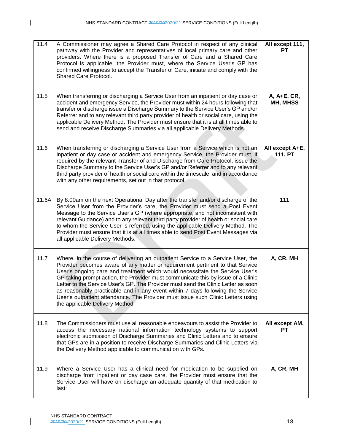| 11.4  | A Commissioner may agree a Shared Care Protocol in respect of any clinical<br>pathway with the Provider and representatives of local primary care and other<br>providers. Where there is a proposed Transfer of Care and a Shared Care<br>Protocol is applicable, the Provider must, where the Service User's GP has<br>confirmed willingness to accept the Transfer of Care, initiate and comply with the<br>Shared Care Protocol.                                                                                                                                                                                               | All except 111,<br>PТ      |
|-------|-----------------------------------------------------------------------------------------------------------------------------------------------------------------------------------------------------------------------------------------------------------------------------------------------------------------------------------------------------------------------------------------------------------------------------------------------------------------------------------------------------------------------------------------------------------------------------------------------------------------------------------|----------------------------|
| 11.5  | When transferring or discharging a Service User from an inpatient or day case or<br>accident and emergency Service, the Provider must within 24 hours following that<br>transfer or discharge issue a Discharge Summary to the Service User's GP and/or<br>Referrer and to any relevant third party provider of health or social care, using the<br>applicable Delivery Method. The Provider must ensure that it is at all times able to<br>send and receive Discharge Summaries via all applicable Delivery Methods.                                                                                                             | A, A+E, CR,<br>MH, MHSS    |
| 11.6  | When transferring or discharging a Service User from a Service which is not an<br>inpatient or day case or accident and emergency Service, the Provider must, if<br>required by the relevant Transfer of and Discharge from Care Protocol, issue the<br>Discharge Summary to the Service User's GP and/or Referrer and to any relevant<br>third party provider of health or social care within the timescale, and in accordance<br>with any other requirements, set out in that protocol.                                                                                                                                         | All except A+E,<br>111, PT |
| 11.6A | By 8.00am on the next Operational Day after the transfer and/or discharge of the<br>Service User from the Provider's care, the Provider must send a Post Event<br>Message to the Service User's GP (where appropriate, and not inconsistent with<br>relevant Guidance) and to any relevant third party provider of health or social care<br>to whom the Service User is referred, using the applicable Delivery Method. The<br>Provider must ensure that it is at all times able to send Post Event Messages via<br>all applicable Delivery Methods.                                                                              | 111                        |
| 11.7  | Where, in the course of delivering an outpatient Service to a Service User, the<br>Provider becomes aware of any matter or requirement pertinent to that Service<br>User's ongoing care and treatment which would necessitate the Service User's<br>GP taking prompt action, the Provider must communicate this by issue of a Clinic<br>Letter to the Service User's GP. The Provider must send the Clinic Letter as soon<br>as reasonably practicable and in any event within 7 days following the Service<br>User's outpatient attendance. The Provider must issue such Clinic Letters using<br>the applicable Delivery Method. | A, CR, MH                  |
| 11.8  | The Commissioners must use all reasonable endeavours to assist the Provider to<br>access the necessary national information technology systems to support<br>electronic submission of Discharge Summaries and Clinic Letters and to ensure<br>that GPs are in a position to receive Discharge Summaries and Clinic Letters via<br>the Delivery Method applicable to communication with GPs.                                                                                                                                                                                                                                       | All except AM,<br>PТ       |
| 11.9  | Where a Service User has a clinical need for medication to be supplied on<br>discharge from inpatient or day case care, the Provider must ensure that the<br>Service User will have on discharge an adequate quantity of that medication to<br>last:                                                                                                                                                                                                                                                                                                                                                                              | A, CR, MH                  |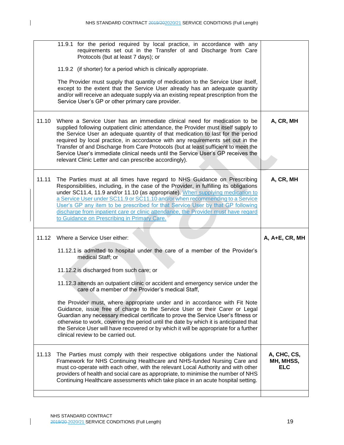| 11.9.1 for the period required by local practice, in accordance with any<br>requirements set out in the Transfer of and Discharge from Care<br>Protocols (but at least 7 days); or                                                                                                                                                                                                                                                                                                                                                                          |                                                                                  |
|-------------------------------------------------------------------------------------------------------------------------------------------------------------------------------------------------------------------------------------------------------------------------------------------------------------------------------------------------------------------------------------------------------------------------------------------------------------------------------------------------------------------------------------------------------------|----------------------------------------------------------------------------------|
| 11.9.2 (if shorter) for a period which is clinically appropriate.                                                                                                                                                                                                                                                                                                                                                                                                                                                                                           |                                                                                  |
| The Provider must supply that quantity of medication to the Service User itself,<br>except to the extent that the Service User already has an adequate quantity<br>and/or will receive an adequate supply via an existing repeat prescription from the<br>Service User's GP or other primary care provider.                                                                                                                                                                                                                                                 |                                                                                  |
| Where a Service User has an immediate clinical need for medication to be<br>supplied following outpatient clinic attendance, the Provider must itself supply to<br>the Service User an adequate quantity of that medication to last for the period<br>required by local practice, in accordance with any requirements set out in the<br>Transfer of and Discharge from Care Protocols (but at least sufficient to meet the                                                                                                                                  | A, CR, MH                                                                        |
| relevant Clinic Letter and can prescribe accordingly).                                                                                                                                                                                                                                                                                                                                                                                                                                                                                                      |                                                                                  |
| The Parties must at all times have regard to NHS Guidance on Prescribing<br>Responsibilities, including, in the case of the Provider, in fulfilling its obligations<br>under SC11.4, 11.9 and/or 11.10 (as appropriate). When supplying medication to<br>a Service User under SC11.9 or SC11.10 and/or when recommending to a Service<br>User's GP any item to be prescribed for that Service User by that GP following<br>discharge from inpatient care or clinic attendance, the Provider must have regard<br>to Guidance on Prescribing in Primary Care. | A, CR, MH                                                                        |
| Where a Service User either:                                                                                                                                                                                                                                                                                                                                                                                                                                                                                                                                | A, A+E, CR, MH                                                                   |
| 11.12.1 is admitted to hospital under the care of a member of the Provider's<br>medical Staff; or                                                                                                                                                                                                                                                                                                                                                                                                                                                           |                                                                                  |
| 11.12.2 is discharged from such care; or                                                                                                                                                                                                                                                                                                                                                                                                                                                                                                                    |                                                                                  |
| 11.12.3 attends an outpatient clinic or accident and emergency service under the<br>care of a member of the Provider's medical Staff,                                                                                                                                                                                                                                                                                                                                                                                                                       |                                                                                  |
| the Provider must, where appropriate under and in accordance with Fit Note<br>Guidance, issue free of charge to the Service User or their Carer or Legal<br>Guardian any necessary medical certificate to prove the Service User's fitness or<br>otherwise to work, covering the period until the date by which it is anticipated that<br>the Service User will have recovered or by which it will be appropriate for a further<br>clinical review to be carried out.                                                                                       |                                                                                  |
| The Parties must comply with their respective obligations under the National<br>Framework for NHS Continuing Healthcare and NHS-funded Nursing Care and<br>must co-operate with each other, with the relevant Local Authority and with other<br>providers of health and social care as appropriate, to minimise the number of NHS<br>Continuing Healthcare assessments which take place in an acute hospital setting.                                                                                                                                       | A, CHC, CS,<br>MH, MHSS,<br><b>ELC</b>                                           |
|                                                                                                                                                                                                                                                                                                                                                                                                                                                                                                                                                             | Service User's immediate clinical needs until the Service User's GP receives the |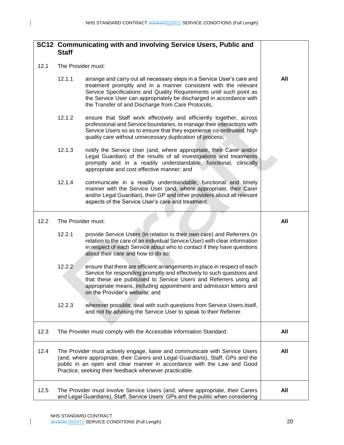$\mathbf I$ 

|      | <b>Staff</b>                                                                                                                                                                                                                                                                                       | SC12 Communicating with and involving Service Users, Public and                                                                                                                                                                                                                                                                               |     |
|------|----------------------------------------------------------------------------------------------------------------------------------------------------------------------------------------------------------------------------------------------------------------------------------------------------|-----------------------------------------------------------------------------------------------------------------------------------------------------------------------------------------------------------------------------------------------------------------------------------------------------------------------------------------------|-----|
| 12.1 | The Provider must:                                                                                                                                                                                                                                                                                 |                                                                                                                                                                                                                                                                                                                                               |     |
|      | 12.1.1                                                                                                                                                                                                                                                                                             | arrange and carry out all necessary steps in a Service User's care and<br>treatment promptly and in a manner consistent with the relevant<br>Service Specifications and Quality Requirements until such point as<br>the Service User can appropriately be discharged in accordance with<br>the Transfer of and Discharge from Care Protocols; | All |
|      | 12.1.2                                                                                                                                                                                                                                                                                             | ensure that Staff work effectively and efficiently together, across<br>professional and Service boundaries, to manage their interactions with<br>Service Users so as to ensure that they experience co-ordinated, high<br>quality care without unnecessary duplication of process;                                                            |     |
|      | 12.1.3                                                                                                                                                                                                                                                                                             | notify the Service User (and, where appropriate, their Carer and/or<br>Legal Guardian) of the results of all investigations and treatments<br>promptly and in a readily understandable, functional, clinically<br>appropriate and cost effective manner; and                                                                                  |     |
|      | 12.1.4                                                                                                                                                                                                                                                                                             | communicate in a readily understandable, functional and timely<br>manner with the Service User (and, where appropriate, their Carer<br>and/or Legal Guardian), their GP and other providers about all relevant<br>aspects of the Service User's care and treatment.                                                                           |     |
| 12.2 | The Provider must:                                                                                                                                                                                                                                                                                 | All                                                                                                                                                                                                                                                                                                                                           |     |
|      | 12.2.1                                                                                                                                                                                                                                                                                             | provide Service Users (in relation to their own care) and Referrers (in<br>relation to the care of an individual Service User) with clear information<br>in respect of each Service about who to contact if they have questions<br>about their care and how to do so;                                                                         |     |
|      | 12.2.2                                                                                                                                                                                                                                                                                             | ensure that there are efficient arrangements in place in respect of each<br>Service for responding promptly and effectively to such questions and<br>that these are publicised to Service Users and Referrers using all<br>appropriate means, including appointment and admission letters and<br>on the Provider's website; and               |     |
|      | 12.2.3                                                                                                                                                                                                                                                                                             | wherever possible, deal with such questions from Service Users itself,<br>and not by advising the Service User to speak to their Referrer.                                                                                                                                                                                                    |     |
| 12.3 |                                                                                                                                                                                                                                                                                                    | The Provider must comply with the Accessible Information Standard.                                                                                                                                                                                                                                                                            | All |
| 12.4 | The Provider must actively engage, liaise and communicate with Service Users<br>(and, where appropriate, their Carers and Legal Guardians), Staff, GPs and the<br>public in an open and clear manner in accordance with the Law and Good<br>Practice, seeking their feedback whenever practicable. | <b>All</b>                                                                                                                                                                                                                                                                                                                                    |     |
| 12.5 | The Provider must involve Service Users (and, where appropriate, their Carers<br>and Legal Guardians), Staff, Service Users' GPs and the public when considering                                                                                                                                   | All                                                                                                                                                                                                                                                                                                                                           |     |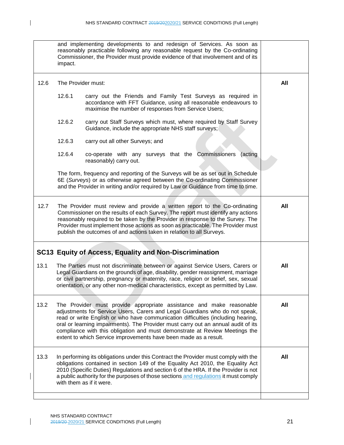$\mathbf{l}$ 

|      | and implementing developments to and redesign of Services. As soon as<br>reasonably practicable following any reasonable request by the Co-ordinating<br>Commissioner, the Provider must provide evidence of that involvement and of its<br>impact.                                                                                                                                                                                                                             |     |
|------|---------------------------------------------------------------------------------------------------------------------------------------------------------------------------------------------------------------------------------------------------------------------------------------------------------------------------------------------------------------------------------------------------------------------------------------------------------------------------------|-----|
| 12.6 | The Provider must:                                                                                                                                                                                                                                                                                                                                                                                                                                                              | All |
|      | 12.6.1<br>carry out the Friends and Family Test Surveys as required in<br>accordance with FFT Guidance, using all reasonable endeavours to<br>maximise the number of responses from Service Users;                                                                                                                                                                                                                                                                              |     |
|      | 12.6.2<br>carry out Staff Surveys which must, where required by Staff Survey<br>Guidance, include the appropriate NHS staff surveys;                                                                                                                                                                                                                                                                                                                                            |     |
|      | 12.6.3<br>carry out all other Surveys; and                                                                                                                                                                                                                                                                                                                                                                                                                                      |     |
|      | 12.6.4<br>co-operate with any surveys that the Commissioners<br>(acting<br>reasonably) carry out.                                                                                                                                                                                                                                                                                                                                                                               |     |
|      | The form, frequency and reporting of the Surveys will be as set out in Schedule<br>6E (Surveys) or as otherwise agreed between the Co-ordinating Commissioner<br>and the Provider in writing and/or required by Law or Guidance from time to time.                                                                                                                                                                                                                              |     |
| 12.7 | The Provider must review and provide a written report to the Co-ordinating<br>Commissioner on the results of each Survey. The report must identify any actions<br>reasonably required to be taken by the Provider in response to the Survey. The<br>Provider must implement those actions as soon as practicable. The Provider must<br>publish the outcomes of and actions taken in relation to all Surveys.                                                                    | All |
|      | SC13 Equity of Access, Equality and Non-Discrimination                                                                                                                                                                                                                                                                                                                                                                                                                          |     |
| 13.1 | The Parties must not discriminate between or against Service Users, Carers or<br>Legal Guardians on the grounds of age, disability, gender reassignment, marriage<br>or civil partnership, pregnancy or maternity, race, religion or belief, sex, sexual<br>orientation, or any other non-medical characteristics, except as permitted by Law.                                                                                                                                  | All |
| 13.2 | The Provider must provide appropriate assistance and make reasonable<br>adjustments for Service Users, Carers and Legal Guardians who do not speak,<br>read or write English or who have communication difficulties (including hearing,<br>oral or learning impairments). The Provider must carry out an annual audit of its<br>compliance with this obligation and must demonstrate at Review Meetings the<br>extent to which Service improvements have been made as a result. | All |
| 13.3 | In performing its obligations under this Contract the Provider must comply with the<br>obligations contained in section 149 of the Equality Act 2010, the Equality Act<br>2010 (Specific Duties) Regulations and section 6 of the HRA. If the Provider is not<br>a public authority for the purposes of those sections and regulations it must comply<br>with them as if it were.                                                                                               | All |
|      |                                                                                                                                                                                                                                                                                                                                                                                                                                                                                 |     |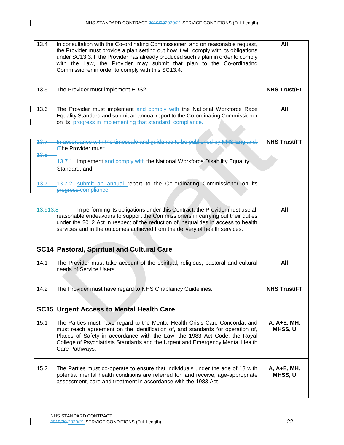| 13.4<br>In consultation with the Co-ordinating Commissioner, and on reasonable request,<br>the Provider must provide a plan setting out how it will comply with its obligations<br>under SC13.3. If the Provider has already produced such a plan in order to comply<br>with the Law, the Provider may submit that plan to the Co-ordinating<br>Commissioner in order to comply with this SC13.4. | All                    |
|---------------------------------------------------------------------------------------------------------------------------------------------------------------------------------------------------------------------------------------------------------------------------------------------------------------------------------------------------------------------------------------------------|------------------------|
| 13.5<br>The Provider must implement EDS2.                                                                                                                                                                                                                                                                                                                                                         | <b>NHS Trust/FT</b>    |
| 13.6<br>The Provider must implement and comply with the National Workforce Race<br>Equality Standard and submit an annual report to the Co-ordinating Commissioner<br>on its -progress in implementing that standard. compliance.                                                                                                                                                                 | All                    |
| In accordance with the timescale and guidance to be published by NHS England,<br>43.7<br><b>tThe Provider must-</b><br>13.8                                                                                                                                                                                                                                                                       | <b>NHS Trust/FT</b>    |
| 13.7.1 implement and comply with the National Workforce Disability Equality<br>Standard; and                                                                                                                                                                                                                                                                                                      |                        |
| 13.7.2 submit an annual report to the Co-ordinating Commissioner on its<br>13.7<br>progress.compliance.                                                                                                                                                                                                                                                                                           |                        |
| In performing its obligations under this Contract, the Provider must use all<br>43.913.8<br>reasonable endeavours to support the Commissioners in carrying out their duties<br>under the 2012 Act in respect of the reduction of inequalities in access to health<br>services and in the outcomes achieved from the delivery of health services.                                                  | All                    |
| <b>SC14 Pastoral, Spiritual and Cultural Care</b>                                                                                                                                                                                                                                                                                                                                                 |                        |
| 14.1<br>The Provider must take account of the spiritual, religious, pastoral and cultural<br>needs of Service Users.                                                                                                                                                                                                                                                                              | All                    |
| 14.2<br>The Provider must have regard to NHS Chaplaincy Guidelines.                                                                                                                                                                                                                                                                                                                               | <b>NHS Trust/FT</b>    |
| <b>SC15 Urgent Access to Mental Health Care</b>                                                                                                                                                                                                                                                                                                                                                   |                        |
| 15.1<br>The Parties must have regard to the Mental Health Crisis Care Concordat and<br>must reach agreement on the identification of, and standards for operation of,<br>Places of Safety in accordance with the Law, the 1983 Act Code, the Royal<br>College of Psychiatrists Standards and the Urgent and Emergency Mental Health<br>Care Pathways.                                             | A, A+E, MH,<br>MHSS, U |
| 15.2<br>The Parties must co-operate to ensure that individuals under the age of 18 with<br>potential mental health conditions are referred for, and receive, age-appropriate<br>assessment, care and treatment in accordance with the 1983 Act.                                                                                                                                                   | A, A+E, MH,<br>MHSS, U |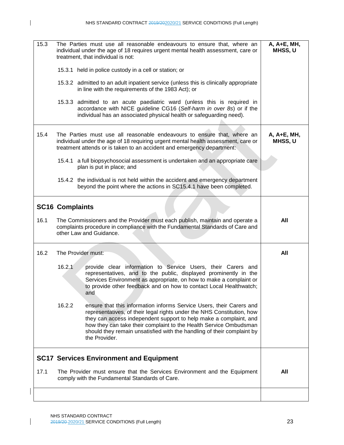$\mathbf{I}$ 

| 15.3 | The Parties must use all reasonable endeavours to ensure that, where an<br>individual under the age of 18 requires urgent mental health assessment, care or<br>treatment, that individual is not:                                                                                                                                                                                             | A, A+E, MH,<br>MHSS, U |
|------|-----------------------------------------------------------------------------------------------------------------------------------------------------------------------------------------------------------------------------------------------------------------------------------------------------------------------------------------------------------------------------------------------|------------------------|
|      | 15.3.1 held in police custody in a cell or station; or                                                                                                                                                                                                                                                                                                                                        |                        |
|      | 15.3.2 admitted to an adult inpatient service (unless this is clinically appropriate<br>in line with the requirements of the 1983 Act); or                                                                                                                                                                                                                                                    |                        |
|      | 15.3.3 admitted to an acute paediatric ward (unless this is required in<br>accordance with NICE guideline CG16 (Self-harm in over 8s) or if the<br>individual has an associated physical health or safeguarding need).                                                                                                                                                                        |                        |
| 15.4 | The Parties must use all reasonable endeavours to ensure that, where an<br>individual under the age of 18 requiring urgent mental health assessment, care or<br>treatment attends or is taken to an accident and emergency department:                                                                                                                                                        | A, A+E, MH,<br>MHSS, U |
|      | 15.4.1 a full biopsychosocial assessment is undertaken and an appropriate care<br>plan is put in place; and                                                                                                                                                                                                                                                                                   |                        |
|      | 15.4.2 the individual is not held within the accident and emergency department<br>beyond the point where the actions in SC15.4.1 have been completed.                                                                                                                                                                                                                                         |                        |
|      | <b>SC16 Complaints</b>                                                                                                                                                                                                                                                                                                                                                                        |                        |
| 16.1 | The Commissioners and the Provider must each publish, maintain and operate a<br>complaints procedure in compliance with the Fundamental Standards of Care and<br>other Law and Guidance.                                                                                                                                                                                                      | All                    |
| 16.2 | The Provider must:                                                                                                                                                                                                                                                                                                                                                                            | All                    |
|      | 16.2.1<br>provide clear information to Service Users, their Carers and<br>representatives, and to the public, displayed prominently in the<br>Services Environment as appropriate, on how to make a complaint or<br>to provide other feedback and on how to contact Local Healthwatch;<br>and                                                                                                 |                        |
|      | 16.2.2<br>ensure that this information informs Service Users, their Carers and<br>representatives, of their legal rights under the NHS Constitution, how<br>they can access independent support to help make a complaint, and<br>how they can take their complaint to the Health Service Ombudsman<br>should they remain unsatisfied with the handling of their complaint by<br>the Provider. |                        |
|      | <b>SC17 Services Environment and Equipment</b>                                                                                                                                                                                                                                                                                                                                                |                        |
| 17.1 | The Provider must ensure that the Services Environment and the Equipment<br>comply with the Fundamental Standards of Care.                                                                                                                                                                                                                                                                    | All                    |
|      |                                                                                                                                                                                                                                                                                                                                                                                               |                        |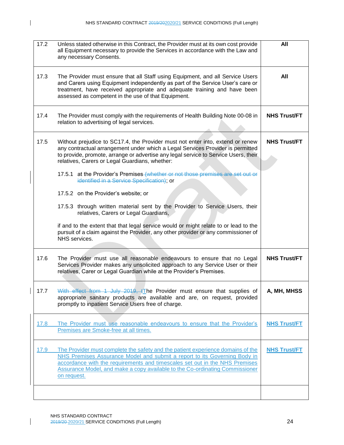| 17.2 | Unless stated otherwise in this Contract, the Provider must at its own cost provide<br>all Equipment necessary to provide the Services in accordance with the Law and<br>any necessary Consents.                                                                                                                                                                                                                                                                                                                                                                                                                                                                                                                                                                                                           | All                 |
|------|------------------------------------------------------------------------------------------------------------------------------------------------------------------------------------------------------------------------------------------------------------------------------------------------------------------------------------------------------------------------------------------------------------------------------------------------------------------------------------------------------------------------------------------------------------------------------------------------------------------------------------------------------------------------------------------------------------------------------------------------------------------------------------------------------------|---------------------|
| 17.3 | The Provider must ensure that all Staff using Equipment, and all Service Users<br>and Carers using Equipment independently as part of the Service User's care or<br>treatment, have received appropriate and adequate training and have been<br>assessed as competent in the use of that Equipment.                                                                                                                                                                                                                                                                                                                                                                                                                                                                                                        | All                 |
| 17.4 | The Provider must comply with the requirements of Health Building Note 00-08 in<br>relation to advertising of legal services.                                                                                                                                                                                                                                                                                                                                                                                                                                                                                                                                                                                                                                                                              | <b>NHS Trust/FT</b> |
| 17.5 | Without prejudice to SC17.4, the Provider must not enter into, extend or renew<br>any contractual arrangement under which a Legal Services Provider is permitted<br>to provide, promote, arrange or advertise any legal service to Service Users, their<br>relatives, Carers or Legal Guardians, whether:<br>17.5.1 at the Provider's Premises (whether or not those premises are set out or<br>identified in a Service Specification), or<br>17.5.2 on the Provider's website; or<br>17.5.3 through written material sent by the Provider to Service Users, their<br>relatives, Carers or Legal Guardians,<br>if and to the extent that that legal service would or might relate to or lead to the<br>pursuit of a claim against the Provider, any other provider or any commissioner of<br>NHS services. | <b>NHS Trust/FT</b> |
| 17.6 | The Provider must use all reasonable endeavours to ensure that no Legal<br>Services Provider makes any unsolicited approach to any Service User or their<br>relatives, Carer or Legal Guardian while at the Provider's Premises.                                                                                                                                                                                                                                                                                                                                                                                                                                                                                                                                                                           | <b>NHS Trust/FT</b> |
| 17.7 | With effect from 1 July 2019, tThe Provider must ensure that supplies of<br>appropriate sanitary products are available and are, on request, provided<br>promptly to inpatient Service Users free of charge.                                                                                                                                                                                                                                                                                                                                                                                                                                                                                                                                                                                               | A, MH, MHSS         |
| 17.8 | The Provider must use reasonable endeavours to ensure that the Provider's<br>Premises are Smoke-free at all times.                                                                                                                                                                                                                                                                                                                                                                                                                                                                                                                                                                                                                                                                                         | <b>NHS Trust/FT</b> |
| 17.9 | The Provider must complete the safety and the patient experience domains of the<br>NHS Premises Assurance Model and submit a report to its Governing Body in<br>accordance with the requirements and timescales set out in the NHS Premises<br>Assurance Model, and make a copy available to the Co-ordinating Commissioner<br>on request.                                                                                                                                                                                                                                                                                                                                                                                                                                                                 | <b>NHS Trust/FT</b> |
|      |                                                                                                                                                                                                                                                                                                                                                                                                                                                                                                                                                                                                                                                                                                                                                                                                            |                     |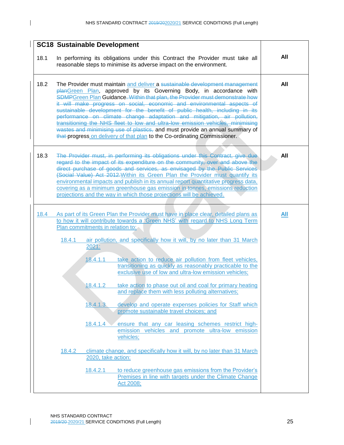|      | <b>SC18 Sustainable Development</b>                                                                                                                                                                                                                                                                                                                                                                                                                                                                                                                                                                                                                                                                                 |                                                       |                                                                                                                                                                                                                                                                                                                                                                                                                                                                                                                                                                                                                                                                                                                                                                              |            |
|------|---------------------------------------------------------------------------------------------------------------------------------------------------------------------------------------------------------------------------------------------------------------------------------------------------------------------------------------------------------------------------------------------------------------------------------------------------------------------------------------------------------------------------------------------------------------------------------------------------------------------------------------------------------------------------------------------------------------------|-------------------------------------------------------|------------------------------------------------------------------------------------------------------------------------------------------------------------------------------------------------------------------------------------------------------------------------------------------------------------------------------------------------------------------------------------------------------------------------------------------------------------------------------------------------------------------------------------------------------------------------------------------------------------------------------------------------------------------------------------------------------------------------------------------------------------------------------|------------|
| 18.1 | In performing its obligations under this Contract the Provider must take all<br>reasonable steps to minimise its adverse impact on the environment.                                                                                                                                                                                                                                                                                                                                                                                                                                                                                                                                                                 | All                                                   |                                                                                                                                                                                                                                                                                                                                                                                                                                                                                                                                                                                                                                                                                                                                                                              |            |
| 18.2 | The Provider must maintain and deliver a sustainable development management<br>planGreen Plan, approved by its Governing Body, in accordance with<br>SDMPGreen Plan Guidance. Within that plan, the Provider must demonstrate how<br>it will make progress on social, economic and environmental aspects of<br>sustainable development for the benefit of public health, including in its<br>performance on climate change adaptation and mitigation, air pollution,<br>transitioning the NHS fleet to low and ultra-low emission vehicles, minimising<br>wastes and minimising use of plastics, and must provide an annual summary of<br>that progress on delivery of that plan to the Co-ordinating Commissioner. | All                                                   |                                                                                                                                                                                                                                                                                                                                                                                                                                                                                                                                                                                                                                                                                                                                                                              |            |
| 18.3 |                                                                                                                                                                                                                                                                                                                                                                                                                                                                                                                                                                                                                                                                                                                     |                                                       | The Provider must, in performing its obligations under this Contract, give due<br>regard to the impact of its expenditure on the community, over and above the<br>direct purchase of goods and services, as envisaged by the Public Services<br>(Social Value) Act 2012. Within its Green Plan the Provider must quantify its<br>environmental impacts and publish in its annual report quantitative progress data,<br>covering as a minimum greenhouse gas emission in tonnes, emissions reduction<br>projections and the way in which those projections will be achieved.                                                                                                                                                                                                  | All        |
| 18.4 | Plan commitments in relation to:<br>18.4.1                                                                                                                                                                                                                                                                                                                                                                                                                                                                                                                                                                                                                                                                          | 2021:<br>18.4.1.1<br>18.4.1.2<br>18.4.1.3<br>18.4.1.4 | As part of its Green Plan the Provider must have in place clear, detailed plans as<br>to how it will contribute towards a 'Green NHS' with regard to NHS Long Term<br>air pollution, and specifically how it will, by no later than 31 March<br>take action to reduce air pollution from fleet vehicles,<br>transitioning as quickly as reasonably practicable to the<br>exclusive use of low and ultra-low emission vehicles;<br>take action to phase out oil and coal for primary heating<br>and replace them with less polluting alternatives;<br>develop and operate expenses policies for Staff which<br>promote sustainable travel choices; and<br>ensure that any car leasing schemes restrict high-<br>emission vehicles and promote ultra-low emission<br>vehicles; | <b>All</b> |
|      | 18.4.2                                                                                                                                                                                                                                                                                                                                                                                                                                                                                                                                                                                                                                                                                                              | 2020, take action:<br>18.4.2.1                        | climate change, and specifically how it will, by no later than 31 March<br>to reduce greenhouse gas emissions from the Provider's<br>Premises in line with targets under the Climate Change<br>Act 2008;                                                                                                                                                                                                                                                                                                                                                                                                                                                                                                                                                                     |            |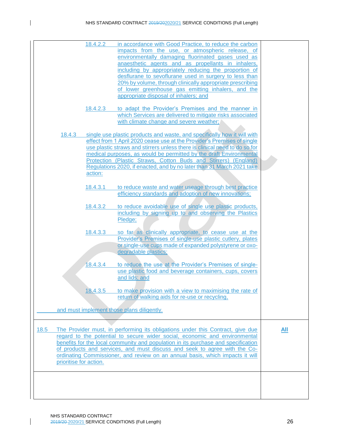|      |                        | 18.4.2.2 | in accordance with Good Practice, to reduce the carbon                                                                                                       |     |
|------|------------------------|----------|--------------------------------------------------------------------------------------------------------------------------------------------------------------|-----|
|      |                        |          | impacts from the use, or atmospheric release, of                                                                                                             |     |
|      |                        |          | environmentally damaging fluorinated gases used as                                                                                                           |     |
|      |                        |          | anaesthetic agents and as propellants in inhalers,                                                                                                           |     |
|      |                        |          | including by appropriately reducing the proportion of                                                                                                        |     |
|      |                        |          | desflurane to sevoflurane used in surgery to less than                                                                                                       |     |
|      |                        |          | 20% by volume, through clinically appropriate prescribing                                                                                                    |     |
|      |                        |          | of lower greenhouse gas emitting inhalers, and the                                                                                                           |     |
|      |                        |          | appropriate disposal of inhalers; and                                                                                                                        |     |
|      |                        | 18.4.2.3 | to adapt the Provider's Premises and the manner in                                                                                                           |     |
|      |                        |          | which Services are delivered to mitigate risks associated                                                                                                    |     |
|      |                        |          | with climate change and severe weather;                                                                                                                      |     |
|      | 18.4.3                 |          | single use plastic products and waste, and specifically how it will with                                                                                     |     |
|      |                        |          | effect from 1 April 2020 cease use at the Provider's Premises of single                                                                                      |     |
|      |                        |          | use plastic straws and stirrers unless there is clinical need to do so for                                                                                   |     |
|      |                        |          | medical purposes, as would be permitted by the draft Environmental                                                                                           |     |
|      |                        |          | Protection (Plastic Straws, Cotton Buds and Stirrers) (England)                                                                                              |     |
|      |                        |          | Regulations 2020, if enacted, and by no later than 31 March 2021 take                                                                                        |     |
|      |                        | action:  |                                                                                                                                                              |     |
|      |                        |          |                                                                                                                                                              |     |
|      |                        | 18.4.3.1 | to reduce waste and water useage through best practice                                                                                                       |     |
|      |                        |          | efficiency standards and adoption of new innovations;                                                                                                        |     |
|      |                        | 18.4.3.2 | to reduce avoidable use of single use plastic products,                                                                                                      |     |
|      |                        |          | including by signing up to and observing the Plastics                                                                                                        |     |
|      |                        |          | Pledge;                                                                                                                                                      |     |
|      |                        | 18.4.3.3 |                                                                                                                                                              |     |
|      |                        |          | so far as clinically appropriate, to cease use at the                                                                                                        |     |
|      |                        |          | Provider's Premises of single-use plastic cutlery, plates                                                                                                    |     |
|      |                        |          | or single-use cups made of expanded polystyrene or oxo-<br>degradable plastics;                                                                              |     |
|      |                        |          |                                                                                                                                                              |     |
|      |                        | 18.4.3.4 | to reduce the use at the Provider's Premises of single-                                                                                                      |     |
|      |                        |          | use plastic food and beverage containers, cups, covers                                                                                                       |     |
|      |                        |          | and lids; and                                                                                                                                                |     |
|      |                        |          |                                                                                                                                                              |     |
|      |                        | 18.4.3.5 | to make provision with a view to maximising the rate of<br>return of walking aids for re-use or recycling,                                                   |     |
|      |                        |          |                                                                                                                                                              |     |
|      |                        |          | and must implement those plans diligently.                                                                                                                   |     |
|      |                        |          |                                                                                                                                                              |     |
|      |                        |          |                                                                                                                                                              |     |
| 18.5 |                        |          | The Provider must, in performing its obligations under this Contract, give due<br>regard to the potential to secure wider social, economic and environmental | All |
|      |                        |          |                                                                                                                                                              |     |
|      |                        |          | benefits for the local community and population in its purchase and specification                                                                            |     |
|      |                        |          | of products and services, and must discuss and seek to agree with the Co-<br>ordinating Commissioner, and review on an annual basis, which impacts it will   |     |
|      | prioritise for action. |          |                                                                                                                                                              |     |
|      |                        |          |                                                                                                                                                              |     |
|      |                        |          |                                                                                                                                                              |     |
|      |                        |          |                                                                                                                                                              |     |
|      |                        |          |                                                                                                                                                              |     |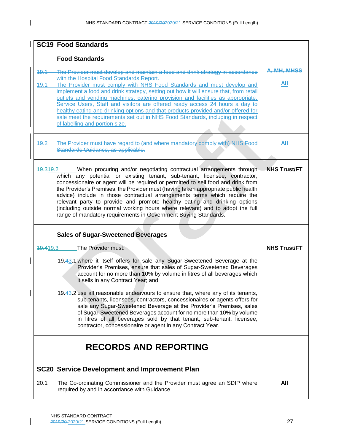| <b>SC19 Food Standards</b>                                                                                                                                                                                                                                                                                                                                                                                                                                                                                                                                                                                                                                                               |                     |
|------------------------------------------------------------------------------------------------------------------------------------------------------------------------------------------------------------------------------------------------------------------------------------------------------------------------------------------------------------------------------------------------------------------------------------------------------------------------------------------------------------------------------------------------------------------------------------------------------------------------------------------------------------------------------------------|---------------------|
| <b>Food Standards</b>                                                                                                                                                                                                                                                                                                                                                                                                                                                                                                                                                                                                                                                                    |                     |
| The Provider must develop and maintain a food and drink strategy in accordance<br>49.1<br>with the Hospital Food Standards Report.<br>The Provider must comply with NHS Food Standards and must develop and<br>19.1<br>implement a food and drink strategy, setting out how it will ensure that, from retail<br>outlets and vending machines, catering provision and facilities as appropriate,<br>Service Users, Staff and visitors are offered ready access 24 hours a day to<br>healthy eating and drinking options and that products provided and/or offered for<br>sale meet the requirements set out in NHS Food Standards, including in respect<br>of labelling and portion size. | A, MH, MHSS<br>All  |
| The Provider must have regard to (and where mandatory comply with) NHS Food<br>$19.2 -$<br>Standards Guidance, as applicable.                                                                                                                                                                                                                                                                                                                                                                                                                                                                                                                                                            | Аll                 |
| 19.319.2<br>____When procuring and/or negotiating contractual arrangements through<br>which any potential or existing tenant, sub-tenant, licensee, contractor,<br>concessionaire or agent will be required or permitted to sell food and drink from<br>the Provider's Premises, the Provider must (having taken appropriate public health<br>advice) include in those contractual arrangements terms which require the<br>relevant party to provide and promote healthy eating and drinking options<br>(including outside normal working hours where relevant) and to adopt the full<br>range of mandatory requirements in Government Buying Standards.                                 | <b>NHS Trust/FT</b> |
| <b>Sales of Sugar-Sweetened Beverages</b>                                                                                                                                                                                                                                                                                                                                                                                                                                                                                                                                                                                                                                                |                     |
| The Provider must:<br>49.419.3                                                                                                                                                                                                                                                                                                                                                                                                                                                                                                                                                                                                                                                           | <b>NHS Trust/FT</b> |
| 19.43.1 where it itself offers for sale any Sugar-Sweetened Beverage at the<br>Provider's Premises, ensure that sales of Sugar-Sweetened Beverages<br>account for no more than 10% by volume in litres of all beverages which<br>it sells in any Contract Year; and                                                                                                                                                                                                                                                                                                                                                                                                                      |                     |
| 19.43.2 use all reasonable endeavours to ensure that, where any of its tenants,<br>sub-tenants, licensees, contractors, concessionaires or agents offers for<br>sale any Sugar-Sweetened Beverage at the Provider's Premises, sales<br>of Sugar-Sweetened Beverages account for no more than 10% by volume<br>in litres of all beverages sold by that tenant, sub-tenant, licensee,<br>contractor, concessionaire or agent in any Contract Year.                                                                                                                                                                                                                                         |                     |
| <b>RECORDS AND REPORTING</b>                                                                                                                                                                                                                                                                                                                                                                                                                                                                                                                                                                                                                                                             |                     |
| <b>SC20 Service Development and Improvement Plan</b>                                                                                                                                                                                                                                                                                                                                                                                                                                                                                                                                                                                                                                     |                     |
| 20.1<br>The Co-ordinating Commissioner and the Provider must agree an SDIP where<br>required by and in accordance with Guidance.                                                                                                                                                                                                                                                                                                                                                                                                                                                                                                                                                         | All                 |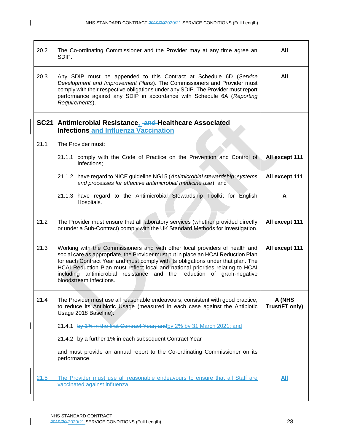$\mathbf{I}$ 

| 20.2 | The Co-ordinating Commissioner and the Provider may at any time agree an<br>SDIP.                                                                                                                                                                                                                                                                                                                                                              | All                      |
|------|------------------------------------------------------------------------------------------------------------------------------------------------------------------------------------------------------------------------------------------------------------------------------------------------------------------------------------------------------------------------------------------------------------------------------------------------|--------------------------|
| 20.3 | Any SDIP must be appended to this Contract at Schedule 6D (Service<br>Development and Improvement Plans). The Commissioners and Provider must<br>comply with their respective obligations under any SDIP. The Provider must report<br>performance against any SDIP in accordance with Schedule 6A (Reporting<br>Requirements).                                                                                                                 | All                      |
|      | SC21 Antimicrobial Resistance, and Healthcare Associated<br><b>Infections and Influenza Vaccination</b>                                                                                                                                                                                                                                                                                                                                        |                          |
| 21.1 | The Provider must:                                                                                                                                                                                                                                                                                                                                                                                                                             |                          |
|      | 21.1.1 comply with the Code of Practice on the Prevention and Control of<br>Infections;                                                                                                                                                                                                                                                                                                                                                        | All except 111           |
|      | 21.1.2 have regard to NICE guideline NG15 (Antimicrobial stewardship: systems<br>and processes for effective antimicrobial medicine use); and                                                                                                                                                                                                                                                                                                  | All except 111           |
|      | 21.1.3 have regard to the Antimicrobial Stewardship Toolkit for English<br>Hospitals.                                                                                                                                                                                                                                                                                                                                                          | A                        |
| 21.2 | The Provider must ensure that all laboratory services (whether provided directly<br>or under a Sub-Contract) comply with the UK Standard Methods for Investigation.                                                                                                                                                                                                                                                                            | All except 111           |
| 21.3 | Working with the Commissioners and with other local providers of health and<br>social care as appropriate, the Provider must put in place an HCAI Reduction Plan<br>for each Contract Year and must comply with its obligations under that plan. The<br>HCAI Reduction Plan must reflect local and national priorities relating to HCAI<br>antimicrobial resistance and the reduction of gram-negative<br>including<br>bloodstream infections. | All except 111           |
| 21.4 | The Provider must use all reasonable endeavours, consistent with good practice,<br>to reduce its Antibiotic Usage (measured in each case against the Antibiotic<br>Usage 2018 Baseline):                                                                                                                                                                                                                                                       | A (NHS<br>Trust/FT only) |
|      | 21.4.1 by 1% in the first Contract Year; and by 2% by 31 March 2021; and                                                                                                                                                                                                                                                                                                                                                                       |                          |
|      | 21.4.2 by a further 1% in each subsequent Contract Year                                                                                                                                                                                                                                                                                                                                                                                        |                          |
|      | and must provide an annual report to the Co-ordinating Commissioner on its<br>performance.                                                                                                                                                                                                                                                                                                                                                     |                          |
| 21.5 | The Provider must use all reasonable endeavours to ensure that all Staff are<br>vaccinated against influenza.                                                                                                                                                                                                                                                                                                                                  | All                      |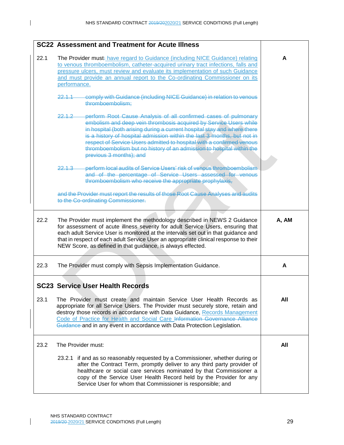$\mathbf{I}$ 

|      | <b>SC22 Assessment and Treatment for Acute Illness</b>                                                                                                                                                                                                                                                                                                                                                                                                                             |       |
|------|------------------------------------------------------------------------------------------------------------------------------------------------------------------------------------------------------------------------------------------------------------------------------------------------------------------------------------------------------------------------------------------------------------------------------------------------------------------------------------|-------|
| 22.1 | The Provider must: have regard to Guidance (including NICE Guidance) relating<br>to venous thromboembolism, catheter-acquired urinary tract infections, falls and<br>pressure ulcers, must review and evaluate its implementation of such Guidance<br>and must provide an annual report to the Co-ordinating Commissioner on its<br>performance.                                                                                                                                   | A     |
|      | comply with Guidance (including NICE Guidance) in relation to venous<br>22.1.1<br>thromboembolism;                                                                                                                                                                                                                                                                                                                                                                                 |       |
|      | perform Root Cause Analysis of all confirmed cases of pulmonary<br>22.1.2<br>embolism and deep vein thrombosis acquired by Service Users while<br>in hospital (both arising during a current hospital stay and where there<br>is a history of hospital admission within the last 3 months, but not in<br>respect of Service Users admitted to hospital with a confirmed venous<br>thromboembolism but no history of an admission to hospital within the<br>previous 3 months); and |       |
|      | perform local audits of Service Users' risk of venous thromboembolism<br>$2213 -$<br>and of the percentage of Service Users assessed for venous<br>thromboembolism who receive the appropriate prophylaxis,                                                                                                                                                                                                                                                                        |       |
|      | and the Provider must report the results of those Root Cause Analyses and audits<br>to the Co-ordinating Commissioner.                                                                                                                                                                                                                                                                                                                                                             |       |
| 22.2 | The Provider must implement the methodology described in NEWS 2 Guidance<br>for assessment of acute illness severity for adult Service Users, ensuring that<br>each adult Service User is monitored at the intervals set out in that guidance and<br>that in respect of each adult Service User an appropriate clinical response to their<br>NEW Score, as defined in that guidance, is always effected.                                                                           | A, AM |
| 22.3 | The Provider must comply with Sepsis Implementation Guidance.                                                                                                                                                                                                                                                                                                                                                                                                                      | A     |
|      | <b>SC23 Service User Health Records</b>                                                                                                                                                                                                                                                                                                                                                                                                                                            |       |
| 23.1 | The Provider must create and maintain Service User Health Records as<br>appropriate for all Service Users. The Provider must securely store, retain and<br>destroy those records in accordance with Data Guidance, Records Management<br>Code of Practice for Health and Social Care Information Governance Alliance<br>Guidance and in any event in accordance with Data Protection Legislation.                                                                                  | All   |
| 23.2 | The Provider must:                                                                                                                                                                                                                                                                                                                                                                                                                                                                 | All   |
|      | 23.2.1 if and as so reasonably requested by a Commissioner, whether during or<br>after the Contract Term, promptly deliver to any third party provider of<br>healthcare or social care services nominated by that Commissioner a<br>copy of the Service User Health Record held by the Provider for any<br>Service User for whom that Commissioner is responsible; and                                                                                                             |       |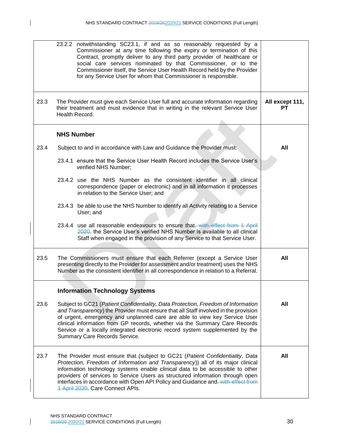|      | 23.2.2 notwithstanding SC23.1, if and as so reasonably requested by a<br>Commissioner at any time following the expiry or termination of this<br>Contract, promptly deliver to any third party provider of healthcare or<br>social care services nominated by that Commissioner, or to the<br>Commissioner itself, the Service User Health Record held by the Provider<br>for any Service User for whom that Commissioner is responsible.                  |                       |
|------|------------------------------------------------------------------------------------------------------------------------------------------------------------------------------------------------------------------------------------------------------------------------------------------------------------------------------------------------------------------------------------------------------------------------------------------------------------|-----------------------|
| 23.3 | The Provider must give each Service User full and accurate information regarding<br>their treatment and must evidence that in writing in the relevant Service User<br>Health Record.                                                                                                                                                                                                                                                                       | All except 111,<br>PТ |
|      | <b>NHS Number</b>                                                                                                                                                                                                                                                                                                                                                                                                                                          |                       |
| 23.4 | Subject to and in accordance with Law and Guidance the Provider must:                                                                                                                                                                                                                                                                                                                                                                                      | All                   |
|      | 23.4.1 ensure that the Service User Health Record includes the Service User's<br>verified NHS Number;                                                                                                                                                                                                                                                                                                                                                      |                       |
|      | 23.4.2 use the NHS Number as the consistent identifier in all clinical<br>correspondence (paper or electronic) and in all information it processes<br>in relation to the Service User; and                                                                                                                                                                                                                                                                 |                       |
|      | 23.4.3 be able to use the NHS Number to identify all Activity relating to a Service<br>User; and                                                                                                                                                                                                                                                                                                                                                           |                       |
|      | 23.4.4 use all reasonable endeavours to ensure that, with effect from 1 April<br>2020, the Service User's verified NHS Number is available to all clinical<br>Staff when engaged in the provision of any Service to that Service User.                                                                                                                                                                                                                     |                       |
| 23.5 | The Commissioners must ensure that each Referrer (except a Service User<br>presenting directly to the Provider for assessment and/or treatment) uses the NHS<br>Number as the consistent identifier in all correspondence in relation to a Referral.                                                                                                                                                                                                       | All                   |
|      | <b>Information Technology Systems</b>                                                                                                                                                                                                                                                                                                                                                                                                                      |                       |
| 23.6 | Subject to GC21 (Patient Confidentiality, Data Protection, Freedom of Information<br>and Transparency) the Provider must ensure that all Staff involved in the provision<br>of urgent, emergency and unplanned care are able to view key Service User<br>clinical information from GP records, whether via the Summary Care Records<br>Service or a locally integrated electronic record system supplemented by the<br>Summary Care Records Service.       | All                   |
| 23.7 | The Provider must ensure that (subject to GC21 (Patient Confidentiality, Data<br>Protection, Freedom of Information and Transparency)) all of its major clinical<br>information technology systems enable clinical data to be accessible to other<br>providers of services to Service Users as structured information through open<br>interfaces in accordance with Open API Policy and Guidance and, with effect from<br>1 April 2020, Care Connect APIs. | All                   |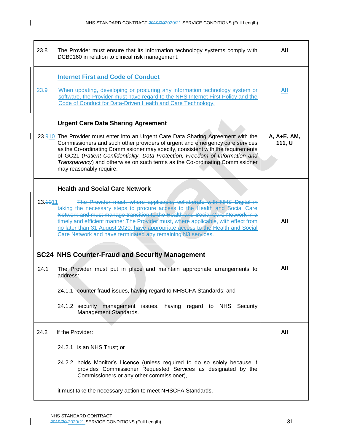| 23.8    | The Provider must ensure that its information technology systems comply with<br>DCB0160 in relation to clinical risk management.                                                                                                                                                                                                                                                                                                                                                                                    | All                   |
|---------|---------------------------------------------------------------------------------------------------------------------------------------------------------------------------------------------------------------------------------------------------------------------------------------------------------------------------------------------------------------------------------------------------------------------------------------------------------------------------------------------------------------------|-----------------------|
| 23.9    | <b>Internet First and Code of Conduct</b><br>When updating, developing or procuring any information technology system or<br>software, the Provider must have regard to the NHS Internet First Policy and the<br>Code of Conduct for Data-Driven Health and Care Technology.                                                                                                                                                                                                                                         | All                   |
|         | <b>Urgent Care Data Sharing Agreement</b><br>23.910 The Provider must enter into an Urgent Care Data Sharing Agreement with the<br>Commissioners and such other providers of urgent and emergency care services<br>as the Co-ordinating Commissioner may specify, consistent with the requirements<br>of GC21 (Patient Confidentiality, Data Protection, Freedom of Information and<br>Transparency) and otherwise on such terms as the Co-ordinating Commissioner<br>may reasonably require.                       | A, A+E, AM,<br>111, U |
| 23.4011 | <b>Health and Social Care Network</b><br>The Provider must, where applicable, collaborate with NHS Digital in<br>taking the necessary steps to procure access to the Health and Social Care<br>Network and must manage transition to the Health and Social Care Network in a<br>timely and efficient manner. The Provider must, where applicable, with effect from<br>no later than 31 August 2020, have appropriate access to the Health and Social<br>Care Network and have terminated any remaining N3 services. | All                   |
| 24.1    | <b>SC24 NHS Counter-Fraud and Security Management</b><br>The Provider must put in place and maintain appropriate arrangements to<br>address:<br>24.1.1 counter fraud issues, having regard to NHSCFA Standards; and<br>24.1.2 security management issues, having regard to NHS Security<br>Management Standards.                                                                                                                                                                                                    | All                   |
| 24.2    | If the Provider:<br>24.2.1 is an NHS Trust; or<br>24.2.2 holds Monitor's Licence (unless required to do so solely because it<br>provides Commissioner Requested Services as designated by the<br>Commissioners or any other commissioner),<br>it must take the necessary action to meet NHSCFA Standards.                                                                                                                                                                                                           | All                   |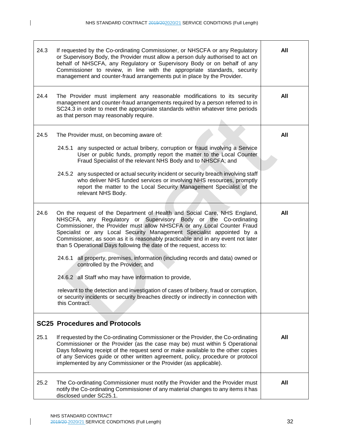$\mathbf I$ 

| 24.3 | If requested by the Co-ordinating Commissioner, or NHSCFA or any Regulatory<br>or Supervisory Body, the Provider must allow a person duly authorised to act on<br>behalf of NHSCFA, any Regulatory or Supervisory Body or on behalf of any<br>Commissioner to review, in line with the appropriate standards, security<br>management and counter-fraud arrangements put in place by the Provider.                                                                                                                                                                                                                                                                                                                                                                                                                                                  | All |
|------|----------------------------------------------------------------------------------------------------------------------------------------------------------------------------------------------------------------------------------------------------------------------------------------------------------------------------------------------------------------------------------------------------------------------------------------------------------------------------------------------------------------------------------------------------------------------------------------------------------------------------------------------------------------------------------------------------------------------------------------------------------------------------------------------------------------------------------------------------|-----|
| 24.4 | The Provider must implement any reasonable modifications to its security<br>management and counter-fraud arrangements required by a person referred to in<br>SC24.3 in order to meet the appropriate standards within whatever time periods<br>as that person may reasonably require.                                                                                                                                                                                                                                                                                                                                                                                                                                                                                                                                                              | All |
| 24.5 | The Provider must, on becoming aware of:<br>24.5.1 any suspected or actual bribery, corruption or fraud involving a Service<br>User or public funds, promptly report the matter to the Local Counter<br>Fraud Specialist of the relevant NHS Body and to NHSCFA; and<br>24.5.2 any suspected or actual security incident or security breach involving staff<br>who deliver NHS funded services or involving NHS resources, promptly<br>report the matter to the Local Security Management Specialist of the<br>relevant NHS Body.                                                                                                                                                                                                                                                                                                                  | All |
| 24.6 | On the request of the Department of Health and Social Care, NHS England,<br>NHSCFA, any Regulatory or Supervisory Body or the Co-ordinating<br>Commissioner, the Provider must allow NHSCFA or any Local Counter Fraud<br>Specialist or any Local Security Management Specialist appointed by a<br>Commissioner, as soon as it is reasonably practicable and in any event not later<br>than 5 Operational Days following the date of the request, access to:<br>all property, premises, information (including records and data) owned or<br>24.6.1<br>controlled by the Provider; and<br>24.6.2 all Staff who may have information to provide,<br>relevant to the detection and investigation of cases of bribery, fraud or corruption,<br>or security incidents or security breaches directly or indirectly in connection with<br>this Contract. | All |
|      | <b>SC25 Procedures and Protocols</b>                                                                                                                                                                                                                                                                                                                                                                                                                                                                                                                                                                                                                                                                                                                                                                                                               |     |
| 25.1 | If requested by the Co-ordinating Commissioner or the Provider, the Co-ordinating<br>Commissioner or the Provider (as the case may be) must within 5 Operational<br>Days following receipt of the request send or make available to the other copies<br>of any Services guide or other written agreement, policy, procedure or protocol<br>implemented by any Commissioner or the Provider (as applicable).                                                                                                                                                                                                                                                                                                                                                                                                                                        | All |
| 25.2 | The Co-ordinating Commissioner must notify the Provider and the Provider must<br>notify the Co-ordinating Commissioner of any material changes to any items it has<br>disclosed under SC25.1.                                                                                                                                                                                                                                                                                                                                                                                                                                                                                                                                                                                                                                                      | All |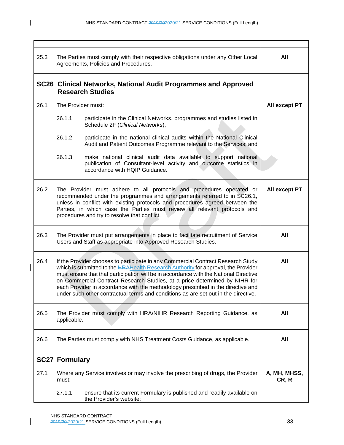| 25.3 | The Parties must comply with their respective obligations under any Other Local<br>Agreements, Policies and Procedures.                                                                                                                                                                                                                                                                                                                                                                                                       | All                   |
|------|-------------------------------------------------------------------------------------------------------------------------------------------------------------------------------------------------------------------------------------------------------------------------------------------------------------------------------------------------------------------------------------------------------------------------------------------------------------------------------------------------------------------------------|-----------------------|
|      | SC26 Clinical Networks, National Audit Programmes and Approved<br><b>Research Studies</b>                                                                                                                                                                                                                                                                                                                                                                                                                                     |                       |
| 26.1 | The Provider must:                                                                                                                                                                                                                                                                                                                                                                                                                                                                                                            | All except PT         |
|      | 26.1.1<br>participate in the Clinical Networks, programmes and studies listed in<br>Schedule 2F (Clinical Networks);                                                                                                                                                                                                                                                                                                                                                                                                          |                       |
|      | 26.1.2<br>participate in the national clinical audits within the National Clinical<br>Audit and Patient Outcomes Programme relevant to the Services; and                                                                                                                                                                                                                                                                                                                                                                      |                       |
|      | 26.1.3<br>make national clinical audit data available to support national<br>publication of Consultant-level activity and outcome statistics in<br>accordance with HQIP Guidance.                                                                                                                                                                                                                                                                                                                                             |                       |
| 26.2 | The Provider must adhere to all protocols and procedures operated or<br>recommended under the programmes and arrangements referred to in SC26.1,<br>unless in conflict with existing protocols and procedures agreed between the<br>Parties, in which case the Parties must review all relevant protocols and<br>procedures and try to resolve that conflict.                                                                                                                                                                 | All except PT         |
| 26.3 | The Provider must put arrangements in place to facilitate recruitment of Service<br>Users and Staff as appropriate into Approved Research Studies.                                                                                                                                                                                                                                                                                                                                                                            | All                   |
| 26.4 | If the Provider chooses to participate in any Commercial Contract Research Study<br>which is submitted to the <b>HRAHealth Research Authority</b> for approval, the Provider<br>must ensure that that participation will be in accordance with the National Directive<br>on Commercial Contract Research Studies, at a price determined by NIHR for<br>each Provider in accordance with the methodology prescribed in the directive and<br>under such other contractual terms and conditions as are set out in the directive. | All                   |
| 26.5 | The Provider must comply with HRA/NIHR Research Reporting Guidance, as<br>applicable.                                                                                                                                                                                                                                                                                                                                                                                                                                         | All                   |
| 26.6 | The Parties must comply with NHS Treatment Costs Guidance, as applicable.                                                                                                                                                                                                                                                                                                                                                                                                                                                     | All                   |
|      | <b>SC27 Formulary</b>                                                                                                                                                                                                                                                                                                                                                                                                                                                                                                         |                       |
| 27.1 | Where any Service involves or may involve the prescribing of drugs, the Provider<br>must:                                                                                                                                                                                                                                                                                                                                                                                                                                     | A, MH, MHSS,<br>CR, R |
|      | 27.1.1<br>ensure that its current Formulary is published and readily available on<br>the Provider's website;                                                                                                                                                                                                                                                                                                                                                                                                                  |                       |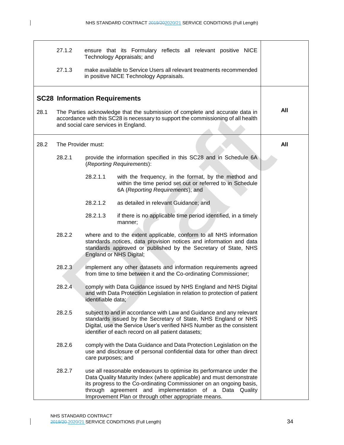$\mathbf{I}$ 

|      | 27.1.2             |                                                                                                                                                                                                           | ensure that its Formulary reflects all relevant positive NICE<br>Technology Appraisals; and                                                                                                                                                                                                                                    |     |
|------|--------------------|-----------------------------------------------------------------------------------------------------------------------------------------------------------------------------------------------------------|--------------------------------------------------------------------------------------------------------------------------------------------------------------------------------------------------------------------------------------------------------------------------------------------------------------------------------|-----|
|      | 27.1.3             |                                                                                                                                                                                                           | make available to Service Users all relevant treatments recommended<br>in positive NICE Technology Appraisals.                                                                                                                                                                                                                 |     |
|      |                    | <b>SC28 Information Requirements</b>                                                                                                                                                                      |                                                                                                                                                                                                                                                                                                                                |     |
| 28.1 |                    | The Parties acknowledge that the submission of complete and accurate data in<br>accordance with this SC28 is necessary to support the commissioning of all health<br>and social care services in England. |                                                                                                                                                                                                                                                                                                                                |     |
| 28.2 | The Provider must: |                                                                                                                                                                                                           |                                                                                                                                                                                                                                                                                                                                | All |
|      | 28.2.1             |                                                                                                                                                                                                           | provide the information specified in this SC28 and in Schedule 6A<br>(Reporting Requirements):                                                                                                                                                                                                                                 |     |
|      |                    | 28.2.1.1                                                                                                                                                                                                  | with the frequency, in the format, by the method and<br>within the time period set out or referred to in Schedule<br>6A (Reporting Requirements); and                                                                                                                                                                          |     |
|      |                    | 28.2.1.2                                                                                                                                                                                                  | as detailed in relevant Guidance; and                                                                                                                                                                                                                                                                                          |     |
|      |                    | 28.2.1.3                                                                                                                                                                                                  | if there is no applicable time period identified, in a timely<br>manner;                                                                                                                                                                                                                                                       |     |
|      | 28.2.2             |                                                                                                                                                                                                           | where and to the extent applicable, conform to all NHS information<br>standards notices, data provision notices and information and data<br>standards approved or published by the Secretary of State, NHS<br>England or NHS Digital;                                                                                          |     |
|      | 28.2.3             |                                                                                                                                                                                                           | implement any other datasets and information requirements agreed<br>from time to time between it and the Co-ordinating Commissioner;                                                                                                                                                                                           |     |
|      | 28.2.4             | identifiable data;                                                                                                                                                                                        | comply with Data Guidance issued by NHS England and NHS Digital<br>and with Data Protection Legislation in relation to protection of patient                                                                                                                                                                                   |     |
|      | 28.2.5             |                                                                                                                                                                                                           | subject to and in accordance with Law and Guidance and any relevant<br>standards issued by the Secretary of State, NHS England or NHS<br>Digital, use the Service User's verified NHS Number as the consistent<br>identifier of each record on all patient datasets;                                                           |     |
|      | 28.2.6             | care purposes; and                                                                                                                                                                                        | comply with the Data Guidance and Data Protection Legislation on the<br>use and disclosure of personal confidential data for other than direct                                                                                                                                                                                 |     |
|      | 28.2.7             | through                                                                                                                                                                                                   | use all reasonable endeavours to optimise its performance under the<br>Data Quality Maturity Index (where applicable) and must demonstrate<br>its progress to the Co-ordinating Commissioner on an ongoing basis,<br>agreement and<br>implementation of a Data Quality<br>Improvement Plan or through other appropriate means. |     |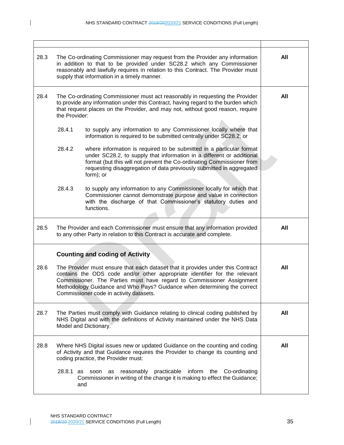$\mathbf I$ 

| 28.3 |               | The Co-ordinating Commissioner may request from the Provider any information<br>in addition to that to be provided under SC28.2 which any Commissioner<br>reasonably and lawfully requires in relation to this Contract. The Provider must<br>supply that information in a timely manner.                                                                     | All |
|------|---------------|---------------------------------------------------------------------------------------------------------------------------------------------------------------------------------------------------------------------------------------------------------------------------------------------------------------------------------------------------------------|-----|
| 28.4 | the Provider: | The Co-ordinating Commissioner must act reasonably in requesting the Provider<br>to provide any information under this Contract, having regard to the burden which<br>that request places on the Provider, and may not, without good reason, require                                                                                                          | All |
|      | 28.4.1        | to supply any information to any Commissioner locally where that<br>information is required to be submitted centrally under SC28.2; or                                                                                                                                                                                                                        |     |
|      | 28.4.2        | where information is required to be submitted in a particular format<br>under SC28.2, to supply that information in a different or additional<br>format (but this will not prevent the Co-ordinating Commissioner from<br>requesting disaggregation of data previously submitted in aggregated<br>form); or                                                   |     |
|      | 28.4.3        | to supply any information to any Commissioner locally for which that<br>Commissioner cannot demonstrate purpose and value in connection<br>with the discharge of that Commissioner's statutory duties and<br>functions.                                                                                                                                       |     |
| 28.5 |               | The Provider and each Commissioner must ensure that any information provided<br>to any other Party in relation to this Contract is accurate and complete.                                                                                                                                                                                                     | All |
|      |               | <b>Counting and coding of Activity</b>                                                                                                                                                                                                                                                                                                                        |     |
| 28.6 |               | The Provider must ensure that each dataset that it provides under this Contract<br>contains the ODS code and/or other appropriate identifier for the relevant<br>Commissioner. The Parties must have regard to Commissioner Assignment<br>Methodology Guidance and Who Pays? Guidance when determining the correct<br>Commissioner code in activity datasets. | All |
| 28.7 |               | The Parties must comply with Guidance relating to clinical coding published by<br>NHS Digital and with the definitions of Activity maintained under the NHS Data<br>Model and Dictionary.                                                                                                                                                                     | All |
| 28.8 |               | Where NHS Digital issues new or updated Guidance on the counting and coding<br>of Activity and that Guidance requires the Provider to change its counting and<br>coding practice, the Provider must:                                                                                                                                                          | All |
|      | 28.8.1 as     | reasonably practicable<br>inform<br>the<br>Co-ordinating<br>soon as<br>Commissioner in writing of the change it is making to effect the Guidance;<br>and                                                                                                                                                                                                      |     |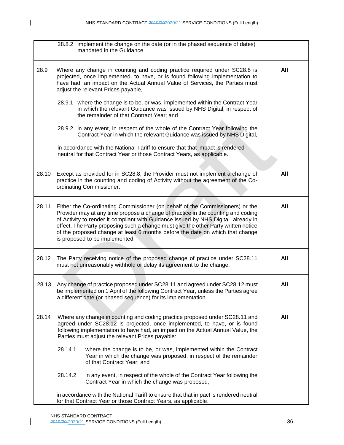|       | 28.8.2 implement the change on the date (or in the phased sequence of dates)<br>mandated in the Guidance.                                                                                                                                                                                                                                                                                                                                                       |     |
|-------|-----------------------------------------------------------------------------------------------------------------------------------------------------------------------------------------------------------------------------------------------------------------------------------------------------------------------------------------------------------------------------------------------------------------------------------------------------------------|-----|
| 28.9  | Where any change in counting and coding practice required under SC28.8 is<br>projected, once implemented, to have, or is found following implementation to<br>have had, an impact on the Actual Annual Value of Services, the Parties must<br>adjust the relevant Prices payable,                                                                                                                                                                               | All |
|       | 28.9.1 where the change is to be, or was, implemented within the Contract Year<br>in which the relevant Guidance was issued by NHS Digital, in respect of<br>the remainder of that Contract Year; and                                                                                                                                                                                                                                                           |     |
|       | 28.9.2 in any event, in respect of the whole of the Contract Year following the<br>Contract Year in which the relevant Guidance was issued by NHS Digital,                                                                                                                                                                                                                                                                                                      |     |
|       | in accordance with the National Tariff to ensure that that impact is rendered<br>neutral for that Contract Year or those Contract Years, as applicable.                                                                                                                                                                                                                                                                                                         |     |
| 28.10 | Except as provided for in SC28.8, the Provider must not implement a change of<br>practice in the counting and coding of Activity without the agreement of the Co-<br>ordinating Commissioner.                                                                                                                                                                                                                                                                   | All |
| 28.11 | Either the Co-ordinating Commissioner (on behalf of the Commissioners) or the<br>Provider may at any time propose a change of practice in the counting and coding<br>of Activity to render it compliant with Guidance issued by NHS Digital already in<br>effect. The Party proposing such a change must give the other Party written notice<br>of the proposed change at least 6 months before the date on which that change<br>is proposed to be implemented. | All |
| 28.12 | The Party receiving notice of the proposed change of practice under SC28.11<br>must not unreasonably withhold or delay its agreement to the change.                                                                                                                                                                                                                                                                                                             | All |
| 28.13 | Any change of practice proposed under SC28.11 and agreed under SC28.12 must<br>be implemented on 1 April of the following Contract Year, unless the Parties agree<br>a different date (or phased sequence) for its implementation.                                                                                                                                                                                                                              | All |
| 28.14 | Where any change in counting and coding practice proposed under SC28.11 and<br>agreed under SC28.12 is projected, once implemented, to have, or is found<br>following implementation to have had, an impact on the Actual Annual Value, the<br>Parties must adjust the relevant Prices payable:                                                                                                                                                                 | All |
|       | 28.14.1<br>where the change is to be, or was, implemented within the Contract<br>Year in which the change was proposed, in respect of the remainder<br>of that Contract Year; and                                                                                                                                                                                                                                                                               |     |
|       | 28.14.2<br>in any event, in respect of the whole of the Contract Year following the<br>Contract Year in which the change was proposed,                                                                                                                                                                                                                                                                                                                          |     |
|       | in accordance with the National Tariff to ensure that that impact is rendered neutral<br>for that Contract Year or those Contract Years, as applicable.                                                                                                                                                                                                                                                                                                         |     |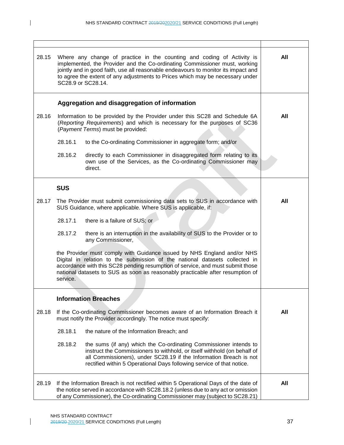| 28.15 | Where any change of practice in the counting and coding of Activity is<br>implemented, the Provider and the Co-ordinating Commissioner must, working<br>jointly and in good faith, use all reasonable endeavours to monitor its impact and<br>to agree the extent of any adjustments to Prices which may be necessary under<br>SC28.9 or SC28.14. | All |
|-------|---------------------------------------------------------------------------------------------------------------------------------------------------------------------------------------------------------------------------------------------------------------------------------------------------------------------------------------------------|-----|
|       | Aggregation and disaggregation of information                                                                                                                                                                                                                                                                                                     |     |
| 28.16 | Information to be provided by the Provider under this SC28 and Schedule 6A<br>(Reporting Requirements) and which is necessary for the purposes of SC36<br>(Payment Terms) must be provided:                                                                                                                                                       | All |
|       | 28.16.1<br>to the Co-ordinating Commissioner in aggregate form; and/or                                                                                                                                                                                                                                                                            |     |
|       | 28.16.2<br>directly to each Commissioner in disaggregated form relating to its<br>own use of the Services, as the Co-ordinating Commissioner may<br>direct.                                                                                                                                                                                       |     |
|       | <b>SUS</b>                                                                                                                                                                                                                                                                                                                                        |     |
| 28.17 | The Provider must submit commissioning data sets to SUS in accordance with<br>SUS Guidance, where applicable. Where SUS is applicable, if:                                                                                                                                                                                                        | All |
|       | 28.17.1<br>there is a failure of SUS; or                                                                                                                                                                                                                                                                                                          |     |
|       | 28.17.2<br>there is an interruption in the availability of SUS to the Provider or to<br>any Commissioner,                                                                                                                                                                                                                                         |     |
|       | the Provider must comply with Guidance issued by NHS England and/or NHS<br>Digital in relation to the submission of the national datasets collected in<br>accordance with this SC28 pending resumption of service, and must submit those<br>national datasets to SUS as soon as reasonably practicable after resumption of<br>service.            |     |
|       | <b>Information Breaches</b>                                                                                                                                                                                                                                                                                                                       |     |
| 28.18 | If the Co-ordinating Commissioner becomes aware of an Information Breach it<br>must notify the Provider accordingly. The notice must specify:                                                                                                                                                                                                     | All |
|       | 28.18.1<br>the nature of the Information Breach; and                                                                                                                                                                                                                                                                                              |     |
|       | 28.18.2<br>the sums (if any) which the Co-ordinating Commissioner intends to<br>instruct the Commissioners to withhold, or itself withhold (on behalf of<br>all Commissioners), under SC28.19 if the Information Breach is not<br>rectified within 5 Operational Days following service of that notice.                                           |     |
| 28.19 | If the Information Breach is not rectified within 5 Operational Days of the date of<br>the notice served in accordance with SC28.18.2 (unless due to any act or omission<br>of any Commissioner), the Co-ordinating Commissioner may (subject to SC28.21)                                                                                         | All |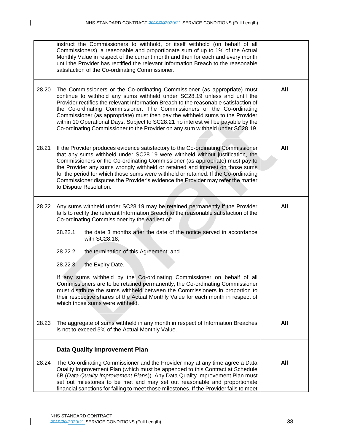$\mathbf I$ 

|       | instruct the Commissioners to withhold, or itself withhold (on behalf of all<br>Commissioners), a reasonable and proportionate sum of up to 1% of the Actual<br>Monthly Value in respect of the current month and then for each and every month<br>until the Provider has rectified the relevant Information Breach to the reasonable<br>satisfaction of the Co-ordinating Commissioner.                                                                                                                                                                                                                                                                                                                                                                                         |     |
|-------|----------------------------------------------------------------------------------------------------------------------------------------------------------------------------------------------------------------------------------------------------------------------------------------------------------------------------------------------------------------------------------------------------------------------------------------------------------------------------------------------------------------------------------------------------------------------------------------------------------------------------------------------------------------------------------------------------------------------------------------------------------------------------------|-----|
| 28.20 | The Commissioners or the Co-ordinating Commissioner (as appropriate) must<br>continue to withhold any sums withheld under SC28.19 unless and until the<br>Provider rectifies the relevant Information Breach to the reasonable satisfaction of<br>the Co-ordinating Commissioner. The Commissioners or the Co-ordinating<br>Commissioner (as appropriate) must then pay the withheld sums to the Provider<br>within 10 Operational Days. Subject to SC28.21 no interest will be payable by the<br>Co-ordinating Commissioner to the Provider on any sum withheld under SC28.19.                                                                                                                                                                                                  | All |
| 28.21 | If the Provider produces evidence satisfactory to the Co-ordinating Commissioner<br>that any sums withheld under SC28.19 were withheld without justification, the<br>Commissioners or the Co-ordinating Commissioner (as appropriate) must pay to<br>the Provider any sums wrongly withheld or retained and interest on those sums<br>for the period for which those sums were withheld or retained. If the Co-ordinating<br>Commissioner disputes the Provider's evidence the Provider may refer the matter<br>to Dispute Resolution.                                                                                                                                                                                                                                           | All |
| 28.22 | Any sums withheld under SC28.19 may be retained permanently if the Provider<br>fails to rectify the relevant Information Breach to the reasonable satisfaction of the<br>Co-ordinating Commissioner by the earliest of:<br>28.22.1<br>the date 3 months after the date of the notice served in accordance<br>with SC28.18;<br>28.22.2<br>the termination of this Agreement; and<br>28.22.3<br>the Expiry Date.<br>If any sums withheld by the Co-ordinating Commissioner on behalf of all<br>Commissioners are to be retained permanently, the Co-ordinating Commissioner<br>must distribute the sums withheld between the Commissioners in proportion to<br>their respective shares of the Actual Monthly Value for each month in respect of<br>which those sums were withheld. | All |
| 28.23 | The aggregate of sums withheld in any month in respect of Information Breaches<br>is not to exceed 5% of the Actual Monthly Value.                                                                                                                                                                                                                                                                                                                                                                                                                                                                                                                                                                                                                                               | All |
| 28.24 | <b>Data Quality Improvement Plan</b><br>The Co-ordinating Commissioner and the Provider may at any time agree a Data<br>Quality Improvement Plan (which must be appended to this Contract at Schedule<br>6B (Data Quality Improvement Plans)). Any Data Quality Improvement Plan must<br>set out milestones to be met and may set out reasonable and proportionate<br>financial sanctions for failing to meet those milestones. If the Provider fails to meet                                                                                                                                                                                                                                                                                                                    | All |

 $\mathsf{l}$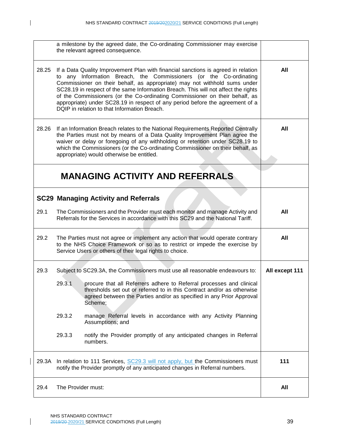|       | a milestone by the agreed date, the Co-ordinating Commissioner may exercise<br>the relevant agreed consequence.                                                                                                                                                                                                                                                                                                                                                                                                                            |                |
|-------|--------------------------------------------------------------------------------------------------------------------------------------------------------------------------------------------------------------------------------------------------------------------------------------------------------------------------------------------------------------------------------------------------------------------------------------------------------------------------------------------------------------------------------------------|----------------|
| 28.25 | If a Data Quality Improvement Plan with financial sanctions is agreed in relation<br>to any Information Breach, the Commissioners (or the Co-ordinating<br>Commissioner on their behalf, as appropriate) may not withhold sums under<br>SC28.19 in respect of the same Information Breach. This will not affect the rights<br>of the Commissioners (or the Co-ordinating Commissioner on their behalf, as<br>appropriate) under SC28.19 in respect of any period before the agreement of a<br>DQIP in relation to that Information Breach. | All            |
| 28.26 | If an Information Breach relates to the National Requirements Reported Centrally<br>the Parties must not by means of a Data Quality Improvement Plan agree the<br>waiver or delay or foregoing of any withholding or retention under SC28.19 to<br>which the Commissioners (or the Co-ordinating Commissioner on their behalf, as<br>appropriate) would otherwise be entitled.                                                                                                                                                             | All            |
|       | <b>MANAGING ACTIVITY AND REFERRALS</b>                                                                                                                                                                                                                                                                                                                                                                                                                                                                                                     |                |
|       | <b>SC29 Managing Activity and Referrals</b>                                                                                                                                                                                                                                                                                                                                                                                                                                                                                                |                |
| 29.1  | The Commissioners and the Provider must each monitor and manage Activity and<br>Referrals for the Services in accordance with this SC29 and the National Tariff.                                                                                                                                                                                                                                                                                                                                                                           | All            |
| 29.2  | The Parties must not agree or implement any action that would operate contrary<br>to the NHS Choice Framework or so as to restrict or impede the exercise by<br>Service Users or others of their legal rights to choice.                                                                                                                                                                                                                                                                                                                   | All            |
| 29.3  | Subject to SC29.3A, the Commissioners must use all reasonable endeavours to:                                                                                                                                                                                                                                                                                                                                                                                                                                                               | All except 111 |
|       | 29.3.1<br>procure that all Referrers adhere to Referral processes and clinical<br>thresholds set out or referred to in this Contract and/or as otherwise<br>agreed between the Parties and/or as specified in any Prior Approval<br>Scheme;                                                                                                                                                                                                                                                                                                |                |
|       | 29.3.2<br>manage Referral levels in accordance with any Activity Planning<br>Assumptions; and                                                                                                                                                                                                                                                                                                                                                                                                                                              |                |
|       | 29.3.3<br>notify the Provider promptly of any anticipated changes in Referral<br>numbers.                                                                                                                                                                                                                                                                                                                                                                                                                                                  |                |
| 29.3A | In relation to 111 Services, SC29.3 will not apply, but the Commissioners must<br>notify the Provider promptly of any anticipated changes in Referral numbers.                                                                                                                                                                                                                                                                                                                                                                             | 111            |
| 29.4  | The Provider must:                                                                                                                                                                                                                                                                                                                                                                                                                                                                                                                         | All            |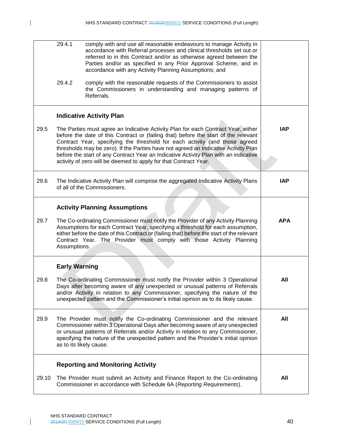|       | 29.4.1                  | comply with and use all reasonable endeavours to manage Activity in<br>accordance with Referral processes and clinical thresholds set out or<br>referred to in this Contract and/or as otherwise agreed between the<br>Parties and/or as specified in any Prior Approval Scheme, and in<br>accordance with any Activity Planning Assumptions; and                                                                                                                                                          |            |
|-------|-------------------------|------------------------------------------------------------------------------------------------------------------------------------------------------------------------------------------------------------------------------------------------------------------------------------------------------------------------------------------------------------------------------------------------------------------------------------------------------------------------------------------------------------|------------|
|       | 29.4.2                  | comply with the reasonable requests of the Commissioners to assist<br>the Commissioners in understanding and managing patterns of<br>Referrals.                                                                                                                                                                                                                                                                                                                                                            |            |
|       |                         | <b>Indicative Activity Plan</b>                                                                                                                                                                                                                                                                                                                                                                                                                                                                            |            |
| 29.5  |                         | The Parties must agree an Indicative Activity Plan for each Contract Year, either<br>before the date of this Contract or (failing that) before the start of the relevant<br>Contract Year, specifying the threshold for each activity (and those agreed<br>thresholds may be zero). If the Parties have not agreed an Indicative Activity Plan<br>before the start of any Contract Year an Indicative Activity Plan with an indicative<br>activity of zero will be deemed to apply for that Contract Year. | <b>IAP</b> |
| 29.6  |                         | The Indicative Activity Plan will comprise the aggregated Indicative Activity Plans<br>of all of the Commissioners.                                                                                                                                                                                                                                                                                                                                                                                        | <b>IAP</b> |
|       |                         | <b>Activity Planning Assumptions</b>                                                                                                                                                                                                                                                                                                                                                                                                                                                                       |            |
| 29.7  | Assumptions.            | The Co-ordinating Commissioner must notify the Provider of any Activity Planning<br>Assumptions for each Contract Year, specifying a threshold for each assumption,<br>either before the date of this Contract or (failing that) before the start of the relevant<br>Contract Year. The Provider must comply with those Activity Planning                                                                                                                                                                  | <b>APA</b> |
|       | <b>Early Warning</b>    |                                                                                                                                                                                                                                                                                                                                                                                                                                                                                                            |            |
| 29.8  |                         | The Co-ordinating Commissioner must notify the Provider within 3 Operational<br>Days after becoming aware of any unexpected or unusual patterns of Referrals<br>and/or Activity in relation to any Commissioner, specifying the nature of the<br>unexpected pattern and the Commissioner's initial opinion as to its likely cause.                                                                                                                                                                         | All        |
| 29.9  | as to its likely cause. | The Provider must notify the Co-ordinating Commissioner and the relevant<br>Commissioner within 3 Operational Days after becoming aware of any unexpected<br>or unusual patterns of Referrals and/or Activity in relation to any Commissioner,<br>specifying the nature of the unexpected pattern and the Provider's initial opinion                                                                                                                                                                       | All        |
|       |                         | <b>Reporting and Monitoring Activity</b>                                                                                                                                                                                                                                                                                                                                                                                                                                                                   |            |
| 29.10 |                         | The Provider must submit an Activity and Finance Report to the Co-ordinating<br>Commissioner in accordance with Schedule 6A (Reporting Requirements).                                                                                                                                                                                                                                                                                                                                                      | All        |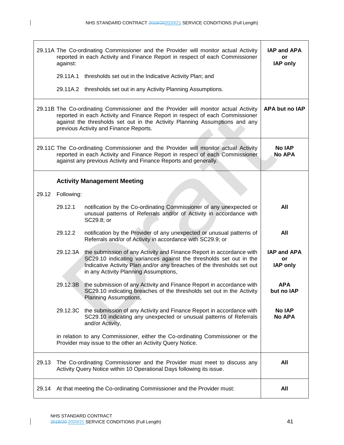|       | against:   | 29.11A The Co-ordinating Commissioner and the Provider will monitor actual Activity<br>reported in each Activity and Finance Report in respect of each Commissioner                                                                                                                          | IAP and APA<br>or<br><b>IAP only</b>        |
|-------|------------|----------------------------------------------------------------------------------------------------------------------------------------------------------------------------------------------------------------------------------------------------------------------------------------------|---------------------------------------------|
|       |            | 29.11A.1 thresholds set out in the Indicative Activity Plan; and                                                                                                                                                                                                                             |                                             |
|       |            | 29.11A.2 thresholds set out in any Activity Planning Assumptions.                                                                                                                                                                                                                            |                                             |
|       |            | 29.11B The Co-ordinating Commissioner and the Provider will monitor actual Activity<br>reported in each Activity and Finance Report in respect of each Commissioner<br>against the thresholds set out in the Activity Planning Assumptions and any<br>previous Activity and Finance Reports. | APA but no IAP                              |
|       |            | 29.11C The Co-ordinating Commissioner and the Provider will monitor actual Activity<br>reported in each Activity and Finance Report in respect of each Commissioner<br>against any previous Activity and Finance Reports and generally.                                                      | <b>No IAP</b><br><b>No APA</b>              |
|       |            | <b>Activity Management Meeting</b>                                                                                                                                                                                                                                                           |                                             |
| 29.12 | Following: |                                                                                                                                                                                                                                                                                              |                                             |
|       | 29.12.1    | notification by the Co-ordinating Commissioner of any unexpected or<br>unusual patterns of Referrals and/or of Activity in accordance with<br>SC29.8; or                                                                                                                                     | All                                         |
|       | 29.12.2    | notification by the Provider of any unexpected or unusual patterns of<br>Referrals and/or of Activity in accordance with SC29.9; or                                                                                                                                                          | All                                         |
|       | 29.12.3A   | the submission of any Activity and Finance Report in accordance with<br>SC29.10 indicating variances against the thresholds set out in the<br>Indicative Activity Plan and/or any breaches of the thresholds set out<br>in any Activity Planning Assumptions,                                | <b>IAP and APA</b><br>or<br><b>IAP only</b> |
|       | 29.12.3B   | the submission of any Activity and Finance Report in accordance with<br>SC29.10 indicating breaches of the thresholds set out in the Activity<br>Planning Assumptions,                                                                                                                       | <b>APA</b><br>but no IAP                    |
|       |            | 29.12.3C the submission of any Activity and Finance Report in accordance with<br>SC29.10 indicating any unexpected or unusual patterns of Referrals<br>and/or Activity,                                                                                                                      | <b>No IAP</b><br><b>No APA</b>              |
|       |            | in relation to any Commissioner, either the Co-ordinating Commissioner or the<br>Provider may issue to the other an Activity Query Notice.                                                                                                                                                   |                                             |
| 29.13 |            | The Co-ordinating Commissioner and the Provider must meet to discuss any<br>Activity Query Notice within 10 Operational Days following its issue.                                                                                                                                            | All                                         |
| 29.14 |            | At that meeting the Co-ordinating Commissioner and the Provider must:                                                                                                                                                                                                                        | All                                         |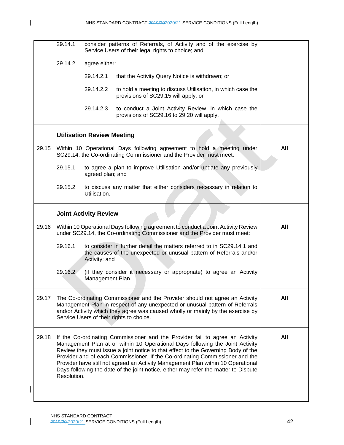$\mathsf{l}$ 

|       | 29.14.1     |                                   | consider patterns of Referrals, of Activity and of the exercise by<br>Service Users of their legal rights to choice; and                                                                                                                                                                                                                                                                                                                                                                                      |     |
|-------|-------------|-----------------------------------|---------------------------------------------------------------------------------------------------------------------------------------------------------------------------------------------------------------------------------------------------------------------------------------------------------------------------------------------------------------------------------------------------------------------------------------------------------------------------------------------------------------|-----|
|       | 29.14.2     | agree either:                     |                                                                                                                                                                                                                                                                                                                                                                                                                                                                                                               |     |
|       |             | 29.14.2.1                         | that the Activity Query Notice is withdrawn; or                                                                                                                                                                                                                                                                                                                                                                                                                                                               |     |
|       |             | 29.14.2.2                         | to hold a meeting to discuss Utilisation, in which case the<br>provisions of SC29.15 will apply; or                                                                                                                                                                                                                                                                                                                                                                                                           |     |
|       |             | 29.14.2.3                         | to conduct a Joint Activity Review, in which case the<br>provisions of SC29.16 to 29.20 will apply.                                                                                                                                                                                                                                                                                                                                                                                                           |     |
|       |             | <b>Utilisation Review Meeting</b> |                                                                                                                                                                                                                                                                                                                                                                                                                                                                                                               |     |
| 29.15 |             |                                   | Within 10 Operational Days following agreement to hold a meeting under<br>SC29.14, the Co-ordinating Commissioner and the Provider must meet:                                                                                                                                                                                                                                                                                                                                                                 | All |
|       | 29.15.1     | agreed plan; and                  | to agree a plan to improve Utilisation and/or update any previously                                                                                                                                                                                                                                                                                                                                                                                                                                           |     |
|       | 29.15.2     | Utilisation.                      | to discuss any matter that either considers necessary in relation to                                                                                                                                                                                                                                                                                                                                                                                                                                          |     |
|       |             | <b>Joint Activity Review</b>      |                                                                                                                                                                                                                                                                                                                                                                                                                                                                                                               |     |
| 29.16 |             |                                   | Within 10 Operational Days following agreement to conduct a Joint Activity Review<br>under SC29.14, the Co-ordinating Commissioner and the Provider must meet:                                                                                                                                                                                                                                                                                                                                                | All |
|       | 29.16.1     | Activity; and                     | to consider in further detail the matters referred to in SC29.14.1 and<br>the causes of the unexpected or unusual pattern of Referrals and/or                                                                                                                                                                                                                                                                                                                                                                 |     |
|       | 29.16.2     | Management Plan.                  | (if they consider it necessary or appropriate) to agree an Activity                                                                                                                                                                                                                                                                                                                                                                                                                                           |     |
| 29.17 |             |                                   | The Co-ordinating Commissioner and the Provider should not agree an Activity<br>Management Plan in respect of any unexpected or unusual pattern of Referrals<br>and/or Activity which they agree was caused wholly or mainly by the exercise by<br>Service Users of their rights to choice.                                                                                                                                                                                                                   | All |
| 29.18 | Resolution. |                                   | If the Co-ordinating Commissioner and the Provider fail to agree an Activity<br>Management Plan at or within 10 Operational Days following the Joint Activity<br>Review they must issue a joint notice to that effect to the Governing Body of the<br>Provider and of each Commissioner. If the Co-ordinating Commissioner and the<br>Provider have still not agreed an Activity Management Plan within 10 Operational<br>Days following the date of the joint notice, either may refer the matter to Dispute | All |
|       |             |                                   |                                                                                                                                                                                                                                                                                                                                                                                                                                                                                                               |     |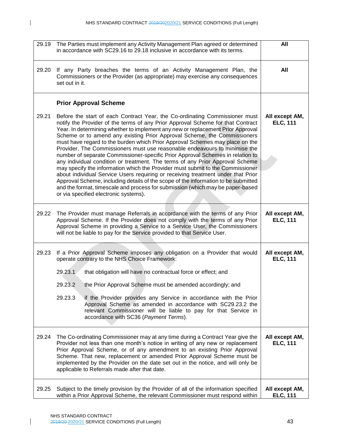| 29.19 | The Parties must implement any Activity Management Plan agreed or determined<br>in accordance with SC29.16 to 29.18 inclusive in accordance with its terms.                                                                                                                                                                                                                                                                                                                                                                                                                                                                                                                                                                                                                                                                                                                                                                                                                                                                                           | All                               |
|-------|-------------------------------------------------------------------------------------------------------------------------------------------------------------------------------------------------------------------------------------------------------------------------------------------------------------------------------------------------------------------------------------------------------------------------------------------------------------------------------------------------------------------------------------------------------------------------------------------------------------------------------------------------------------------------------------------------------------------------------------------------------------------------------------------------------------------------------------------------------------------------------------------------------------------------------------------------------------------------------------------------------------------------------------------------------|-----------------------------------|
| 29.20 | If any Party breaches the terms of an Activity Management Plan, the<br>Commissioners or the Provider (as appropriate) may exercise any consequences<br>set out in it.                                                                                                                                                                                                                                                                                                                                                                                                                                                                                                                                                                                                                                                                                                                                                                                                                                                                                 | All                               |
|       | <b>Prior Approval Scheme</b>                                                                                                                                                                                                                                                                                                                                                                                                                                                                                                                                                                                                                                                                                                                                                                                                                                                                                                                                                                                                                          |                                   |
| 29.21 | Before the start of each Contract Year, the Co-ordinating Commissioner must<br>notify the Provider of the terms of any Prior Approval Scheme for that Contract<br>Year. In determining whether to implement any new or replacement Prior Approval<br>Scheme or to amend any existing Prior Approval Scheme, the Commissioners<br>must have regard to the burden which Prior Approval Schemes may place on the<br>Provider. The Commissioners must use reasonable endeavours to minimise the<br>number of separate Commissioner-specific Prior Approval Schemes in relation to<br>any individual condition or treatment. The terms of any Prior Approval Scheme<br>may specify the information which the Provider must submit to the Commissioner<br>about individual Service Users requiring or receiving treatment under that Prior<br>Approval Scheme, including details of the scope of the information to be submitted<br>and the format, timescale and process for submission (which may be paper-based<br>or via specified electronic systems). | All except AM,<br><b>ELC, 111</b> |
| 29.22 | The Provider must manage Referrals in accordance with the terms of any Prior<br>Approval Scheme. If the Provider does not comply with the terms of any Prior<br>Approval Scheme in providing a Service to a Service User, the Commissioners<br>will not be liable to pay for the Service provided to that Service User.                                                                                                                                                                                                                                                                                                                                                                                                                                                                                                                                                                                                                                                                                                                               | All except AM,<br><b>ELC, 111</b> |
| 29.23 | If a Prior Approval Scheme imposes any obligation on a Provider that would<br>operate contrary to the NHS Choice Framework:<br>29.23.1<br>that obligation will have no contractual force or effect; and<br>29.23.2<br>the Prior Approval Scheme must be amended accordingly; and<br>29.23.3<br>if the Provider provides any Service in accordance with the Prior<br>Approval Scheme as amended in accordance with SC29.23.2 the<br>relevant Commissioner will be liable to pay for that Service in<br>accordance with SC36 (Payment Terms).                                                                                                                                                                                                                                                                                                                                                                                                                                                                                                           | All except AM,<br><b>ELC, 111</b> |
| 29.24 | The Co-ordinating Commissioner may at any time during a Contract Year give the<br>Provider not less than one month's notice in writing of any new or replacement<br>Prior Approval Scheme, or of any amendment to an existing Prior Approval<br>Scheme. That new, replacement or amended Prior Approval Scheme must be<br>implemented by the Provider on the date set out in the notice, and will only be<br>applicable to Referrals made after that date.                                                                                                                                                                                                                                                                                                                                                                                                                                                                                                                                                                                            | All except AM,<br><b>ELC, 111</b> |
| 29.25 | Subject to the timely provision by the Provider of all of the information specified<br>within a Prior Approval Scheme, the relevant Commissioner must respond within                                                                                                                                                                                                                                                                                                                                                                                                                                                                                                                                                                                                                                                                                                                                                                                                                                                                                  | All except AM,<br><b>ELC, 111</b> |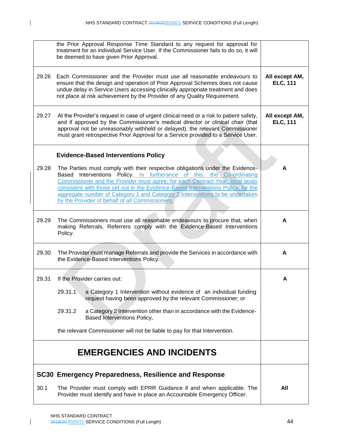$\mathbf{I}$ 

|       | the Prior Approval Response Time Standard to any request for approval for<br>treatment for an individual Service User. If the Commissioner fails to do so, it will<br>be deemed to have given Prior Approval.                                                                                                                                                                                                                                                   |                                   |
|-------|-----------------------------------------------------------------------------------------------------------------------------------------------------------------------------------------------------------------------------------------------------------------------------------------------------------------------------------------------------------------------------------------------------------------------------------------------------------------|-----------------------------------|
| 29.26 | Each Commissioner and the Provider must use all reasonable endeavours to<br>ensure that the design and operation of Prior Approval Schemes does not cause<br>undue delay in Service Users accessing clinically appropriate treatment and does<br>not place at risk achievement by the Provider of any Quality Requirement.                                                                                                                                      | All except AM,<br><b>ELC, 111</b> |
| 29.27 | At the Provider's request in case of urgent clinical need or a risk to patient safety,<br>and if approved by the Commissioner's medical director or clinical chair (that<br>approval not be unreasonably withheld or delayed), the relevant Commissioner<br>must grant retrospective Prior Approval for a Service provided to a Service User.                                                                                                                   | All except AM,<br><b>ELC, 111</b> |
|       | <b>Evidence-Based Interventions Policy</b>                                                                                                                                                                                                                                                                                                                                                                                                                      |                                   |
| 29.28 | The Parties must comply with their respective obligations under the Evidence-<br>Based Interventions Policy. In furtherance of this, the Co-ordinating<br>Commissioner and the Provider must agree, for each Contract Year, local goals<br>consistent with those set out in the Evidence-Based Interventions Policy, for the<br>aggregate number of Category 1 and Category 2 Interventions to be undertaken<br>by the Provider of behalf of all Commissioners. | A                                 |
| 29.29 | The Commissioners must use all reasonable endeavours to procure that, when<br>making Referrals, Referrers comply with the Evidence-Based Interventions<br>Policy.                                                                                                                                                                                                                                                                                               | A                                 |
| 29.30 | The Provider must manage Referrals and provide the Services in accordance with<br>the Evidence-Based Interventions Policy.                                                                                                                                                                                                                                                                                                                                      | A                                 |
| 29.31 | If the Provider carries out:                                                                                                                                                                                                                                                                                                                                                                                                                                    | Α                                 |
|       | 29.31.1<br>a Category 1 Intervention without evidence of an individual funding<br>request having been approved by the relevant Commissioner; or                                                                                                                                                                                                                                                                                                                 |                                   |
|       | 29.31.2<br>a Category 2 Intervention other than in accordance with the Evidence-<br>Based Interventions Policy,                                                                                                                                                                                                                                                                                                                                                 |                                   |
|       | the relevant Commissioner will not be liable to pay for that Intervention.                                                                                                                                                                                                                                                                                                                                                                                      |                                   |
|       | <b>EMERGENCIES AND INCIDENTS</b>                                                                                                                                                                                                                                                                                                                                                                                                                                |                                   |
|       | SC30 Emergency Preparedness, Resilience and Response                                                                                                                                                                                                                                                                                                                                                                                                            |                                   |
| 30.1  | The Provider must comply with EPRR Guidance if and when applicable. The<br>Provider must identify and have in place an Accountable Emergency Officer.                                                                                                                                                                                                                                                                                                           | All                               |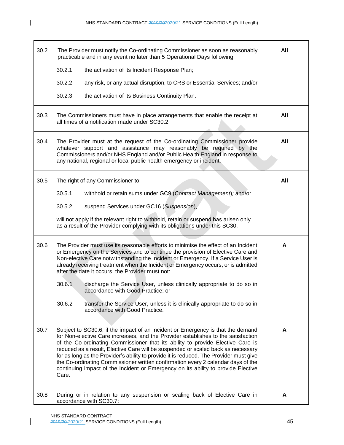$\mathbf I$ 

| 30.2 | The Provider must notify the Co-ordinating Commissioner as soon as reasonably<br>practicable and in any event no later than 5 Operational Days following:                                                                                                                                                                                                                                                                                                                                                                                                                                                              | All |
|------|------------------------------------------------------------------------------------------------------------------------------------------------------------------------------------------------------------------------------------------------------------------------------------------------------------------------------------------------------------------------------------------------------------------------------------------------------------------------------------------------------------------------------------------------------------------------------------------------------------------------|-----|
|      | 30.2.1<br>the activation of its Incident Response Plan;                                                                                                                                                                                                                                                                                                                                                                                                                                                                                                                                                                |     |
|      | 30.2.2<br>any risk, or any actual disruption, to CRS or Essential Services; and/or                                                                                                                                                                                                                                                                                                                                                                                                                                                                                                                                     |     |
|      | 30.2.3<br>the activation of its Business Continuity Plan.                                                                                                                                                                                                                                                                                                                                                                                                                                                                                                                                                              |     |
| 30.3 | The Commissioners must have in place arrangements that enable the receipt at<br>all times of a notification made under SC30.2.                                                                                                                                                                                                                                                                                                                                                                                                                                                                                         | All |
| 30.4 | The Provider must at the request of the Co-ordinating Commissioner provide<br>whatever support and assistance may reasonably be required by the<br>Commissioners and/or NHS England and/or Public Health England in response to<br>any national, regional or local public health emergency or incident.                                                                                                                                                                                                                                                                                                                | All |
| 30.5 | The right of any Commissioner to:                                                                                                                                                                                                                                                                                                                                                                                                                                                                                                                                                                                      | All |
|      | 30.5.1<br>withhold or retain sums under GC9 (Contract Management); and/or                                                                                                                                                                                                                                                                                                                                                                                                                                                                                                                                              |     |
|      | 30.5.2<br>suspend Services under GC16 (Suspension),                                                                                                                                                                                                                                                                                                                                                                                                                                                                                                                                                                    |     |
|      | will not apply if the relevant right to withhold, retain or suspend has arisen only<br>as a result of the Provider complying with its obligations under this SC30.                                                                                                                                                                                                                                                                                                                                                                                                                                                     |     |
| 30.6 | The Provider must use its reasonable efforts to minimise the effect of an Incident<br>or Emergency on the Services and to continue the provision of Elective Care and<br>Non-elective Care notwithstanding the Incident or Emergency. If a Service User is<br>already receiving treatment when the Incident or Emergency occurs, or is admitted<br>after the date it occurs, the Provider must not:                                                                                                                                                                                                                    | A   |
|      | 30.6.1<br>discharge the Service User, unless clinically appropriate to do so in<br>accordance with Good Practice; or                                                                                                                                                                                                                                                                                                                                                                                                                                                                                                   |     |
|      | 30.6.2<br>transfer the Service User, unless it is clinically appropriate to do so in<br>accordance with Good Practice.                                                                                                                                                                                                                                                                                                                                                                                                                                                                                                 |     |
| 30.7 | Subject to SC30.6, if the impact of an Incident or Emergency is that the demand<br>for Non-elective Care increases, and the Provider establishes to the satisfaction<br>of the Co-ordinating Commissioner that its ability to provide Elective Care is<br>reduced as a result, Elective Care will be suspended or scaled back as necessary<br>for as long as the Provider's ability to provide it is reduced. The Provider must give<br>the Co-ordinating Commissioner written confirmation every 2 calendar days of the<br>continuing impact of the Incident or Emergency on its ability to provide Elective<br>Care. | A   |
| 30.8 | During or in relation to any suspension or scaling back of Elective Care in<br>accordance with SC30.7:                                                                                                                                                                                                                                                                                                                                                                                                                                                                                                                 | A   |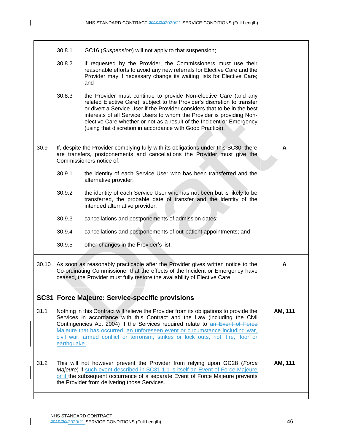|       | 30.8.1      | GC16 (Suspension) will not apply to that suspension;                                                                                                                                                                                                                                                                                                                                                                                     |         |
|-------|-------------|------------------------------------------------------------------------------------------------------------------------------------------------------------------------------------------------------------------------------------------------------------------------------------------------------------------------------------------------------------------------------------------------------------------------------------------|---------|
|       | 30.8.2      | if requested by the Provider, the Commissioners must use their<br>reasonable efforts to avoid any new referrals for Elective Care and the<br>Provider may if necessary change its waiting lists for Elective Care;<br>and                                                                                                                                                                                                                |         |
|       | 30.8.3      | the Provider must continue to provide Non-elective Care (and any<br>related Elective Care), subject to the Provider's discretion to transfer<br>or divert a Service User if the Provider considers that to be in the best<br>interests of all Service Users to whom the Provider is providing Non-<br>elective Care whether or not as a result of the Incident or Emergency<br>(using that discretion in accordance with Good Practice). |         |
| 30.9  |             | If, despite the Provider complying fully with its obligations under this SC30, there<br>are transfers, postponements and cancellations the Provider must give the<br>Commissioners notice of:                                                                                                                                                                                                                                            | А       |
|       | 30.9.1      | the identity of each Service User who has been transferred and the<br>alternative provider;                                                                                                                                                                                                                                                                                                                                              |         |
|       | 30.9.2      | the identity of each Service User who has not been but is likely to be<br>transferred, the probable date of transfer and the identity of the<br>intended alternative provider;                                                                                                                                                                                                                                                           |         |
|       | 30.9.3      | cancellations and postponements of admission dates;                                                                                                                                                                                                                                                                                                                                                                                      |         |
|       | 30.9.4      | cancellations and postponements of out-patient appointments; and                                                                                                                                                                                                                                                                                                                                                                         |         |
|       | 30.9.5      | other changes in the Provider's list.                                                                                                                                                                                                                                                                                                                                                                                                    |         |
| 30.10 |             | As soon as reasonably practicable after the Provider gives written notice to the<br>Co-ordinating Commissioner that the effects of the Incident or Emergency have<br>ceased, the Provider must fully restore the availability of Elective Care.                                                                                                                                                                                          | A       |
|       |             | <b>SC31 Force Majeure: Service-specific provisions</b>                                                                                                                                                                                                                                                                                                                                                                                   |         |
| 31.1  | earthquake. | Nothing in this Contract will relieve the Provider from its obligations to provide the<br>Services in accordance with this Contract and the Law (including the Civil<br>Contingencies Act 2004) if the Services required relate to an Event of Force<br>Majeure that has occurred. an unforeseen event or circumstance including war,<br>civil war, armed conflict or terrorism, strikes or lock outs, riot, fire, floor or              | AM, 111 |
| 31.2  |             | This will not however prevent the Provider from relying upon GC28 (Force<br>Majeure) if such event described in SC31.1.1 is itself an Event of Force Majeure<br>or if the subsequent occurrence of a separate Event of Force Majeure prevents<br>the Provider from delivering those Services.                                                                                                                                            | AM, 111 |
|       |             |                                                                                                                                                                                                                                                                                                                                                                                                                                          |         |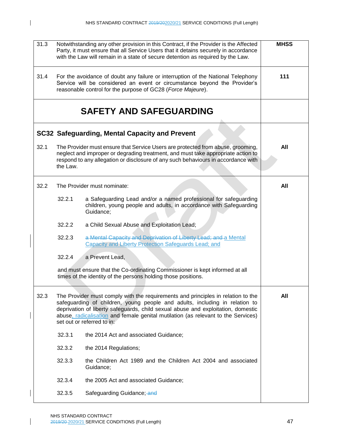$\mathbf{I}$ 

 $\mathsf{l}$ 

| 31.3 |          | Notwithstanding any other provision in this Contract, if the Provider is the Affected<br>Party, it must ensure that all Service Users that it detains securely in accordance<br>with the Law will remain in a state of secure detention as required by the Law.                                                                                                        | <b>MHSS</b> |
|------|----------|------------------------------------------------------------------------------------------------------------------------------------------------------------------------------------------------------------------------------------------------------------------------------------------------------------------------------------------------------------------------|-------------|
| 31.4 |          | For the avoidance of doubt any failure or interruption of the National Telephony<br>Service will be considered an event or circumstance beyond the Provider's<br>reasonable control for the purpose of GC28 (Force Majeure).                                                                                                                                           | 111         |
|      |          | <b>SAFETY AND SAFEGUARDING</b>                                                                                                                                                                                                                                                                                                                                         |             |
|      |          | SC32 Safeguarding, Mental Capacity and Prevent                                                                                                                                                                                                                                                                                                                         |             |
| 32.1 | the Law. | The Provider must ensure that Service Users are protected from abuse, grooming,<br>neglect and improper or degrading treatment, and must take appropriate action to<br>respond to any allegation or disclosure of any such behaviours in accordance with                                                                                                               | All         |
| 32.2 |          | The Provider must nominate:                                                                                                                                                                                                                                                                                                                                            | All         |
|      | 32.2.1   | a Safeguarding Lead and/or a named professional for safeguarding<br>children, young people and adults, in accordance with Safeguarding<br>Guidance;                                                                                                                                                                                                                    |             |
|      | 32.2.2   | a Child Sexual Abuse and Exploitation Lead;                                                                                                                                                                                                                                                                                                                            |             |
|      | 32.2.3   | a Mental Capacity and Deprivation of Liberty Lead; and a Mental<br><b>Capacity and Liberty Protection Safeguards Lead; and</b>                                                                                                                                                                                                                                         |             |
|      | 32.2.4   | a Prevent Lead,                                                                                                                                                                                                                                                                                                                                                        |             |
|      |          | and must ensure that the Co-ordinating Commissioner is kept informed at all<br>times of the identity of the persons holding those positions.                                                                                                                                                                                                                           |             |
| 32.3 |          | The Provider must comply with the requirements and principles in relation to the<br>safeguarding of children, young people and adults, including in relation to<br>deprivation of liberty safeguards, child sexual abuse and exploitation, domestic<br>abuse, radicalisation and female genital mutilation (as relevant to the Services)<br>set out or referred to in: | All         |
|      | 32.3.1   | the 2014 Act and associated Guidance;                                                                                                                                                                                                                                                                                                                                  |             |
|      | 32.3.2   | the 2014 Regulations;                                                                                                                                                                                                                                                                                                                                                  |             |
|      | 32.3.3   | the Children Act 1989 and the Children Act 2004 and associated<br>Guidance;                                                                                                                                                                                                                                                                                            |             |
|      | 32.3.4   | the 2005 Act and associated Guidance;                                                                                                                                                                                                                                                                                                                                  |             |
|      | 32.3.5   | Safeguarding Guidance; and                                                                                                                                                                                                                                                                                                                                             |             |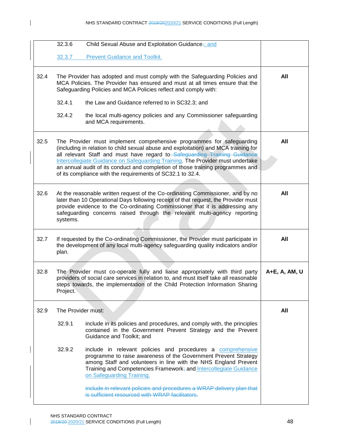$\mathsf{I}$ 

|      | 32.3.6   | Child Sexual Abuse and Exploitation Guidance-; and                                                                                                                                                                                                                                                                                                                                                                                                                          |               |
|------|----------|-----------------------------------------------------------------------------------------------------------------------------------------------------------------------------------------------------------------------------------------------------------------------------------------------------------------------------------------------------------------------------------------------------------------------------------------------------------------------------|---------------|
|      | 32.3.7   | <b>Prevent Guidance and Toolkit.</b>                                                                                                                                                                                                                                                                                                                                                                                                                                        |               |
| 32.4 |          | The Provider has adopted and must comply with the Safeguarding Policies and<br>MCA Policies. The Provider has ensured and must at all times ensure that the<br>Safeguarding Policies and MCA Policies reflect and comply with:                                                                                                                                                                                                                                              | All           |
|      | 32.4.1   | the Law and Guidance referred to in SC32.3; and                                                                                                                                                                                                                                                                                                                                                                                                                             |               |
|      | 32.4.2   | the local multi-agency policies and any Commissioner safeguarding<br>and MCA requirements.                                                                                                                                                                                                                                                                                                                                                                                  |               |
| 32.5 |          | The Provider must implement comprehensive programmes for safeguarding<br>(including in relation to child sexual abuse and exploitation) and MCA training for<br>all relevant Staff and must have regard to Safeguarding Training Guidance<br>Intercollegiate Guidance on Safeguarding Training. The Provider must undertake<br>an annual audit of its conduct and completion of those training programmes and<br>of its compliance with the requirements of SC32.1 to 32.4. | All           |
| 32.6 | systems. | At the reasonable written request of the Co-ordinating Commissioner, and by no<br>later than 10 Operational Days following receipt of that request, the Provider must<br>provide evidence to the Co-ordinating Commissioner that it is addressing any<br>safeguarding concerns raised through the relevant multi-agency reporting                                                                                                                                           | All           |
| 32.7 | plan.    | If requested by the Co-ordinating Commissioner, the Provider must participate in<br>the development of any local multi-agency safeguarding quality indicators and/or                                                                                                                                                                                                                                                                                                        | All           |
| 32.8 | Project. | The Provider must co-operate fully and liaise appropriately with third party<br>providers of social care services in relation to, and must itself take all reasonable<br>steps towards, the implementation of the Child Protection Information Sharing                                                                                                                                                                                                                      | A+E, A, AM, U |
| 32.9 |          | The Provider must:                                                                                                                                                                                                                                                                                                                                                                                                                                                          | All           |
|      | 32.9.1   | include in its policies and procedures, and comply with, the principles<br>contained in the Government Prevent Strategy and the Prevent<br>Guidance and Toolkit; and                                                                                                                                                                                                                                                                                                        |               |
|      | 32.9.2   | include in relevant policies and procedures a comprehensive<br>programme to raise awareness of the Government Prevent Strategy<br>among Staff and volunteers in line with the NHS England Prevent<br>Training and Competencies Framework; and Intercollegiate Guidance<br>on Safeguarding Training.                                                                                                                                                                         |               |
|      |          | include in relevant policies and procedures a WRAP delivery plan that<br>is sufficient resourced with WRAP facilitators.                                                                                                                                                                                                                                                                                                                                                    |               |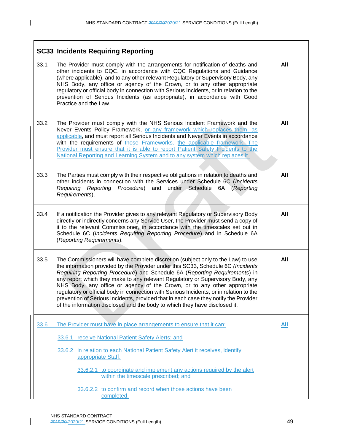|      | <b>SC33 Incidents Requiring Reporting</b>                                                                                                                                                                                                                                                                                                                                                                                                                                                                                                                                                                                                                                         |            |
|------|-----------------------------------------------------------------------------------------------------------------------------------------------------------------------------------------------------------------------------------------------------------------------------------------------------------------------------------------------------------------------------------------------------------------------------------------------------------------------------------------------------------------------------------------------------------------------------------------------------------------------------------------------------------------------------------|------------|
| 33.1 | The Provider must comply with the arrangements for notification of deaths and<br>other incidents to CQC, in accordance with CQC Regulations and Guidance<br>(where applicable), and to any other relevant Regulatory or Supervisory Body, any<br>NHS Body, any office or agency of the Crown, or to any other appropriate<br>regulatory or official body in connection with Serious Incidents, or in relation to the<br>prevention of Serious Incidents (as appropriate), in accordance with Good<br>Practice and the Law.                                                                                                                                                        | All        |
| 33.2 | The Provider must comply with the NHS Serious Incident Framework and the<br>Never Events Policy Framework, or any framework which replaces them, as<br>applicable, and must report all Serious Incidents and Never Events in accordance<br>with the requirements of those Frameworks. the applicable framework. The<br>Provider must ensure that it is able to report Patient Safety Incidents to the<br>National Reporting and Learning System and to any system which replaces it.                                                                                                                                                                                              | All        |
| 33.3 | The Parties must comply with their respective obligations in relation to deaths and<br>other incidents in connection with the Services under Schedule 6C (Incidents<br>Requiring Reporting Procedure) and under Schedule<br>6A (Reporting<br>Requirements).                                                                                                                                                                                                                                                                                                                                                                                                                       | <b>All</b> |
| 33.4 | If a notification the Provider gives to any relevant Regulatory or Supervisory Body<br>directly or indirectly concerns any Service User, the Provider must send a copy of<br>it to the relevant Commissioner, in accordance with the timescales set out in<br>Schedule 6C (Incidents Requiring Reporting Procedure) and in Schedule 6A<br>(Reporting Requirements).                                                                                                                                                                                                                                                                                                               | All        |
| 33.5 | The Commissioners will have complete discretion (subject only to the Law) to use<br>the information provided by the Provider under this SC33, Schedule 6C (Incidents<br>Requiring Reporting Procedure) and Schedule 6A (Reporting Requirements) in<br>any report which they make to any relevant Regulatory or Supervisory Body, any<br>NHS Body, any office or agency of the Crown, or to any other appropriate<br>regulatory or official body in connection with Serious Incidents, or in relation to the<br>prevention of Serious Incidents, provided that in each case they notify the Provider<br>of the information disclosed and the body to which they have disclosed it. | All        |
| 33.6 | The Provider must have in place arrangements to ensure that it can:                                                                                                                                                                                                                                                                                                                                                                                                                                                                                                                                                                                                               | All        |
|      | 33.6.1 receive National Patient Safety Alerts; and                                                                                                                                                                                                                                                                                                                                                                                                                                                                                                                                                                                                                                |            |
|      | 33.6.2 in relation to each National Patient Safety Alert it receives, identify<br>appropriate Staff:                                                                                                                                                                                                                                                                                                                                                                                                                                                                                                                                                                              |            |
|      | 33.6.2.1 to coordinate and implement any actions required by the alert<br>within the timescale prescribed; and                                                                                                                                                                                                                                                                                                                                                                                                                                                                                                                                                                    |            |
|      | 33.6.2.2 to confirm and record when those actions have been<br>completed.                                                                                                                                                                                                                                                                                                                                                                                                                                                                                                                                                                                                         |            |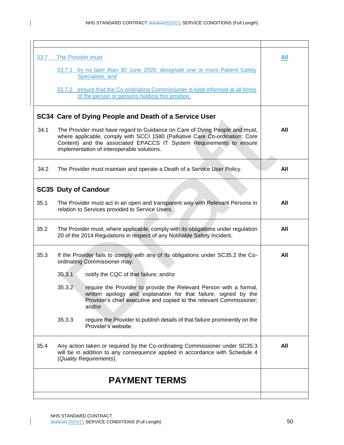$\mathbf{I}$ 

| 33.7 | The Provider must                                                                                                                                                                                                                                                                | All |
|------|----------------------------------------------------------------------------------------------------------------------------------------------------------------------------------------------------------------------------------------------------------------------------------|-----|
|      | 33.7.1 by no later than 30 June 2020, designate one or more Patient Safety<br>Specialists; and                                                                                                                                                                                   |     |
|      | 33.7.2 ensure that the Co-ordinating Commissioner is kept informed at all times<br>of the person or persons holding this position.                                                                                                                                               |     |
|      | SC34 Care of Dying People and Death of a Service User                                                                                                                                                                                                                            |     |
| 34.1 | The Provider must have regard to Guidance on Care of Dying People and must,<br>where applicable, comply with SCCI 1580 (Palliative Care Co-ordination: Core<br>Content) and the associated EPACCS IT System Requirements to ensure<br>implementation of interoperable solutions. | All |
| 34.2 | The Provider must maintain and operate a Death of a Service User Policy.                                                                                                                                                                                                         | All |
|      | <b>SC35 Duty of Candour</b>                                                                                                                                                                                                                                                      |     |
| 35.1 | The Provider must act in an open and transparent way with Relevant Persons in<br>relation to Services provided to Service Users.                                                                                                                                                 | All |
| 35.2 | The Provider must, where applicable, comply with its obligations under regulation<br>20 of the 2014 Regulations in respect of any Notifiable Safety Incident.                                                                                                                    | All |
| 35.3 | If the Provider fails to comply with any of its obligations under SC35.2 the Co-<br>ordinating Commissioner may:                                                                                                                                                                 | All |
|      | 35.3.1<br>notify the CQC of that failure; and/or                                                                                                                                                                                                                                 |     |
|      | 35.3.2<br>require the Provider to provide the Relevant Person with a formal,<br>written apology and explanation for that failure, signed by the<br>Provider's chief executive and copied to the relevant Commissioner;<br>and/or                                                 |     |
|      | 35.3.3<br>require the Provider to publish details of that failure prominently on the<br>Provider's website.                                                                                                                                                                      |     |
| 35.4 | Any action taken or required by the Co-ordinating Commissioner under SC35.3<br>will be in addition to any consequence applied in accordance with Schedule 4<br>(Quality Requirements).                                                                                           | All |
|      | <b>PAYMENT TERMS</b>                                                                                                                                                                                                                                                             |     |
|      |                                                                                                                                                                                                                                                                                  |     |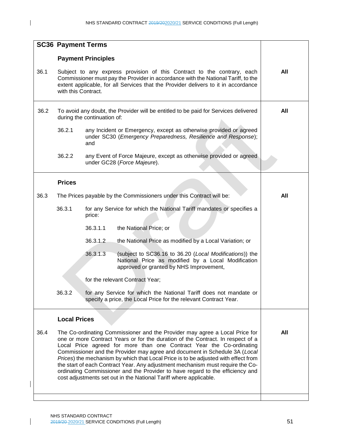| All |
|-----|
| All |
|     |
|     |
|     |
| All |
|     |
|     |
|     |
|     |
|     |
|     |
|     |
| All |
|     |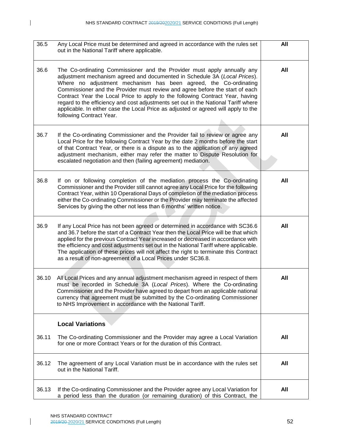| 36.5  | Any Local Price must be determined and agreed in accordance with the rules set<br>out in the National Tariff where applicable.                                                                                                                                                                                                                                                                                                                                                                                                                                                                    | All |
|-------|---------------------------------------------------------------------------------------------------------------------------------------------------------------------------------------------------------------------------------------------------------------------------------------------------------------------------------------------------------------------------------------------------------------------------------------------------------------------------------------------------------------------------------------------------------------------------------------------------|-----|
| 36.6  | The Co-ordinating Commissioner and the Provider must apply annually any<br>adjustment mechanism agreed and documented in Schedule 3A (Local Prices).<br>Where no adjustment mechanism has been agreed, the Co-ordinating<br>Commissioner and the Provider must review and agree before the start of each<br>Contract Year the Local Price to apply to the following Contract Year, having<br>regard to the efficiency and cost adjustments set out in the National Tariff where<br>applicable. In either case the Local Price as adjusted or agreed will apply to the<br>following Contract Year. | All |
| 36.7  | If the Co-ordinating Commissioner and the Provider fail to review or agree any<br>Local Price for the following Contract Year by the date 2 months before the start<br>of that Contract Year, or there is a dispute as to the application of any agreed<br>adjustment mechanism, either may refer the matter to Dispute Resolution for<br>escalated negotiation and then (failing agreement) mediation.                                                                                                                                                                                           | All |
| 36.8  | If on or following completion of the mediation process the Co-ordinating<br>Commissioner and the Provider still cannot agree any Local Price for the following<br>Contract Year, within 10 Operational Days of completion of the mediation process<br>either the Co-ordinating Commissioner or the Provider may terminate the affected<br>Services by giving the other not less than 6 months' written notice.                                                                                                                                                                                    | All |
| 36.9  | If any Local Price has not been agreed or determined in accordance with SC36.6<br>and 36.7 before the start of a Contract Year then the Local Price will be that which<br>applied for the previous Contract Year increased or decreased in accordance with<br>the efficiency and cost adjustments set out in the National Tariff where applicable.<br>The application of these prices will not affect the right to terminate this Contract<br>as a result of non-agreement of a Local Prices under SC36.8.                                                                                        | All |
| 36.10 | All Local Prices and any annual adjustment mechanism agreed in respect of them<br>must be recorded in Schedule 3A (Local Prices). Where the Co-ordinating<br>Commissioner and the Provider have agreed to depart from an applicable national<br>currency that agreement must be submitted by the Co-ordinating Commissioner<br>to NHS Improvement in accordance with the National Tariff.                                                                                                                                                                                                         | All |
|       | <b>Local Variations</b>                                                                                                                                                                                                                                                                                                                                                                                                                                                                                                                                                                           |     |
| 36.11 | The Co-ordinating Commissioner and the Provider may agree a Local Variation<br>for one or more Contract Years or for the duration of this Contract.                                                                                                                                                                                                                                                                                                                                                                                                                                               | All |
| 36.12 | The agreement of any Local Variation must be in accordance with the rules set<br>out in the National Tariff.                                                                                                                                                                                                                                                                                                                                                                                                                                                                                      | All |
| 36.13 | If the Co-ordinating Commissioner and the Provider agree any Local Variation for<br>a period less than the duration (or remaining duration) of this Contract, the                                                                                                                                                                                                                                                                                                                                                                                                                                 | All |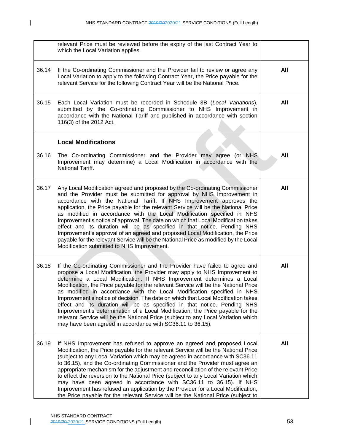|       | relevant Price must be reviewed before the expiry of the last Contract Year to<br>which the Local Variation applies.                                                                                                                                                                                                                                                                                                                                                                                                                                                                                                                                                                                                                                                                                      |     |
|-------|-----------------------------------------------------------------------------------------------------------------------------------------------------------------------------------------------------------------------------------------------------------------------------------------------------------------------------------------------------------------------------------------------------------------------------------------------------------------------------------------------------------------------------------------------------------------------------------------------------------------------------------------------------------------------------------------------------------------------------------------------------------------------------------------------------------|-----|
| 36.14 | If the Co-ordinating Commissioner and the Provider fail to review or agree any<br>Local Variation to apply to the following Contract Year, the Price payable for the<br>relevant Service for the following Contract Year will be the National Price.                                                                                                                                                                                                                                                                                                                                                                                                                                                                                                                                                      | All |
| 36.15 | Each Local Variation must be recorded in Schedule 3B (Local Variations),<br>submitted by the Co-ordinating Commissioner to NHS Improvement in<br>accordance with the National Tariff and published in accordance with section<br>116(3) of the 2012 Act.                                                                                                                                                                                                                                                                                                                                                                                                                                                                                                                                                  | All |
|       | <b>Local Modifications</b>                                                                                                                                                                                                                                                                                                                                                                                                                                                                                                                                                                                                                                                                                                                                                                                |     |
| 36.16 | The Co-ordinating Commissioner and the Provider may agree (or NHS<br>Improvement may determine) a Local Modification in accordance with the<br>National Tariff.                                                                                                                                                                                                                                                                                                                                                                                                                                                                                                                                                                                                                                           | All |
| 36.17 | Any Local Modification agreed and proposed by the Co-ordinating Commissioner<br>and the Provider must be submitted for approval by NHS Improvement in<br>accordance with the National Tariff. If NHS Improvement approves the<br>application, the Price payable for the relevant Service will be the National Price<br>as modified in accordance with the Local Modification specified in NHS<br>Improvement's notice of approval. The date on which that Local Modification takes<br>effect and its duration will be as specified in that notice. Pending NHS<br>Improvement's approval of an agreed and proposed Local Modification, the Price<br>payable for the relevant Service will be the National Price as modified by the Local<br>Modification submitted to NHS Improvement.                    | All |
| 36.18 | If the Co-ordinating Commissioner and the Provider have failed to agree and<br>propose a Local Modification, the Provider may apply to NHS Improvement to<br>determine a Local Modification. If NHS Improvement determines a Local<br>Modification, the Price payable for the relevant Service will be the National Price<br>as modified in accordance with the Local Modification specified in NHS<br>Improvement's notice of decision. The date on which that Local Modification takes<br>effect and its duration will be as specified in that notice. Pending NHS<br>Improvement's determination of a Local Modification, the Price payable for the<br>relevant Service will be the National Price (subject to any Local Variation which<br>may have been agreed in accordance with SC36.11 to 36.15). | All |
| 36.19 | If NHS Improvement has refused to approve an agreed and proposed Local<br>Modification, the Price payable for the relevant Service will be the National Price<br>(subject to any Local Variation which may be agreed in accordance with SC36.11<br>to 36.15), and the Co-ordinating Commissioner and the Provider must agree an<br>appropriate mechanism for the adjustment and reconciliation of the relevant Price<br>to effect the reversion to the National Price (subject to any Local Variation which<br>may have been agreed in accordance with SC36.11 to 36.15). If NHS<br>Improvement has refused an application by the Provider for a Local Modification,<br>the Price payable for the relevant Service will be the National Price (subject to                                                 | All |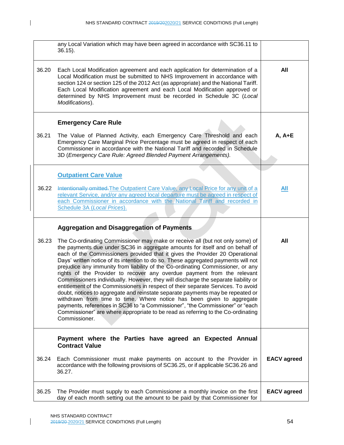|       | any Local Variation which may have been agreed in accordance with SC36.11 to<br>$36.15$ ).                                                                                                                                                                                                                                                                                                                                                                                                                                                                                                                                                                                                                                                                                                                                                                                                                                                                                                                                   |                    |
|-------|------------------------------------------------------------------------------------------------------------------------------------------------------------------------------------------------------------------------------------------------------------------------------------------------------------------------------------------------------------------------------------------------------------------------------------------------------------------------------------------------------------------------------------------------------------------------------------------------------------------------------------------------------------------------------------------------------------------------------------------------------------------------------------------------------------------------------------------------------------------------------------------------------------------------------------------------------------------------------------------------------------------------------|--------------------|
| 36.20 | Each Local Modification agreement and each application for determination of a<br>Local Modification must be submitted to NHS Improvement in accordance with<br>section 124 or section 125 of the 2012 Act (as appropriate) and the National Tariff.<br>Each Local Modification agreement and each Local Modification approved or<br>determined by NHS Improvement must be recorded in Schedule 3C (Local<br>Modifications).                                                                                                                                                                                                                                                                                                                                                                                                                                                                                                                                                                                                  | All                |
|       | <b>Emergency Care Rule</b>                                                                                                                                                                                                                                                                                                                                                                                                                                                                                                                                                                                                                                                                                                                                                                                                                                                                                                                                                                                                   |                    |
| 36.21 | The Value of Planned Activity, each Emergency Care Threshold and each<br>Emergency Care Marginal Price Percentage must be agreed in respect of each<br>Commissioner in accordance with the National Tariff and recorded in Schedule<br>3D (Emergency Care Rule: Agreed Blended Payment Arrangements).                                                                                                                                                                                                                                                                                                                                                                                                                                                                                                                                                                                                                                                                                                                        | $A, A + E$         |
|       | <b>Outpatient Care Value</b>                                                                                                                                                                                                                                                                                                                                                                                                                                                                                                                                                                                                                                                                                                                                                                                                                                                                                                                                                                                                 |                    |
| 36.22 | Intentionally omitted. The Outpatient Care Value, any Local Price for any unit of a<br>relevant Service, and/or any agreed local departure must be agreed in respect of<br>each Commissioner in accordance with the National Tariff and recorded in<br>Schedule 3A (Local Prices).                                                                                                                                                                                                                                                                                                                                                                                                                                                                                                                                                                                                                                                                                                                                           | <b>All</b>         |
|       | <b>Aggregation and Disaggregation of Payments</b>                                                                                                                                                                                                                                                                                                                                                                                                                                                                                                                                                                                                                                                                                                                                                                                                                                                                                                                                                                            |                    |
| 36.23 | The Co-ordinating Commissioner may make or receive all (but not only some) of<br>the payments due under SC36 in aggregate amounts for itself and on behalf of<br>each of the Commissioners provided that it gives the Provider 20 Operational<br>Days' written notice of its intention to do so. These aggregated payments will not<br>prejudice any immunity from liability of the Co-ordinating Commissioner, or any<br>rights of the Provider to recover any overdue payment from the relevant<br>Commissioners individually. However, they will discharge the separate liability or<br>entitlement of the Commissioners in respect of their separate Services. To avoid<br>doubt, notices to aggregate and reinstate separate payments may be repeated or<br>withdrawn from time to time. Where notice has been given to aggregate<br>payments, references in SC36 to "a Commissioner", "the Commissioner" or "each<br>Commissioner" are where appropriate to be read as referring to the Co-ordinating<br>Commissioner. | All                |
|       | Payment where the Parties have agreed an Expected Annual<br><b>Contract Value</b>                                                                                                                                                                                                                                                                                                                                                                                                                                                                                                                                                                                                                                                                                                                                                                                                                                                                                                                                            |                    |
| 36.24 | Each Commissioner must make payments on account to the Provider in<br>accordance with the following provisions of SC36.25, or if applicable SC36.26 and<br>36.27.                                                                                                                                                                                                                                                                                                                                                                                                                                                                                                                                                                                                                                                                                                                                                                                                                                                            | <b>EACV</b> agreed |
| 36.25 | The Provider must supply to each Commissioner a monthly invoice on the first<br>day of each month setting out the amount to be paid by that Commissioner for                                                                                                                                                                                                                                                                                                                                                                                                                                                                                                                                                                                                                                                                                                                                                                                                                                                                 | <b>EACV</b> agreed |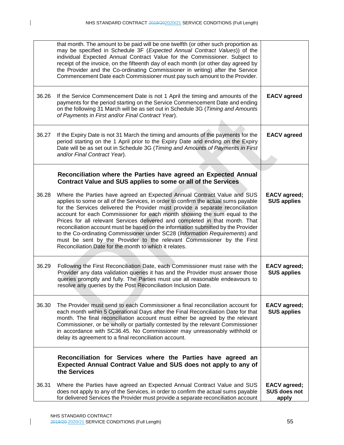|       | that month. The amount to be paid will be one twelfth (or other such proportion as<br>may be specified in Schedule 3F (Expected Annual Contract Values)) of the<br>individual Expected Annual Contract Value for the Commissioner. Subject to<br>receipt of the invoice, on the fifteenth day of each month (or other day agreed by<br>the Provider and the Co-ordinating Commissioner in writing) after the Service<br>Commencement Date each Commissioner must pay such amount to the Provider.                                                                                                                                                                                                                     |                                              |
|-------|-----------------------------------------------------------------------------------------------------------------------------------------------------------------------------------------------------------------------------------------------------------------------------------------------------------------------------------------------------------------------------------------------------------------------------------------------------------------------------------------------------------------------------------------------------------------------------------------------------------------------------------------------------------------------------------------------------------------------|----------------------------------------------|
| 36.26 | If the Service Commencement Date is not 1 April the timing and amounts of the<br>payments for the period starting on the Service Commencement Date and ending<br>on the following 31 March will be as set out in Schedule 3G (Timing and Amounts<br>of Payments in First and/or Final Contract Year).                                                                                                                                                                                                                                                                                                                                                                                                                 | <b>EACV</b> agreed                           |
| 36.27 | If the Expiry Date is not 31 March the timing and amounts of the payments for the<br>period starting on the 1 April prior to the Expiry Date and ending on the Expiry<br>Date will be as set out in Schedule 3G (Timing and Amounts of Payments in First<br>and/or Final Contract Year).                                                                                                                                                                                                                                                                                                                                                                                                                              | <b>EACV</b> agreed                           |
|       | Reconciliation where the Parties have agreed an Expected Annual<br>Contract Value and SUS applies to some or all of the Services                                                                                                                                                                                                                                                                                                                                                                                                                                                                                                                                                                                      |                                              |
| 36.28 | Where the Parties have agreed an Expected Annual Contract Value and SUS<br>applies to some or all of the Services, in order to confirm the actual sums payable<br>for the Services delivered the Provider must provide a separate reconciliation<br>account for each Commissioner for each month showing the sum equal to the<br>Prices for all relevant Services delivered and completed in that month. That<br>reconciliation account must be based on the information submitted by the Provider<br>to the Co-ordinating Commissioner under SC28 (Information Requirements) and<br>must be sent by the Provider to the relevant Commissioner by the First<br>Reconciliation Date for the month to which it relates. | <b>EACV</b> agreed;<br><b>SUS applies</b>    |
| 36.29 | Following the First Reconciliation Date, each Commissioner must raise with the<br>Provider any data validation queries it has and the Provider must answer those<br>queries promptly and fully. The Parties must use all reasonable endeavours to<br>resolve any queries by the Post Reconciliation Inclusion Date.                                                                                                                                                                                                                                                                                                                                                                                                   | <b>EACV</b> agreed;<br><b>SUS applies</b>    |
| 36.30 | The Provider must send to each Commissioner a final reconciliation account for<br>each month within 5 Operational Days after the Final Reconciliation Date for that<br>month. The final reconciliation account must either be agreed by the relevant<br>Commissioner, or be wholly or partially contested by the relevant Commissioner<br>in accordance with SC36.45. No Commissioner may unreasonably withhold or<br>delay its agreement to a final reconciliation account.                                                                                                                                                                                                                                          | <b>EACV</b> agreed;<br><b>SUS applies</b>    |
|       | Reconciliation for Services where the Parties have agreed an<br>Expected Annual Contract Value and SUS does not apply to any of<br>the Services                                                                                                                                                                                                                                                                                                                                                                                                                                                                                                                                                                       |                                              |
| 36.31 | Where the Parties have agreed an Expected Annual Contract Value and SUS<br>does not apply to any of the Services, in order to confirm the actual sums payable<br>for delivered Services the Provider must provide a separate reconciliation account                                                                                                                                                                                                                                                                                                                                                                                                                                                                   | <b>EACV</b> agreed;<br>SUS does not<br>apply |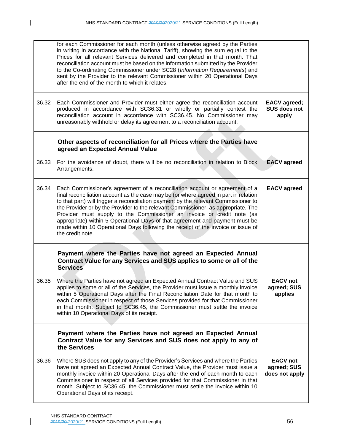|       | for each Commissioner for each month (unless otherwise agreed by the Parties<br>in writing in accordance with the National Tariff), showing the sum equal to the<br>Prices for all relevant Services delivered and completed in that month. That<br>reconciliation account must be based on the information submitted by the Provider<br>to the Co-ordinating Commissioner under SC28 (Information Requirements) and<br>sent by the Provider to the relevant Commissioner within 20 Operational Days<br>after the end of the month to which it relates.                                                           |                                                  |
|-------|-------------------------------------------------------------------------------------------------------------------------------------------------------------------------------------------------------------------------------------------------------------------------------------------------------------------------------------------------------------------------------------------------------------------------------------------------------------------------------------------------------------------------------------------------------------------------------------------------------------------|--------------------------------------------------|
| 36.32 | Each Commissioner and Provider must either agree the reconciliation account<br>produced in accordance with SC36.31 or wholly or partially contest the<br>reconciliation account in accordance with SC36.45. No Commissioner may<br>unreasonably withhold or delay its agreement to a reconciliation account.                                                                                                                                                                                                                                                                                                      | <b>EACV</b> agreed;<br>SUS does not<br>apply     |
|       | Other aspects of reconciliation for all Prices where the Parties have<br>agreed an Expected Annual Value                                                                                                                                                                                                                                                                                                                                                                                                                                                                                                          |                                                  |
| 36.33 | For the avoidance of doubt, there will be no reconciliation in relation to Block<br>Arrangements.                                                                                                                                                                                                                                                                                                                                                                                                                                                                                                                 | <b>EACV</b> agreed                               |
| 36.34 | Each Commissioner's agreement of a reconciliation account or agreement of a<br>final reconciliation account as the case may be (or where agreed in part in relation<br>to that part) will trigger a reconciliation payment by the relevant Commissioner to<br>the Provider or by the Provider to the relevant Commissioner, as appropriate. The<br>Provider must supply to the Commissioner an invoice or credit note (as<br>appropriate) within 5 Operational Days of that agreement and payment must be<br>made within 10 Operational Days following the receipt of the invoice or issue of<br>the credit note. | <b>EACV</b> agreed                               |
|       | Payment where the Parties have not agreed an Expected Annual<br>Contract Value for any Services and SUS applies to some or all of the<br><b>Services</b>                                                                                                                                                                                                                                                                                                                                                                                                                                                          |                                                  |
| 36.35 | Where the Parties have not agreed an Expected Annual Contract Value and SUS<br>applies to some or all of the Services, the Provider must issue a monthly invoice<br>within 5 Operational Days after the Final Reconciliation Date for that month to<br>each Commissioner in respect of those Services provided for that Commissioner<br>in that month. Subject to SC36.45, the Commissioner must settle the invoice<br>within 10 Operational Days of its receipt.                                                                                                                                                 | <b>EACV</b> not<br>agreed; SUS<br>applies        |
|       | Payment where the Parties have not agreed an Expected Annual<br>Contract Value for any Services and SUS does not apply to any of<br>the Services                                                                                                                                                                                                                                                                                                                                                                                                                                                                  |                                                  |
| 36.36 | Where SUS does not apply to any of the Provider's Services and where the Parties<br>have not agreed an Expected Annual Contract Value, the Provider must issue a<br>monthly invoice within 20 Operational Days after the end of each month to each<br>Commissioner in respect of all Services provided for that Commissioner in that<br>month. Subject to SC36.45, the Commissioner must settle the invoice within 10<br>Operational Days of its receipt.                                                                                                                                                         | <b>EACV</b> not<br>agreed; SUS<br>does not apply |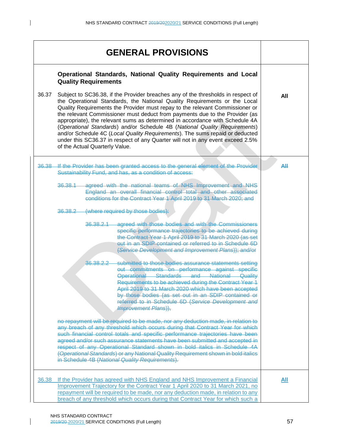|       | <b>GENERAL PROVISIONS</b>                                                                                                                                                                                                                                                                                                                                                                                                                                                                                                                                                                                                                                                                      |     |  |  |  |
|-------|------------------------------------------------------------------------------------------------------------------------------------------------------------------------------------------------------------------------------------------------------------------------------------------------------------------------------------------------------------------------------------------------------------------------------------------------------------------------------------------------------------------------------------------------------------------------------------------------------------------------------------------------------------------------------------------------|-----|--|--|--|
|       | Operational Standards, National Quality Requirements and Local<br><b>Quality Requirements</b>                                                                                                                                                                                                                                                                                                                                                                                                                                                                                                                                                                                                  |     |  |  |  |
| 36.37 | Subject to SC36.38, if the Provider breaches any of the thresholds in respect of<br>the Operational Standards, the National Quality Requirements or the Local<br>Quality Requirements the Provider must repay to the relevant Commissioner or<br>the relevant Commissioner must deduct from payments due to the Provider (as<br>appropriate), the relevant sums as determined in accordance with Schedule 4A<br>(Operational Standards) and/or Schedule 4B (National Quality Requirements)<br>and/or Schedule 4C (Local Quality Requirements). The sums repaid or deducted<br>under this SC36.37 in respect of any Quarter will not in any event exceed 2.5%<br>of the Actual Quarterly Value. | All |  |  |  |
| 36.38 | If the Provider has been granted access to the general element of the Provider<br>Sustainability Fund, and has, as a condition of access:                                                                                                                                                                                                                                                                                                                                                                                                                                                                                                                                                      | AH  |  |  |  |
|       | 36.38.1 agreed with the national teams of NHS Improvement and NHS<br>England an overall financial control total and other associated<br>conditions for the Contract Year 1 April 2019 to 31 March 2020; and                                                                                                                                                                                                                                                                                                                                                                                                                                                                                    |     |  |  |  |
|       | (where required by those bodies):<br>36.38.2                                                                                                                                                                                                                                                                                                                                                                                                                                                                                                                                                                                                                                                   |     |  |  |  |
|       | agreed with those bodies and with the Commissioners<br>36,38,2,1<br>specific performance trajectories to be achieved during<br>the Contract Year 1 April 2019 to 31 March 2020 (as set<br>out in an SDIP contained or referred to in Schedule 6D<br>(Service Development and Improvement Plans)); and/or                                                                                                                                                                                                                                                                                                                                                                                       |     |  |  |  |
|       | submitted to those bodies assurance statements setting<br>36.38.2.2<br>out commitments on performance against specific<br>Operational Standards and National Quality<br>Requirements to be achieved during the Contract Year 1<br>April 2019 to 31 March 2020 which have been accepted<br>by those bodies (as set out in an SDIP contained or<br>referred to in Schedule 6D (Service Development and<br><b>Improvement Plans)</b> ,                                                                                                                                                                                                                                                            |     |  |  |  |
|       | no repayment will be required to be made, nor any deduction made, in relation to<br>any breach of any threshold which occurs during that Contract Year for which<br>such financial control totals and specific performance trajectories have been<br>agreed and/or such assurance statements have been submitted and accepted in<br>respect of any Operational Standard shown in bold italics in Schedule 4A<br>(Operational Standards) or any National Quality Requirement shown in bold italics<br>in Schedule 4B (National Quality Requirements).                                                                                                                                           |     |  |  |  |
| 36.38 | If the Provider has agreed with NHS England and NHS Improvement a Financial<br>Improvement Trajectory for the Contract Year 1 April 2020 to 31 March 2021, no<br>repayment will be required to be made, nor any deduction made, in relation to any<br>breach of any threshold which occurs during that Contract Year for which such a                                                                                                                                                                                                                                                                                                                                                          | All |  |  |  |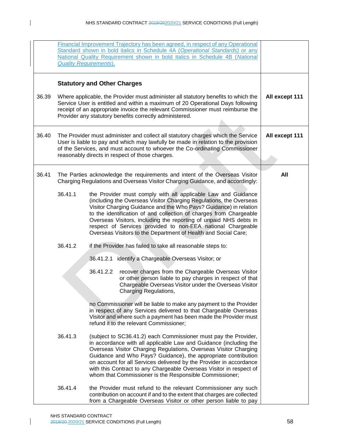|       |         | Financial Improvement Trajectory has been agreed, in respect of any Operational<br>Standard shown in bold italics in Schedule 4A (Operational Standards) or any<br>National Quality Requirement shown in bold italics in Schedule 4B (National<br><b>Quality Requirements).</b>                                                                                                                                                                                                      |                |
|-------|---------|--------------------------------------------------------------------------------------------------------------------------------------------------------------------------------------------------------------------------------------------------------------------------------------------------------------------------------------------------------------------------------------------------------------------------------------------------------------------------------------|----------------|
| 36.39 |         | <b>Statutory and Other Charges</b><br>Where applicable, the Provider must administer all statutory benefits to which the                                                                                                                                                                                                                                                                                                                                                             | All except 111 |
|       |         | Service User is entitled and within a maximum of 20 Operational Days following<br>receipt of an appropriate invoice the relevant Commissioner must reimburse the<br>Provider any statutory benefits correctly administered.                                                                                                                                                                                                                                                          |                |
| 36.40 |         | The Provider must administer and collect all statutory charges which the Service<br>User is liable to pay and which may lawfully be made in relation to the provision<br>of the Services, and must account to whoever the Co-ordinating Commissioner<br>reasonably directs in respect of those charges.                                                                                                                                                                              | All except 111 |
|       |         |                                                                                                                                                                                                                                                                                                                                                                                                                                                                                      |                |
| 36.41 |         | The Parties acknowledge the requirements and intent of the Overseas Visitor<br>Charging Regulations and Overseas Visitor Charging Guidance, and accordingly:                                                                                                                                                                                                                                                                                                                         | All            |
|       | 36.41.1 | the Provider must comply with all applicable Law and Guidance<br>(including the Overseas Visitor Charging Regulations, the Overseas<br>Visitor Charging Guidance and the Who Pays? Guidance) in relation<br>to the identification of and collection of charges from Chargeable<br>Overseas Visitors, including the reporting of unpaid NHS debts in<br>respect of Services provided to non-EEA national Chargeable<br>Overseas Visitors to the Department of Health and Social Care; |                |
|       | 36.41.2 | if the Provider has failed to take all reasonable steps to:                                                                                                                                                                                                                                                                                                                                                                                                                          |                |
|       |         | 36.41.2.1 identify a Chargeable Overseas Visitor; or                                                                                                                                                                                                                                                                                                                                                                                                                                 |                |
|       |         | 36.41.2.2<br>recover charges from the Chargeable Overseas Visitor<br>or other person liable to pay charges in respect of that<br>Chargeable Overseas Visitor under the Overseas Visitor<br><b>Charging Regulations,</b>                                                                                                                                                                                                                                                              |                |
|       |         | no Commissioner will be liable to make any payment to the Provider<br>in respect of any Services delivered to that Chargeable Overseas<br>Visitor and where such a payment has been made the Provider must<br>refund it to the relevant Commissioner;                                                                                                                                                                                                                                |                |
|       | 36.41.3 | (subject to SC36.41.2) each Commissioner must pay the Provider,<br>in accordance with all applicable Law and Guidance (including the<br>Overseas Visitor Charging Regulations, Overseas Visitor Charging<br>Guidance and Who Pays? Guidance), the appropriate contribution<br>on account for all Services delivered by the Provider in accordance<br>with this Contract to any Chargeable Overseas Visitor in respect of<br>whom that Commissioner is the Responsible Commissioner;  |                |
|       | 36.41.4 | the Provider must refund to the relevant Commissioner any such<br>contribution on account if and to the extent that charges are collected<br>from a Chargeable Overseas Visitor or other person liable to pay                                                                                                                                                                                                                                                                        |                |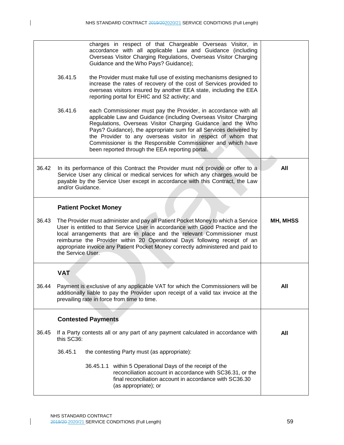|       |                                                                                                                                                                                                                                                                                                                                                                                                                                    | charges in respect of that Chargeable Overseas Visitor, in<br>accordance with all applicable Law and Guidance (including<br>Overseas Visitor Charging Regulations, Overseas Visitor Charging<br>Guidance and the Who Pays? Guidance);                                                                                                                                                                                                                      |     |
|-------|------------------------------------------------------------------------------------------------------------------------------------------------------------------------------------------------------------------------------------------------------------------------------------------------------------------------------------------------------------------------------------------------------------------------------------|------------------------------------------------------------------------------------------------------------------------------------------------------------------------------------------------------------------------------------------------------------------------------------------------------------------------------------------------------------------------------------------------------------------------------------------------------------|-----|
|       | 36.41.5                                                                                                                                                                                                                                                                                                                                                                                                                            | the Provider must make full use of existing mechanisms designed to<br>increase the rates of recovery of the cost of Services provided to<br>overseas visitors insured by another EEA state, including the EEA<br>reporting portal for EHIC and S2 activity; and                                                                                                                                                                                            |     |
|       | 36.41.6                                                                                                                                                                                                                                                                                                                                                                                                                            | each Commissioner must pay the Provider, in accordance with all<br>applicable Law and Guidance (including Overseas Visitor Charging<br>Regulations, Overseas Visitor Charging Guidance and the Who<br>Pays? Guidance), the appropriate sum for all Services delivered by<br>the Provider to any overseas visitor in respect of whom that<br>Commissioner is the Responsible Commissioner and which have<br>been reported through the EEA reporting portal. |     |
| 36.42 | and/or Guidance.                                                                                                                                                                                                                                                                                                                                                                                                                   | In its performance of this Contract the Provider must not provide or offer to a<br>Service User any clinical or medical services for which any charges would be<br>payable by the Service User except in accordance with this Contract, the Law                                                                                                                                                                                                            | All |
|       |                                                                                                                                                                                                                                                                                                                                                                                                                                    | <b>Patient Pocket Money</b>                                                                                                                                                                                                                                                                                                                                                                                                                                |     |
| 36.43 | The Provider must administer and pay all Patient Pocket Money to which a Service<br>User is entitled to that Service User in accordance with Good Practice and the<br>local arrangements that are in place and the relevant Commissioner must<br>reimburse the Provider within 20 Operational Days following receipt of an<br>appropriate invoice any Patient Pocket Money correctly administered and paid to<br>the Service User. | MH, MHSS                                                                                                                                                                                                                                                                                                                                                                                                                                                   |     |
|       | <b>VAT</b>                                                                                                                                                                                                                                                                                                                                                                                                                         |                                                                                                                                                                                                                                                                                                                                                                                                                                                            |     |
| 36.44 |                                                                                                                                                                                                                                                                                                                                                                                                                                    | Payment is exclusive of any applicable VAT for which the Commissioners will be<br>additionally liable to pay the Provider upon receipt of a valid tax invoice at the<br>prevailing rate in force from time to time.                                                                                                                                                                                                                                        | All |
|       |                                                                                                                                                                                                                                                                                                                                                                                                                                    | <b>Contested Payments</b>                                                                                                                                                                                                                                                                                                                                                                                                                                  |     |
| 36.45 | this SC36:                                                                                                                                                                                                                                                                                                                                                                                                                         | If a Party contests all or any part of any payment calculated in accordance with                                                                                                                                                                                                                                                                                                                                                                           | All |
|       | 36.45.1                                                                                                                                                                                                                                                                                                                                                                                                                            | the contesting Party must (as appropriate):                                                                                                                                                                                                                                                                                                                                                                                                                |     |
|       |                                                                                                                                                                                                                                                                                                                                                                                                                                    | 36.45.1.1 within 5 Operational Days of the receipt of the<br>reconciliation account in accordance with SC36.31, or the<br>final reconciliation account in accordance with SC36.30<br>(as appropriate); or                                                                                                                                                                                                                                                  |     |

 $\mathsf{L}$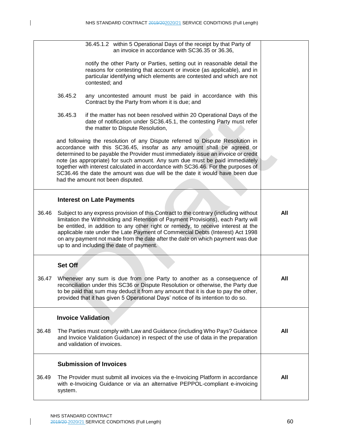|       |         | 36.45.1.2 within 5 Operational Days of the receipt by that Party of<br>an invoice in accordance with SC36.35 or 36.36,                                                                                                                                                                                                                                                                                                                                                                                                               |     |
|-------|---------|--------------------------------------------------------------------------------------------------------------------------------------------------------------------------------------------------------------------------------------------------------------------------------------------------------------------------------------------------------------------------------------------------------------------------------------------------------------------------------------------------------------------------------------|-----|
|       |         | notify the other Party or Parties, setting out in reasonable detail the<br>reasons for contesting that account or invoice (as applicable), and in<br>particular identifying which elements are contested and which are not<br>contested; and                                                                                                                                                                                                                                                                                         |     |
|       | 36.45.2 | any uncontested amount must be paid in accordance with this<br>Contract by the Party from whom it is due; and                                                                                                                                                                                                                                                                                                                                                                                                                        |     |
|       | 36.45.3 | if the matter has not been resolved within 20 Operational Days of the<br>date of notification under SC36.45.1, the contesting Party must refer<br>the matter to Dispute Resolution,                                                                                                                                                                                                                                                                                                                                                  |     |
|       |         | and following the resolution of any Dispute referred to Dispute Resolution in<br>accordance with this SC36.45, insofar as any amount shall be agreed or<br>determined to be payable the Provider must immediately issue an invoice or credit<br>note (as appropriate) for such amount. Any sum due must be paid immediately<br>together with interest calculated in accordance with SC36.46. For the purposes of<br>SC36.46 the date the amount was due will be the date it would have been due<br>had the amount not been disputed. |     |
|       |         | <b>Interest on Late Payments</b>                                                                                                                                                                                                                                                                                                                                                                                                                                                                                                     |     |
| 36.46 |         | Subject to any express provision of this Contract to the contrary (including without<br>limitation the Withholding and Retention of Payment Provisions), each Party will<br>be entitled, in addition to any other right or remedy, to receive interest at the<br>applicable rate under the Late Payment of Commercial Debts (Interest) Act 1998<br>on any payment not made from the date after the date on which payment was due<br>up to and including the date of payment.                                                         | All |
|       | Set Off |                                                                                                                                                                                                                                                                                                                                                                                                                                                                                                                                      |     |
| 36.47 |         | Whenever any sum is due from one Party to another as a consequence of<br>reconciliation under this SC36 or Dispute Resolution or otherwise, the Party due<br>to be paid that sum may deduct it from any amount that it is due to pay the other,<br>provided that it has given 5 Operational Days' notice of its intention to do so.                                                                                                                                                                                                  | All |
|       |         | <b>Invoice Validation</b>                                                                                                                                                                                                                                                                                                                                                                                                                                                                                                            |     |
| 36.48 |         | The Parties must comply with Law and Guidance (including Who Pays? Guidance<br>and Invoice Validation Guidance) in respect of the use of data in the preparation<br>and validation of invoices.                                                                                                                                                                                                                                                                                                                                      | All |
|       |         | <b>Submission of Invoices</b>                                                                                                                                                                                                                                                                                                                                                                                                                                                                                                        |     |
| 36.49 | system. | The Provider must submit all invoices via the e-Invoicing Platform in accordance<br>with e-Invoicing Guidance or via an alternative PEPPOL-compliant e-invoicing                                                                                                                                                                                                                                                                                                                                                                     | All |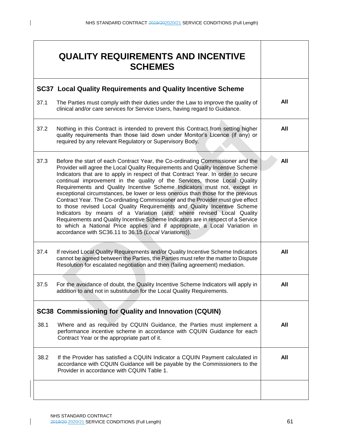|      | <b>QUALITY REQUIREMENTS AND INCENTIVE</b><br><b>SCHEMES</b>                                                                                                                                                                                                                                                                                                                                                                                                                                                                                                                                                                                                                                                                                                                                                                                                                                                                                                          |     |
|------|----------------------------------------------------------------------------------------------------------------------------------------------------------------------------------------------------------------------------------------------------------------------------------------------------------------------------------------------------------------------------------------------------------------------------------------------------------------------------------------------------------------------------------------------------------------------------------------------------------------------------------------------------------------------------------------------------------------------------------------------------------------------------------------------------------------------------------------------------------------------------------------------------------------------------------------------------------------------|-----|
|      | <b>SC37 Local Quality Requirements and Quality Incentive Scheme</b>                                                                                                                                                                                                                                                                                                                                                                                                                                                                                                                                                                                                                                                                                                                                                                                                                                                                                                  |     |
| 37.1 | The Parties must comply with their duties under the Law to improve the quality of<br>clinical and/or care services for Service Users, having regard to Guidance.                                                                                                                                                                                                                                                                                                                                                                                                                                                                                                                                                                                                                                                                                                                                                                                                     | All |
| 37.2 | Nothing in this Contract is intended to prevent this Contract from setting higher<br>quality requirements than those laid down under Monitor's Licence (if any) or<br>required by any relevant Regulatory or Supervisory Body.                                                                                                                                                                                                                                                                                                                                                                                                                                                                                                                                                                                                                                                                                                                                       | All |
| 37.3 | Before the start of each Contract Year, the Co-ordinating Commissioner and the<br>Provider will agree the Local Quality Requirements and Quality Incentive Scheme<br>Indicators that are to apply in respect of that Contract Year. In order to secure<br>continual improvement in the quality of the Services, those Local Quality<br>Requirements and Quality Incentive Scheme Indicators must not, except in<br>exceptional circumstances, be lower or less onerous than those for the previous<br>Contract Year. The Co-ordinating Commissioner and the Provider must give effect<br>to those revised Local Quality Requirements and Quality Incentive Scheme<br>Indicators by means of a Variation (and, where revised Local Quality<br>Requirements and Quality Incentive Scheme Indicators are in respect of a Service<br>to which a National Price applies and if appropriate, a Local Variation in<br>accordance with SC36.11 to 36.15 (Local Variations)). | All |
| 37.4 | If revised Local Quality Requirements and/or Quality Incentive Scheme Indicators<br>cannot be agreed between the Parties, the Parties must refer the matter to Dispute<br>Resolution for escalated negotiation and then (failing agreement) mediation.                                                                                                                                                                                                                                                                                                                                                                                                                                                                                                                                                                                                                                                                                                               | All |
| 37.5 | For the avoidance of doubt, the Quality Incentive Scheme Indicators will apply in<br>addition to and not in substitution for the Local Quality Requirements.                                                                                                                                                                                                                                                                                                                                                                                                                                                                                                                                                                                                                                                                                                                                                                                                         | All |
|      | <b>SC38 Commissioning for Quality and Innovation (CQUIN)</b>                                                                                                                                                                                                                                                                                                                                                                                                                                                                                                                                                                                                                                                                                                                                                                                                                                                                                                         |     |
| 38.1 | Where and as required by CQUIN Guidance, the Parties must implement a<br>performance incentive scheme in accordance with CQUIN Guidance for each<br>Contract Year or the appropriate part of it.                                                                                                                                                                                                                                                                                                                                                                                                                                                                                                                                                                                                                                                                                                                                                                     | All |
| 38.2 | If the Provider has satisfied a CQUIN Indicator a CQUIN Payment calculated in<br>accordance with CQUIN Guidance will be payable by the Commissioners to the<br>Provider in accordance with CQUIN Table 1.                                                                                                                                                                                                                                                                                                                                                                                                                                                                                                                                                                                                                                                                                                                                                            | All |
|      |                                                                                                                                                                                                                                                                                                                                                                                                                                                                                                                                                                                                                                                                                                                                                                                                                                                                                                                                                                      |     |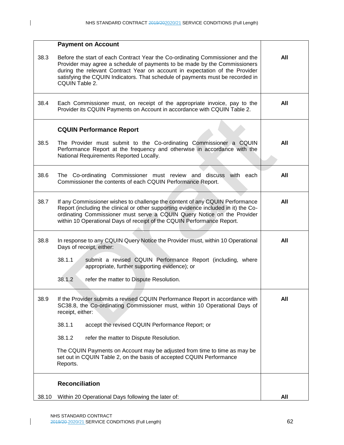|       | <b>Payment on Account</b>                                                                                                                                                                                                                                                                                                                     |     |
|-------|-----------------------------------------------------------------------------------------------------------------------------------------------------------------------------------------------------------------------------------------------------------------------------------------------------------------------------------------------|-----|
| 38.3  | Before the start of each Contract Year the Co-ordinating Commissioner and the<br>Provider may agree a schedule of payments to be made by the Commissioners<br>during the relevant Contract Year on account in expectation of the Provider<br>satisfying the CQUIN Indicators. That schedule of payments must be recorded in<br>CQUIN Table 2. | All |
| 38.4  | Each Commissioner must, on receipt of the appropriate invoice, pay to the<br>Provider its CQUIN Payments on Account in accordance with CQUIN Table 2.                                                                                                                                                                                         | All |
|       | <b>CQUIN Performance Report</b>                                                                                                                                                                                                                                                                                                               |     |
| 38.5  | The Provider must submit to the Co-ordinating Commissioner a CQUIN<br>Performance Report at the frequency and otherwise in accordance with the<br>National Requirements Reported Locally.                                                                                                                                                     | All |
| 38.6  | The Co-ordinating Commissioner must review and discuss with each<br>Commissioner the contents of each CQUIN Performance Report.                                                                                                                                                                                                               | All |
| 38.7  | If any Commissioner wishes to challenge the content of any CQUIN Performance<br>Report (including the clinical or other supporting evidence included in it) the Co-<br>ordinating Commissioner must serve a CQUIN Query Notice on the Provider<br>within 10 Operational Days of receipt of the CQUIN Performance Report.                      | All |
| 38.8  | In response to any CQUIN Query Notice the Provider must, within 10 Operational<br>Days of receipt, either:                                                                                                                                                                                                                                    | All |
|       | 38.1.1<br>submit a revised CQUIN Performance Report (including, where<br>appropriate, further supporting evidence); or                                                                                                                                                                                                                        |     |
|       | 38.1.2<br>refer the matter to Dispute Resolution.                                                                                                                                                                                                                                                                                             |     |
| 38.9  | If the Provider submits a revised CQUIN Performance Report in accordance with<br>SC38.8, the Co-ordinating Commissioner must, within 10 Operational Days of<br>receipt, either:                                                                                                                                                               | All |
|       | 38.1.1<br>accept the revised CQUIN Performance Report; or                                                                                                                                                                                                                                                                                     |     |
|       | 38.1.2<br>refer the matter to Dispute Resolution.                                                                                                                                                                                                                                                                                             |     |
|       | The CQUIN Payments on Account may be adjusted from time to time as may be<br>set out in CQUIN Table 2, on the basis of accepted CQUIN Performance<br>Reports.                                                                                                                                                                                 |     |
|       | <b>Reconciliation</b>                                                                                                                                                                                                                                                                                                                         |     |
| 38.10 | Within 20 Operational Days following the later of:                                                                                                                                                                                                                                                                                            | All |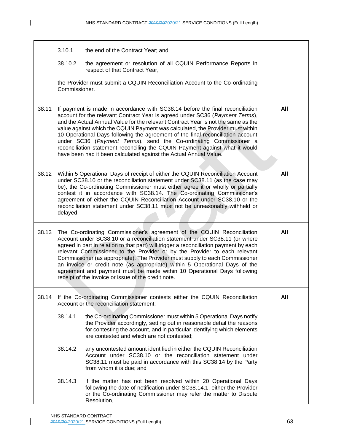|       | 3.10.1                                                                                                                                                                                                                                                                                                                                                                                                                                                                                                                                                                                                                                            | the end of the Contract Year; and                                                                                                                                                                                                                                        |     |
|-------|---------------------------------------------------------------------------------------------------------------------------------------------------------------------------------------------------------------------------------------------------------------------------------------------------------------------------------------------------------------------------------------------------------------------------------------------------------------------------------------------------------------------------------------------------------------------------------------------------------------------------------------------------|--------------------------------------------------------------------------------------------------------------------------------------------------------------------------------------------------------------------------------------------------------------------------|-----|
|       | 38.10.2                                                                                                                                                                                                                                                                                                                                                                                                                                                                                                                                                                                                                                           | the agreement or resolution of all CQUIN Performance Reports in<br>respect of that Contract Year,                                                                                                                                                                        |     |
|       | the Provider must submit a CQUIN Reconciliation Account to the Co-ordinating<br>Commissioner.                                                                                                                                                                                                                                                                                                                                                                                                                                                                                                                                                     |                                                                                                                                                                                                                                                                          |     |
| 38.11 | If payment is made in accordance with SC38.14 before the final reconciliation<br>account for the relevant Contract Year is agreed under SC36 (Payment Terms),<br>and the Actual Annual Value for the relevant Contract Year is not the same as the<br>value against which the CQUIN Payment was calculated, the Provider must within<br>10 Operational Days following the agreement of the final reconciliation account<br>under SC36 (Payment Terms), send the Co-ordinating Commissioner a<br>reconciliation statement reconciling the CQUIN Payment against what it would<br>have been had it been calculated against the Actual Annual Value. | All                                                                                                                                                                                                                                                                      |     |
| 38.12 | Within 5 Operational Days of receipt of either the CQUIN Reconciliation Account<br>under SC38.10 or the reconciliation statement under SC38.11 (as the case may<br>be), the Co-ordinating Commissioner must either agree it or wholly or partially<br>contest it in accordance with SC38.14. The Co-ordinating Commissioner's<br>agreement of either the CQUIN Reconciliation Account under SC38.10 or the<br>reconciliation statement under SC38.11 must not be unreasonably withheld or<br>delayed.                                                                                                                                             | All                                                                                                                                                                                                                                                                      |     |
| 38.13 | The Co-ordinating Commissioner's agreement of the CQUIN Reconciliation<br>Account under SC38.10 or a reconciliation statement under SC38.11 (or where<br>agreed in part in relation to that part) will trigger a reconciliation payment by each<br>relevant Commissioner to the Provider or by the Provider to each relevant<br>Commissioner (as appropriate). The Provider must supply to each Commissioner<br>an invoice or credit note (as appropriate) within 5 Operational Days of the<br>agreement and payment must be made within 10 Operational Days following<br>receipt of the invoice or issue of the credit note.                     | All                                                                                                                                                                                                                                                                      |     |
| 38.14 | If the Co-ordinating Commissioner contests either the CQUIN Reconciliation<br>Account or the reconciliation statement:                                                                                                                                                                                                                                                                                                                                                                                                                                                                                                                            |                                                                                                                                                                                                                                                                          | All |
|       | 38.14.1                                                                                                                                                                                                                                                                                                                                                                                                                                                                                                                                                                                                                                           | the Co-ordinating Commissioner must within 5 Operational Days notify<br>the Provider accordingly, setting out in reasonable detail the reasons<br>for contesting the account, and in particular identifying which elements<br>are contested and which are not contested; |     |
|       | 38.14.2                                                                                                                                                                                                                                                                                                                                                                                                                                                                                                                                                                                                                                           | any uncontested amount identified in either the CQUIN Reconciliation<br>Account under SC38.10 or the reconciliation statement under<br>SC38.11 must be paid in accordance with this SC38.14 by the Party<br>from whom it is due; and                                     |     |
|       | 38.14.3                                                                                                                                                                                                                                                                                                                                                                                                                                                                                                                                                                                                                                           | if the matter has not been resolved within 20 Operational Days<br>following the date of notification under SC38.14.1, either the Provider<br>or the Co-ordinating Commissioner may refer the matter to Dispute<br>Resolution,                                            |     |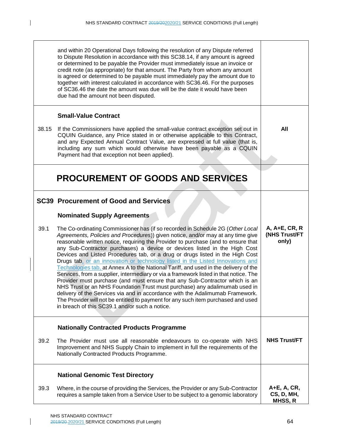$\mathbf{I}$ 

|       | and within 20 Operational Days following the resolution of any Dispute referred<br>to Dispute Resolution in accordance with this SC38.14, if any amount is agreed<br>or determined to be payable the Provider must immediately issue an invoice or<br>credit note (as appropriate) for that amount. The Party from whom any amount<br>is agreed or determined to be payable must immediately pay the amount due to<br>together with interest calculated in accordance with SC36.46. For the purposes<br>of SC36.46 the date the amount was due will be the date it would have been<br>due had the amount not been disputed.                                                                                                                                                                                                                                                                                                                                                                                                                                                  |                                         |
|-------|------------------------------------------------------------------------------------------------------------------------------------------------------------------------------------------------------------------------------------------------------------------------------------------------------------------------------------------------------------------------------------------------------------------------------------------------------------------------------------------------------------------------------------------------------------------------------------------------------------------------------------------------------------------------------------------------------------------------------------------------------------------------------------------------------------------------------------------------------------------------------------------------------------------------------------------------------------------------------------------------------------------------------------------------------------------------------|-----------------------------------------|
|       | <b>Small-Value Contract</b>                                                                                                                                                                                                                                                                                                                                                                                                                                                                                                                                                                                                                                                                                                                                                                                                                                                                                                                                                                                                                                                  |                                         |
| 38.15 | If the Commissioners have applied the small-value contract exception set out in<br>CQUIN Guidance, any Price stated in or otherwise applicable to this Contract,<br>and any Expected Annual Contract Value, are expressed at full value (that is,<br>including any sum which would otherwise have been payable as a CQUIN<br>Payment had that exception not been applied).                                                                                                                                                                                                                                                                                                                                                                                                                                                                                                                                                                                                                                                                                                   | All                                     |
|       | PROCUREMENT OF GOODS AND SERVICES                                                                                                                                                                                                                                                                                                                                                                                                                                                                                                                                                                                                                                                                                                                                                                                                                                                                                                                                                                                                                                            |                                         |
|       | <b>SC39 Procurement of Good and Services</b>                                                                                                                                                                                                                                                                                                                                                                                                                                                                                                                                                                                                                                                                                                                                                                                                                                                                                                                                                                                                                                 |                                         |
|       | <b>Nominated Supply Agreements</b>                                                                                                                                                                                                                                                                                                                                                                                                                                                                                                                                                                                                                                                                                                                                                                                                                                                                                                                                                                                                                                           |                                         |
| 39.1  | The Co-ordinating Commissioner has (if so recorded in Schedule 2G (Other Local<br>Agreements, Policies and Procedures)) given notice, and/or may at any time give<br>reasonable written notice, requiring the Provider to purchase (and to ensure that<br>any Sub-Contractor purchases) a device or devices listed in the High Cost<br>Devices and Listed Procedures tab, or a drug or drugs listed in the High Cost<br>Drugs tab, or an innovation or technology listed in the Listed Innovations and<br>Technologies tab, at Annex A to the National Tariff, and used in the delivery of the<br>Services, from a supplier, intermediary or via a framework listed in that notice. The<br>Provider must purchase (and must ensure that any Sub-Contractor which is an<br>NHS Trust or an NHS Foundation Trust must purchase) any adalimumab used in<br>delivery of the Services via and in accordance with the Adalimumab Framework.<br>The Provider will not be entitled to payment for any such item purchased and used<br>in breach of this SC39.1 and/or such a notice. | A, A+E, CR, R<br>(NHS Trust/FT<br>only) |
|       | <b>Nationally Contracted Products Programme</b>                                                                                                                                                                                                                                                                                                                                                                                                                                                                                                                                                                                                                                                                                                                                                                                                                                                                                                                                                                                                                              |                                         |
| 39.2  | The Provider must use all reasonable endeavours to co-operate with NHS<br>Improvement and NHS Supply Chain to implement in full the requirements of the<br>Nationally Contracted Products Programme.                                                                                                                                                                                                                                                                                                                                                                                                                                                                                                                                                                                                                                                                                                                                                                                                                                                                         | <b>NHS Trust/FT</b>                     |
|       | <b>National Genomic Test Directory</b>                                                                                                                                                                                                                                                                                                                                                                                                                                                                                                                                                                                                                                                                                                                                                                                                                                                                                                                                                                                                                                       |                                         |
| 39.3  | Where, in the course of providing the Services, the Provider or any Sub-Contractor<br>requires a sample taken from a Service User to be subject to a genomic laboratory                                                                                                                                                                                                                                                                                                                                                                                                                                                                                                                                                                                                                                                                                                                                                                                                                                                                                                      | A+E, A, CR,<br>CS, D, MH,<br>MHSS, R    |